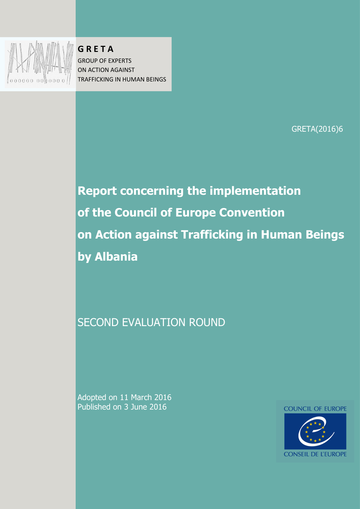

**G R E T A**  $G$  R E T A **GROUP OF EXPERTS** ON ACTION AGAINST **the Figure in Figure 1999** TRAFFICKING IN HUMAN BEINGS

GRETA(2016)6

**of the Council of Europe Convention on Action and Action and Action Beings in Human Beings in Human Beings in Human Beings in Human Beings in Human B of the Council of Europe Convention** SECOND EVALUATION ROUNDED FOR THE EVALUATION ROUNDED FOR THE EVALUATION ROUNDED FOR THE EVALUATION ROUNDED FOR **Report concerning the implementation on Action against Trafficking in Human Beings by Albania**

 $\overline{\phantom{a}}$ SECOND EVALUATION ROUND

Secretariat of the Council of Europe Convention on Action against Trafficking in Human Beings

Adopted on 11 March 2016 Published on 3 June 2016

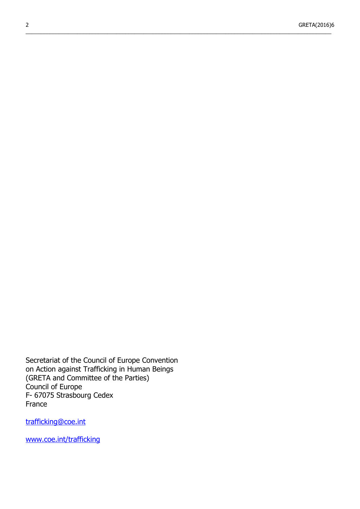$\_$  , and the state of the state of the state of the state of the state of the state of the state of the state of the state of the state of the state of the state of the state of the state of the state of the state of the

Secretariat of the Council of Europe Convention on Action against Trafficking in Human Beings (GRETA and Committee of the Parties) Council of Europe F- 67075 Strasbourg Cedex France

trafficking@coe.int

[www.coe.int/trafficking](http://www.coe.int/trafficking)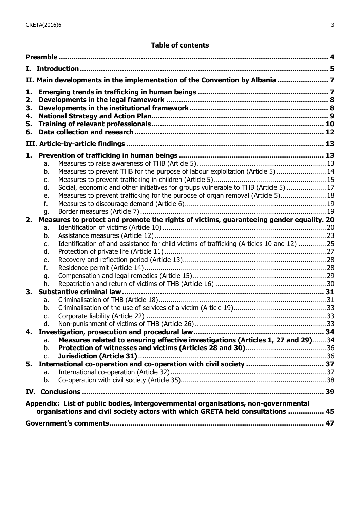### **Table of contents**

| Ι. |                                                                                                                                                                      |  |
|----|----------------------------------------------------------------------------------------------------------------------------------------------------------------------|--|
|    | II. Main developments in the implementation of the Convention by Albania  7                                                                                          |  |
| 1. |                                                                                                                                                                      |  |
| 2. |                                                                                                                                                                      |  |
| 3. |                                                                                                                                                                      |  |
| 4. |                                                                                                                                                                      |  |
| 5. |                                                                                                                                                                      |  |
| 6. |                                                                                                                                                                      |  |
|    |                                                                                                                                                                      |  |
| 1. |                                                                                                                                                                      |  |
|    | a.                                                                                                                                                                   |  |
|    | Measures to prevent THB for the purpose of labour exploitation (Article 5)14<br>b.                                                                                   |  |
|    | c.                                                                                                                                                                   |  |
|    | Social, economic and other initiatives for groups vulnerable to THB (Article 5)17<br>d.                                                                              |  |
|    | Measures to prevent trafficking for the purpose of organ removal (Article 5)18<br>e.                                                                                 |  |
|    | f.                                                                                                                                                                   |  |
|    | g.                                                                                                                                                                   |  |
| 2. | Measures to protect and promote the rights of victims, guaranteeing gender equality. 20                                                                              |  |
|    | a.                                                                                                                                                                   |  |
|    | b.<br>Identification of and assistance for child victims of trafficking (Articles 10 and 12) 25<br>c.                                                                |  |
|    | d.                                                                                                                                                                   |  |
|    | e.                                                                                                                                                                   |  |
|    | f.                                                                                                                                                                   |  |
|    | g.                                                                                                                                                                   |  |
|    | h.                                                                                                                                                                   |  |
| 3. |                                                                                                                                                                      |  |
|    | a.                                                                                                                                                                   |  |
|    | b.                                                                                                                                                                   |  |
|    | c.                                                                                                                                                                   |  |
|    | d                                                                                                                                                                    |  |
| 4. |                                                                                                                                                                      |  |
|    | Measures related to ensuring effective investigations (Articles 1, 27 and 29)34<br>a.                                                                                |  |
|    | b.                                                                                                                                                                   |  |
|    | $C_{\bullet}$                                                                                                                                                        |  |
| 5. |                                                                                                                                                                      |  |
|    | a.                                                                                                                                                                   |  |
|    | b.                                                                                                                                                                   |  |
|    |                                                                                                                                                                      |  |
|    | Appendix: List of public bodies, intergovernmental organisations, non-governmental<br>organisations and civil society actors with which GRETA held consultations  45 |  |
|    |                                                                                                                                                                      |  |
|    |                                                                                                                                                                      |  |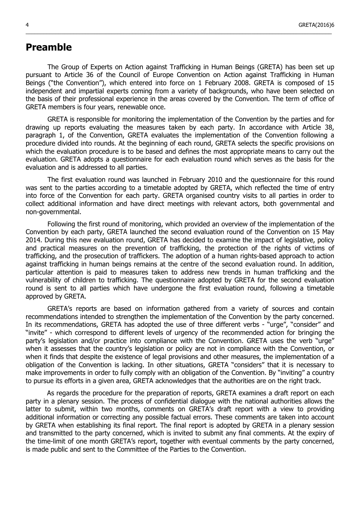## <span id="page-3-0"></span>**Preamble**

The Group of Experts on Action against Trafficking in Human Beings (GRETA) has been set up pursuant to Article 36 of the Council of Europe Convention on Action against Trafficking in Human Beings ("the Convention"), which entered into force on 1 February 2008. GRETA is composed of 15 independent and impartial experts coming from a variety of backgrounds, who have been selected on the basis of their professional experience in the areas covered by the Convention. The term of office of GRETA members is four years, renewable once.

\_\_\_\_\_\_\_\_\_\_\_\_\_\_\_\_\_\_\_\_\_\_\_\_\_\_\_\_\_\_\_\_\_\_\_\_\_\_\_\_\_\_\_\_\_\_\_\_\_\_\_\_\_\_\_\_\_\_\_\_\_\_\_\_\_\_\_\_\_\_\_\_\_\_\_\_\_\_\_\_\_\_\_\_\_\_\_\_\_\_\_\_\_\_\_\_\_\_\_\_\_\_\_

GRETA is responsible for monitoring the implementation of the Convention by the parties and for drawing up reports evaluating the measures taken by each party. In accordance with Article 38, paragraph 1, of the Convention, GRETA evaluates the implementation of the Convention following a procedure divided into rounds. At the beginning of each round, GRETA selects the specific provisions on which the evaluation procedure is to be based and defines the most appropriate means to carry out the evaluation. GRETA adopts a questionnaire for each evaluation round which serves as the basis for the evaluation and is addressed to all parties.

The first evaluation round was launched in February 2010 and the questionnaire for this round was sent to the parties according to a timetable adopted by GRETA, which reflected the time of entry into force of the Convention for each party. GRETA organised country visits to all parties in order to collect additional information and have direct meetings with relevant actors, both governmental and non-governmental.

Following the first round of monitoring, which provided an overview of the implementation of the Convention by each party, GRETA launched the second evaluation round of the Convention on 15 May 2014. During this new evaluation round, GRETA has decided to examine the impact of legislative, policy and practical measures on the prevention of trafficking, the protection of the rights of victims of trafficking, and the prosecution of traffickers. The adoption of a human rights-based approach to action against trafficking in human beings remains at the centre of the second evaluation round. In addition, particular attention is paid to measures taken to address new trends in human trafficking and the vulnerability of children to trafficking. The questionnaire adopted by GRETA for the second evaluation round is sent to all parties which have undergone the first evaluation round, following a timetable approved by GRETA.

GRETA's reports are based on information gathered from a variety of sources and contain recommendations intended to strengthen the implementation of the Convention by the party concerned. In its recommendations, GRETA has adopted the use of three different verbs - "urge", "consider" and "invite" - which correspond to different levels of urgency of the recommended action for bringing the party's legislation and/or practice into compliance with the Convention. GRETA uses the verb "urge" when it assesses that the country's legislation or policy are not in compliance with the Convention, or when it finds that despite the existence of legal provisions and other measures, the implementation of a obligation of the Convention is lacking. In other situations, GRETA "considers" that it is necessary to make improvements in order to fully comply with an obligation of the Convention. By "inviting" a country to pursue its efforts in a given area, GRETA acknowledges that the authorities are on the right track.

As regards the procedure for the preparation of reports, GRETA examines a draft report on each party in a plenary session. The process of confidential dialogue with the national authorities allows the latter to submit, within two months, comments on GRETA's draft report with a view to providing additional information or correcting any possible factual errors. These comments are taken into account by GRETA when establishing its final report. The final report is adopted by GRETA in a plenary session and transmitted to the party concerned, which is invited to submit any final comments. At the expiry of the time-limit of one month GRETA's report, together with eventual comments by the party concerned, is made public and sent to the Committee of the Parties to the Convention.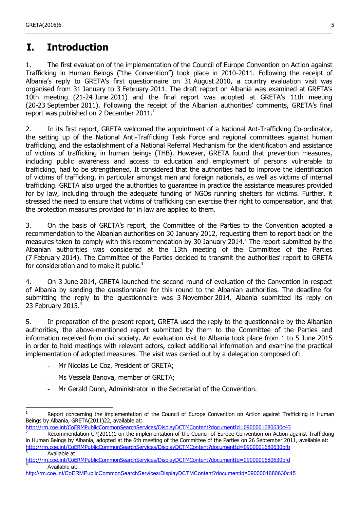# <span id="page-4-0"></span>**I. Introduction**

1. The first evaluation of the implementation of the Council of Europe Convention on Action against Trafficking in Human Beings ("the Convention") took place in 2010-2011. Following the receipt of Albania's reply to GRETA's first questionnaire on 31 August 2010, a country evaluation visit was organised from 31 January to 3 February 2011. The draft report on Albania was examined at GRETA's 10th meeting (21-24 June 2011) and the final report was adopted at GRETA's 11th meeting (20-23 September 2011). Following the receipt of the Albanian authorities' comments, GRETA's final report was published on 2 December  $2011.<sup>1</sup>$  $2011.<sup>1</sup>$  $2011.<sup>1</sup>$ 

\_\_\_\_\_\_\_\_\_\_\_\_\_\_\_\_\_\_\_\_\_\_\_\_\_\_\_\_\_\_\_\_\_\_\_\_\_\_\_\_\_\_\_\_\_\_\_\_\_\_\_\_\_\_\_\_\_\_\_\_\_\_\_\_\_\_\_\_\_\_\_\_\_\_\_\_\_\_\_\_\_\_\_\_\_\_\_\_\_\_\_\_\_\_\_\_\_\_\_\_\_\_\_

2. In its first report, GRETA welcomed the appointment of a National Ant-Trafficking Co-ordinator, the setting up of the National Anti-Trafficking Task Force and regional committees against human trafficking, and the establishment of a National Referral Mechanism for the identification and assistance of victims of trafficking in human beings (THB). However, GRETA found that prevention measures, including public awareness and access to education and employment of persons vulnerable to trafficking, had to be strengthened. It considered that the authorities had to improve the identification of victims of trafficking, in particular amongst men and foreign nationals, as well as victims of internal trafficking. GRETA also urged the authorities to guarantee in practice the assistance measures provided for by law, including through the adequate funding of NGOs running shelters for victims. Further, it stressed the need to ensure that victims of trafficking can exercise their right to compensation, and that the protection measures provided for in law are applied to them.

3. On the basis of GRETA's report, the Committee of the Parties to the Convention adopted a recommendation to the Albanian authorities on 30 January 2012, requesting them to report back on the measures taken to comply with this recommendation by 30 January [2](#page-4-2)014. $^2$  The report submitted by the Albanian authorities was considered at the 13th meeting of the Committee of the Parties (7 February 2014). The Committee of the Parties decided to transmit the authorities' report to GRETA for consideration and to make it public. $3$ 

4. On 3 June 2014, GRETA launched the second round of evaluation of the Convention in respect of Albania by sending the questionnaire for this round to the Albanian authorities. The deadline for submitting the reply to the questionnaire was 3 November 2014. Albania submitted its reply on 23 February 2015.<sup>[4](#page-4-4)</sup>

5. In preparation of the present report, GRETA used the reply to the questionnaire by the Albanian authorities, the above-mentioned report submitted by them to the Committee of the Parties and information received from civil society. An evaluation visit to Albania took place from 1 to 5 June 2015 in order to hold meetings with relevant actors, collect additional information and examine the practical implementation of adopted measures. The visit was carried out by a delegation composed of:

- Mr Nicolas Le Coz, President of GRETA;
- Ms Vessela Banova, member of GRETA;

 $\overline{a}$ 

Mr Gerald Dunn, Administrator in the Secretariat of the Convention.

<http://rm.coe.int/CoERMPublicCommonSearchServices/DisplayDCTMContent?documentId=0900001680630c43>

<span id="page-4-1"></span>Report concerning the implementation of the Council of Europe Convention on Action against Trafficking in Human Beings by Albania, GRETA(2011)22, available at:

<span id="page-4-2"></span>Recommendation CP(2011)1 on the implementation of the Council of Europe Convention on Action against Trafficking in Human Beings by Albania, adopted at the 6th meeting of the Committee of the Parties on 26 September 2011, available at: http://rm.coe.int/CoERMPublicCommonSearchServices/DisplayDCTMContent?documentId=0900001680630bfb

<span id="page-4-3"></span>Available at:

<span id="page-4-4"></span>http://rm.coe.int/CoERMPublicCommonSearchServices/DisplayDCTMContent?documentId=0900001680630bfd 4 Available at:

<http://rm.coe.int/CoERMPublicCommonSearchServices/DisplayDCTMContent?documentId=0900001680630c45>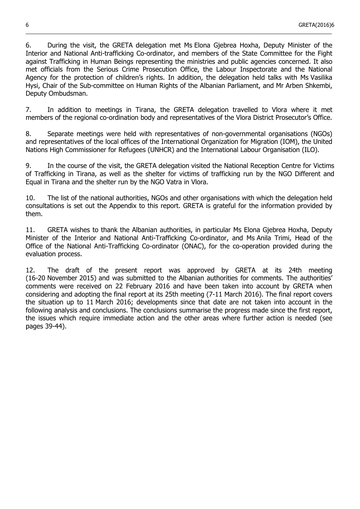6. During the visit, the GRETA delegation met Ms Elona Gjebrea Hoxha, Deputy Minister of the Interior and National Anti-trafficking Co-ordinator, and members of the State Committee for the Fight against Trafficking in Human Beings representing the ministries and public agencies concerned. It also met officials from the Serious Crime Prosecution Office, the Labour Inspectorate and the National Agency for the protection of children's rights. In addition, the delegation held talks with Ms Vasilika Hysi, Chair of the Sub-committee on Human Rights of the Albanian Parliament, and Mr Arben Shkembi, Deputy Ombudsman.

\_\_\_\_\_\_\_\_\_\_\_\_\_\_\_\_\_\_\_\_\_\_\_\_\_\_\_\_\_\_\_\_\_\_\_\_\_\_\_\_\_\_\_\_\_\_\_\_\_\_\_\_\_\_\_\_\_\_\_\_\_\_\_\_\_\_\_\_\_\_\_\_\_\_\_\_\_\_\_\_\_\_\_\_\_\_\_\_\_\_\_\_\_\_\_\_\_\_\_\_\_\_\_

7. In addition to meetings in Tirana, the GRETA delegation travelled to Vlora where it met members of the regional co-ordination body and representatives of the Vlora District Prosecutor's Office.

8. Separate meetings were held with representatives of non-governmental organisations (NGOs) and representatives of the local offices of the International Organization for Migration (IOM), the United Nations High Commissioner for Refugees (UNHCR) and the International Labour Organisation (ILO).

9. In the course of the visit, the GRETA delegation visited the National Reception Centre for Victims of Trafficking in Tirana, as well as the shelter for victims of trafficking run by the NGO Different and Equal in Tirana and the shelter run by the NGO Vatra in Vlora.

10. The list of the national authorities, NGOs and other organisations with which the delegation held consultations is set out the Appendix to this report. GRETA is grateful for the information provided by them.

11. GRETA wishes to thank the Albanian authorities, in particular Ms Elona Gjebrea Hoxha, Deputy Minister of the Interior and National Anti-Trafficking Co-ordinator, and Ms Anila Trimi, Head of the Office of the National Anti-Trafficking Co-ordinator (ONAC), for the co-operation provided during the evaluation process.

12. The draft of the present report was approved by GRETA at its 24th meeting (16-20 November 2015) and was submitted to the Albanian authorities for comments. The authorities' comments were received on 22 February 2016 and have been taken into account by GRETA when considering and adopting the final report at its 25th meeting (7-11 March 2016). The final report covers the situation up to 11 March 2016; developments since that date are not taken into account in the following analysis and conclusions. The conclusions summarise the progress made since the first report, the issues which require immediate action and the other areas where further action is needed (see pages 39-44).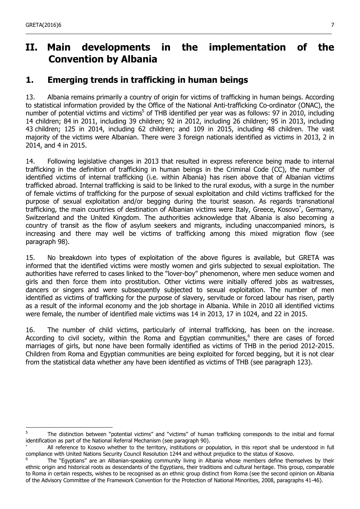# <span id="page-6-1"></span>**II. Main developments in the implementation of the Convention by Albania**

\_\_\_\_\_\_\_\_\_\_\_\_\_\_\_\_\_\_\_\_\_\_\_\_\_\_\_\_\_\_\_\_\_\_\_\_\_\_\_\_\_\_\_\_\_\_\_\_\_\_\_\_\_\_\_\_\_\_\_\_\_\_\_\_\_\_\_\_\_\_\_\_\_\_\_\_\_\_\_\_\_\_\_\_\_\_\_\_\_\_\_\_\_\_\_\_\_\_\_\_\_\_\_

## <span id="page-6-0"></span>**1. Emerging trends in trafficking in human beings**

13. Albania remains primarily a country of origin for victims of trafficking in human beings. According to statistical information provided by the Office of the National Anti-trafficking Co-ordinator (ONAC), the number of potential victims and victims<sup>[5](#page-6-2)</sup> of THB identified per year was as follows: 97 in 2010, including 14 children; 84 in 2011, including 39 children; 92 in 2012, including 26 children; 95 in 2013, including 43 children; 125 in 2014, including 62 children; and 109 in 2015, including 48 children. The vast majority of the victims were Albanian. There were 3 foreign nationals identified as victims in 2013, 2 in 2014, and 4 in 2015.

14. Following legislative changes in 2013 that resulted in express reference being made to internal trafficking in the definition of trafficking in human beings in the Criminal Code (CC), the number of identified victims of internal trafficking (i.e. within Albania) has risen above that of Albanian victims trafficked abroad. Internal trafficking is said to be linked to the rural exodus, with a surge in the number of female victims of trafficking for the purpose of sexual exploitation and child victims trafficked for the purpose of sexual exploitation and/or begging during the tourist season. As regards transnational trafficking, the main countries of destination of Albanian victims were Italy, Greece, Kosovo<sup>\*</sup>, Germany, Switzerland and the United Kingdom. The authorities acknowledge that Albania is also becoming a country of transit as the flow of asylum seekers and migrants, including unaccompanied minors, is increasing and there may well be victims of trafficking among this mixed migration flow (see paragraph 98).

15. No breakdown into types of exploitation of the above figures is available, but GRETA was informed that the identified victims were mostly women and girls subjected to sexual exploitation. The authorities have referred to cases linked to the "lover-boy" phenomenon, where men seduce women and girls and then force them into prostitution. Other victims were initially offered jobs as waitresses, dancers or singers and were subsequently subjected to sexual exploitation. The number of men identified as victims of trafficking for the purpose of slavery, servitude or forced labour has risen, partly as a result of the informal economy and the job shortage in Albania. While in 2010 all identified victims were female, the number of identified male victims was 14 in 2013, 17 in 1024, and 22 in 2015.

16. The number of child victims, particularly of internal trafficking, has been on the increase. According to civil society, within the Roma and Egyptian communities, $<sup>6</sup>$  $<sup>6</sup>$  $<sup>6</sup>$  there are cases of forced</sup> marriages of girls, but none have been formally identified as victims of THB in the period 2012-2015. Children from Roma and Egyptian communities are being exploited for forced begging, but it is not clear from the statistical data whether any have been identified as victims of THB (see paragraph 123).

<span id="page-6-2"></span><sup>—&</sup>lt;br>5 The distinction between "potential victims" and "victims" of human trafficking corresponds to the initial and formal identification as part of the National Referral Mechanism (see paragraph 90).

All reference to Kosovo whether to the territory, institutions or population, in this report shall be understood in full compliance with United Nations Security Council Resolution 1244 and without prejudice to the status of Kosovo.

<span id="page-6-3"></span><sup>6</sup> The "Egyptians" are an Albanian-speaking community living in Albania whose members define themselves by their ethnic origin and historical roots as descendants of the Egyptians, their traditions and cultural heritage. This group, comparable to Roma in certain respects, wishes to be recognised as an ethnic group distinct from Roma (see the second opinion on Albania of the Advisory Committee of the Framework Convention for the Protection of National Minorities, 2008, paragraphs 41-46).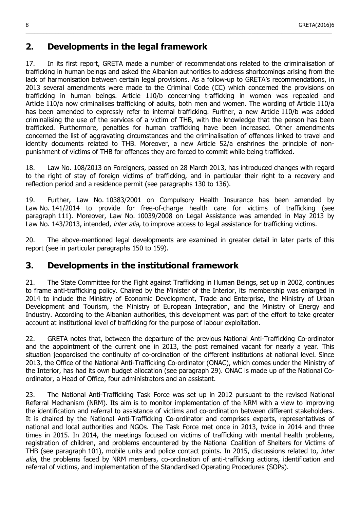## <span id="page-7-1"></span>**2. Developments in the legal framework**

17. In its first report, GRETA made a number of recommendations related to the criminalisation of trafficking in human beings and asked the Albanian authorities to address shortcomings arising from the lack of harmonisation between certain legal provisions. As a follow-up to GRETA's recommendations, in 2013 several amendments were made to the Criminal Code (CC) which concerned the provisions on trafficking in human beings. Article 110/b concerning trafficking in women was repealed and Article 110/a now criminalises trafficking of adults, both men and women. The wording of Article 110/a has been amended to expressly refer to internal trafficking. Further, a new Article 110/b was added criminalising the use of the services of a victim of THB, with the knowledge that the person has been trafficked. Furthermore, penalties for human trafficking have been increased. Other amendments concerned the list of aggravating circumstances and the criminalisation of offences linked to travel and identity documents related to THB. Moreover, a new Article 52/a enshrines the principle of nonpunishment of victims of THB for offences they are forced to commit while being trafficked.

\_\_\_\_\_\_\_\_\_\_\_\_\_\_\_\_\_\_\_\_\_\_\_\_\_\_\_\_\_\_\_\_\_\_\_\_\_\_\_\_\_\_\_\_\_\_\_\_\_\_\_\_\_\_\_\_\_\_\_\_\_\_\_\_\_\_\_\_\_\_\_\_\_\_\_\_\_\_\_\_\_\_\_\_\_\_\_\_\_\_\_\_\_\_\_\_\_\_\_\_\_\_\_

18. Law No. 108/2013 on Foreigners, passed on 28 March 2013, has introduced changes with regard to the right of stay of foreign victims of trafficking, and in particular their right to a recovery and reflection period and a residence permit (see paragraphs 130 to 136).

19. Further, Law No. 10383/2001 on Compulsory Health Insurance has been amended by Law No. 141/2014 to provide for free-of-charge health care for victims of trafficking (see paragraph 111). Moreover, Law No. 10039/2008 on Legal Assistance was amended in May 2013 by Law No. 143/2013, intended, *inter alia*, to improve access to legal assistance for trafficking victims.

20. The above-mentioned legal developments are examined in greater detail in later parts of this report (see in particular paragraphs 150 to 159).

## <span id="page-7-0"></span>**3. Developments in the institutional framework**

21. The State Committee for the Fight against Trafficking in Human Beings, set up in 2002, continues to frame anti-trafficking policy. Chaired by the Minister of the Interior, its membership was enlarged in 2014 to include the Ministry of Economic Development, Trade and Enterprise, the Ministry of Urban Development and Tourism, the Ministry of European Integration, and the Ministry of Energy and Industry. According to the Albanian authorities, this development was part of the effort to take greater account at institutional level of trafficking for the purpose of labour exploitation.

22. GRETA notes that, between the departure of the previous National Anti-Trafficking Co-ordinator and the appointment of the current one in 2013, the post remained vacant for nearly a year. This situation jeopardised the continuity of co-ordination of the different institutions at national level. Since 2013, the Office of the National Anti-Trafficking Co-ordinator (ONAC), which comes under the Ministry of the Interior, has had its own budget allocation (see paragraph 29). ONAC is made up of the National Coordinator, a Head of Office, four administrators and an assistant.

23. The National Anti-Trafficking Task Force was set up in 2012 pursuant to the revised National Referral Mechanism (NRM). Its aim is to monitor implementation of the NRM with a view to improving the identification and referral to assistance of victims and co-ordination between different stakeholders. It is chaired by the National Anti-Trafficking Co-ordinator and comprises experts, representatives of national and local authorities and NGOs. The Task Force met once in 2013, twice in 2014 and three times in 2015. In 2014, the meetings focused on victims of trafficking with mental health problems, registration of children, and problems encountered by the National Coalition of Shelters for Victims of THB (see paragraph 101), mobile units and police contact points. In 2015, discussions related to, inter alia, the problems faced by NRM members, co-ordination of anti-trafficking actions, identification and referral of victims, and implementation of the Standardised Operating Procedures (SOPs).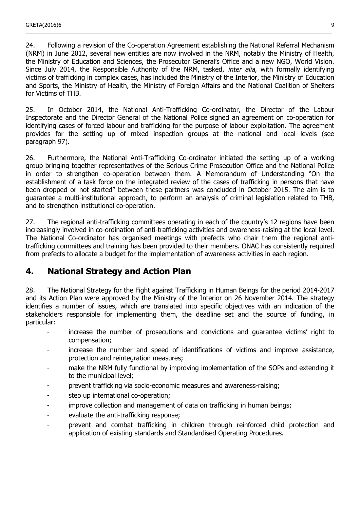24. Following a revision of the Co-operation Agreement establishing the National Referral Mechanism (NRM) in June 2012, several new entities are now involved in the NRM, notably the Ministry of Health, the Ministry of Education and Sciences, the Prosecutor General's Office and a new NGO, World Vision. Since July 2014, the Responsible Authority of the NRM, tasked, inter alia, with formally identifying victims of trafficking in complex cases, has included the Ministry of the Interior, the Ministry of Education and Sports, the Ministry of Health, the Ministry of Foreign Affairs and the National Coalition of Shelters for Victims of THB.

\_\_\_\_\_\_\_\_\_\_\_\_\_\_\_\_\_\_\_\_\_\_\_\_\_\_\_\_\_\_\_\_\_\_\_\_\_\_\_\_\_\_\_\_\_\_\_\_\_\_\_\_\_\_\_\_\_\_\_\_\_\_\_\_\_\_\_\_\_\_\_\_\_\_\_\_\_\_\_\_\_\_\_\_\_\_\_\_\_\_\_\_\_\_\_\_\_\_\_\_\_\_\_

25. In October 2014, the National Anti-Trafficking Co-ordinator, the Director of the Labour Inspectorate and the Director General of the National Police signed an agreement on co-operation for identifying cases of forced labour and trafficking for the purpose of labour exploitation. The agreement provides for the setting up of mixed inspection groups at the national and local levels (see paragraph 97).

26. Furthermore, the National Anti-Trafficking Co-ordinator initiated the setting up of a working group bringing together representatives of the Serious Crime Prosecution Office and the National Police in order to strengthen co-operation between them. A Memorandum of Understanding "On the establishment of a task force on the integrated review of the cases of trafficking in persons that have been dropped or not started" between these partners was concluded in October 2015. The aim is to guarantee a multi-institutional approach, to perform an analysis of criminal legislation related to THB, and to strengthen institutional co-operation.

27. The regional anti-trafficking committees operating in each of the country's 12 regions have been increasingly involved in co-ordination of anti-trafficking activities and awareness-raising at the local level. The National Co-ordinator has organised meetings with prefects who chair them the regional antitrafficking committees and training has been provided to their members. ONAC has consistently required from prefects to allocate a budget for the implementation of awareness activities in each region.

## <span id="page-8-0"></span>**4. National Strategy and Action Plan**

28. The National Strategy for the Fight against Trafficking in Human Beings for the period 2014-2017 and its Action Plan were approved by the Ministry of the Interior on 26 November 2014. The strategy identifies a number of issues, which are translated into specific objectives with an indication of the stakeholders responsible for implementing them, the deadline set and the source of funding, in particular:

- increase the number of prosecutions and convictions and quarantee victims' right to compensation;
- increase the number and speed of identifications of victims and improve assistance, protection and reintegration measures;
- make the NRM fully functional by improving implementation of the SOPs and extending it to the municipal level;
- prevent trafficking via socio-economic measures and awareness-raising;
- step up international co-operation;
- improve collection and management of data on trafficking in human beings;
- evaluate the anti-trafficking response;
- prevent and combat trafficking in children through reinforced child protection and application of existing standards and Standardised Operating Procedures.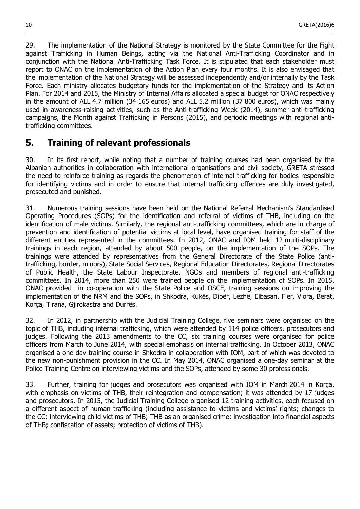29. The implementation of the National Strategy is monitored by the State Committee for the Fight against Trafficking in Human Beings, acting via the National Anti-Trafficking Coordinator and in conjunction with the National Anti-Trafficking Task Force. It is stipulated that each stakeholder must report to ONAC on the implementation of the Action Plan every four months. It is also envisaged that the implementation of the National Strategy will be assessed independently and/or internally by the Task Force. Each ministry allocates budgetary funds for the implementation of the Strategy and its Action Plan. For 2014 and 2015, the Ministry of Internal Affairs allocated a special budget for ONAC respectively in the amount of ALL 4.7 million (34 165 euros) and ALL 5.2 million (37 800 euros), which was mainly used in awareness-raising activities, such as the Anti-trafficking Week (2014), summer anti-trafficking campaigns, the Month against Trafficking in Persons (2015), and periodic meetings with regional antitrafficking committees.

\_\_\_\_\_\_\_\_\_\_\_\_\_\_\_\_\_\_\_\_\_\_\_\_\_\_\_\_\_\_\_\_\_\_\_\_\_\_\_\_\_\_\_\_\_\_\_\_\_\_\_\_\_\_\_\_\_\_\_\_\_\_\_\_\_\_\_\_\_\_\_\_\_\_\_\_\_\_\_\_\_\_\_\_\_\_\_\_\_\_\_\_\_\_\_\_\_\_\_\_\_\_\_

## <span id="page-9-0"></span>**5. Training of relevant professionals**

30. In its first report, while noting that a number of training courses had been organised by the Albanian authorities in collaboration with international organisations and civil society, GRETA stressed the need to reinforce training as regards the phenomenon of internal trafficking for bodies responsible for identifying victims and in order to ensure that internal trafficking offences are duly investigated, prosecuted and punished.

31. Numerous training sessions have been held on the National Referral Mechanism's Standardised Operating Procedures (SOPs) for the identification and referral of victims of THB, including on the identification of male victims. Similarly, the regional anti-trafficking committees, which are in charge of prevention and identification of potential victims at local level, have organised training for staff of the different entities represented in the committees. In 2012, ONAC and IOM held 12 multi-disciplinary trainings in each region, attended by about 500 people, on the implementation of the SOPs. The trainings were attended by representatives from the General Directorate of the State Police (antitrafficking, border, minors), State Social Services, Regional Education Directorates, Regional Directorates of Public Health, the State Labour Inspectorate, NGOs and members of regional anti-trafficking committees. In 2014, more than 250 were trained people on the implementation of SOPs. In 2015, ONAC provided in co-operation with the State Police and OSCE, training sessions on improving the implementation of the NRM and the SOPs, in Shkodra, Kukës, Dibër, Lezhë, Elbasan, Fier, Vlora, Berat, Korça, Tirana, Gjirokastra and Durrës.

32. In 2012, in partnership with the Judicial Training College, five seminars were organised on the topic of THB, including internal trafficking, which were attended by 114 police officers, prosecutors and judges. Following the 2013 amendments to the CC, six training courses were organised for police officers from March to June 2014, with special emphasis on internal trafficking. In October 2013, ONAC organised a one-day training course in Shkodra in collaboration with IOM, part of which was devoted to the new non-punishment provision in the CC. In May 2014, ONAC organised a one-day seminar at the Police Training Centre on interviewing victims and the SOPs, attended by some 30 professionals.

33. Further, training for judges and prosecutors was organised with IOM in March 2014 in Korça, with emphasis on victims of THB, their reintegration and compensation; it was attended by 17 judges and prosecutors. In 2015, the Judicial Training College organised 12 training activities, each focused on a different aspect of human trafficking (including assistance to victims and victims' rights; changes to the CC; interviewing child victims of THB; THB as an organised crime; investigation into financial aspects of THB; confiscation of assets; protection of victims of THB).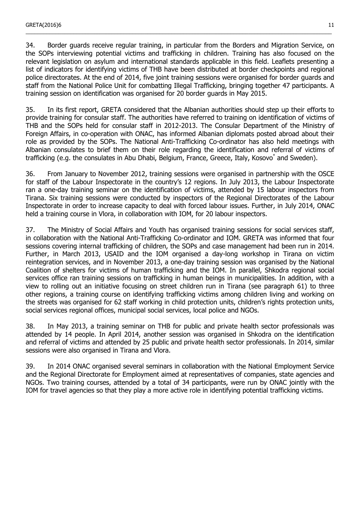34. Border guards receive regular training, in particular from the Borders and Migration Service, on the SOPs interviewing potential victims and trafficking in children. Training has also focused on the relevant legislation on asylum and international standards applicable in this field. Leaflets presenting a list of indicators for identifying victims of THB have been distributed at border checkpoints and regional police directorates. At the end of 2014, five joint training sessions were organised for border guards and staff from the National Police Unit for combatting Illegal Trafficking, bringing together 47 participants. A training session on identification was organised for 20 border guards in May 2015.

\_\_\_\_\_\_\_\_\_\_\_\_\_\_\_\_\_\_\_\_\_\_\_\_\_\_\_\_\_\_\_\_\_\_\_\_\_\_\_\_\_\_\_\_\_\_\_\_\_\_\_\_\_\_\_\_\_\_\_\_\_\_\_\_\_\_\_\_\_\_\_\_\_\_\_\_\_\_\_\_\_\_\_\_\_\_\_\_\_\_\_\_\_\_\_\_\_\_\_\_\_\_\_

35. In its first report, GRETA considered that the Albanian authorities should step up their efforts to provide training for consular staff. The authorities have referred to training on identification of victims of THB and the SOPs held for consular staff in 2012-2013. The Consular Department of the Ministry of Foreign Affairs, in co-operation with ONAC, has informed Albanian diplomats posted abroad about their role as provided by the SOPs. The National Anti-Trafficking Co-ordinator has also held meetings with Albanian consulates to brief them on their role regarding the identification and referral of victims of trafficking (e.g. the consulates in Abu Dhabi, Belgium, France, Greece, Italy, Kosovo<sup>\*</sup> and Sweden).

36. From January to November 2012, training sessions were organised in partnership with the OSCE for staff of the Labour Inspectorate in the country's 12 regions. In July 2013, the Labour Inspectorate ran a one-day training seminar on the identification of victims, attended by 15 labour inspectors from Tirana. Six training sessions were conducted by inspectors of the Regional Directorates of the Labour Inspectorate in order to increase capacity to deal with forced labour issues. Further, in July 2014, ONAC held a training course in Vlora, in collaboration with IOM, for 20 labour inspectors.

37. The Ministry of Social Affairs and Youth has organised training sessions for social services staff, in collaboration with the National Anti-Trafficking Co-ordinator and IOM. GRETA was informed that four sessions covering internal trafficking of children, the SOPs and case management had been run in 2014. Further, in March 2013, USAID and the IOM organised a day-long workshop in Tirana on victim reintegration services, and in November 2013, a one-day training session was organised by the National Coalition of shelters for victims of human trafficking and the IOM. In parallel, Shkodra regional social services office ran training sessions on trafficking in human beings in municipalities. In addition, with a view to rolling out an initiative focusing on street children run in Tirana (see paragraph 61) to three other regions, a training course on identifying trafficking victims among children living and working on the streets was organised for 62 staff working in child protection units, children's rights protection units, social services regional offices, municipal social services, local police and NGOs.

38. In May 2013, a training seminar on THB for public and private health sector professionals was attended by 14 people. In April 2014, another session was organised in Shkodra on the identification and referral of victims and attended by 25 public and private health sector professionals. In 2014, similar sessions were also organised in Tirana and Vlora.

39. In 2014 ONAC organised several seminars in collaboration with the National Employment Service and the Regional Directorate for Employment aimed at representatives of companies, state agencies and NGOs. Two training courses, attended by a total of 34 participants, were run by ONAC jointly with the IOM for travel agencies so that they play a more active role in identifying potential trafficking victims.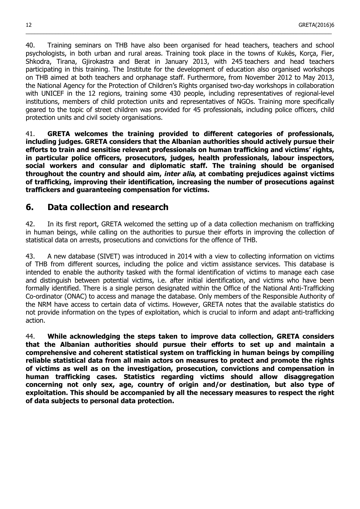40. Training seminars on THB have also been organised for head teachers, teachers and school psychologists, in both urban and rural areas. Training took place in the towns of Kukës, Korça, Fier, Shkodra, Tirana, Gjirokastra and Berat in January 2013, with 245 teachers and head teachers participating in this training. The Institute for the development of education also organised workshops on THB aimed at both teachers and orphanage staff. Furthermore, from November 2012 to May 2013, the National Agency for the Protection of Children's Rights organised two-day workshops in collaboration with UNICEF in the 12 regions, training some 430 people, including representatives of regional-level institutions, members of child protection units and representatives of NGOs. Training more specifically geared to the topic of street children was provided for 45 professionals, including police officers, child protection units and civil society organisations.

\_\_\_\_\_\_\_\_\_\_\_\_\_\_\_\_\_\_\_\_\_\_\_\_\_\_\_\_\_\_\_\_\_\_\_\_\_\_\_\_\_\_\_\_\_\_\_\_\_\_\_\_\_\_\_\_\_\_\_\_\_\_\_\_\_\_\_\_\_\_\_\_\_\_\_\_\_\_\_\_\_\_\_\_\_\_\_\_\_\_\_\_\_\_\_\_\_\_\_\_\_\_\_

41. **GRETA welcomes the training provided to different categories of professionals, including judges. GRETA considers that the Albanian authorities should actively pursue their efforts to train and sensitise relevant professionals on human trafficking and victims' rights, in particular police officers, prosecutors, judges, health professionals, labour inspectors, social workers and consular and diplomatic staff. The training should be organised throughout the country and should aim, inter alia, at combating prejudices against victims of trafficking, improving their identification, increasing the number of prosecutions against traffickers and guaranteeing compensation for victims.**

## <span id="page-11-0"></span>**6. Data collection and research**

42. In its first report, GRETA welcomed the setting up of a data collection mechanism on trafficking in human beings, while calling on the authorities to pursue their efforts in improving the collection of statistical data on arrests, prosecutions and convictions for the offence of THB.

43. A new database (SIVET) was introduced in 2014 with a view to collecting information on victims of THB from different sources, including the police and victim assistance services. This database is intended to enable the authority tasked with the formal identification of victims to manage each case and distinguish between potential victims, i.e. after initial identification, and victims who have been formally identified. There is a single person designated within the Office of the National Anti-Trafficking Co-ordinator (ONAC) to access and manage the database. Only members of the Responsible Authority of the NRM have access to certain data of victims. However, GRETA notes that the available statistics do not provide information on the types of exploitation, which is crucial to inform and adapt anti-trafficking action.

44. **While acknowledging the steps taken to improve data collection, GRETA considers that the Albanian authorities should pursue their efforts to set up and maintain a comprehensive and coherent statistical system on trafficking in human beings by compiling reliable statistical data from all main actors on measures to protect and promote the rights of victims as well as on the investigation, prosecution, convictions and compensation in human trafficking cases. Statistics regarding victims should allow disaggregation concerning not only sex, age, country of origin and/or destination, but also type of exploitation. This should be accompanied by all the necessary measures to respect the right of data subjects to personal data protection.**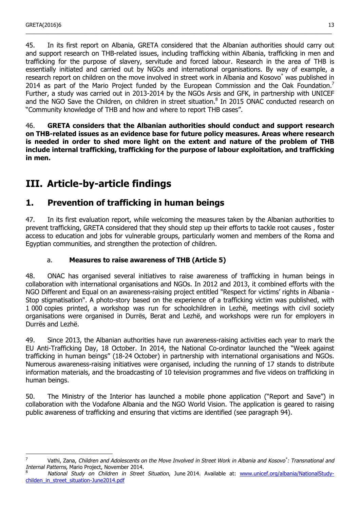$\overline{a}$ 

45. In its first report on Albania, GRETA considered that the Albanian authorities should carry out and support research on THB-related issues, including trafficking within Albania, trafficking in men and trafficking for the purpose of slavery, servitude and forced labour. Research in the area of THB is essentially initiated and carried out by NGOs and international organisations. By way of example, a research report on children on the move involved in street work in Albania and Kosovo\* was published in 2014 as part of the Mario Project funded by the European Commission and the Oak Foundation.<sup>[7](#page-12-3)</sup> Further, a study was carried out in 2013-2014 by the NGOs Arsis and GFK, in partnership with UNICEF and the NGO Save the Children, on children in street situation.<sup>[8](#page-12-4)</sup> In 2015 ONAC conducted research on "Community knowledge of THB and how and where to report THB cases".

\_\_\_\_\_\_\_\_\_\_\_\_\_\_\_\_\_\_\_\_\_\_\_\_\_\_\_\_\_\_\_\_\_\_\_\_\_\_\_\_\_\_\_\_\_\_\_\_\_\_\_\_\_\_\_\_\_\_\_\_\_\_\_\_\_\_\_\_\_\_\_\_\_\_\_\_\_\_\_\_\_\_\_\_\_\_\_\_\_\_\_\_\_\_\_\_\_\_\_\_\_\_\_

46. **GRETA considers that the Albanian authorities should conduct and support research on THB-related issues as an evidence base for future policy measures. Areas where research is needed in order to shed more light on the extent and nature of the problem of THB include internal trafficking, trafficking for the purpose of labour exploitation, and trafficking in men.**

# <span id="page-12-2"></span>**III. Article-by-article findings**

## <span id="page-12-1"></span>**1. Prevention of trafficking in human beings**

47. In its first evaluation report, while welcoming the measures taken by the Albanian authorities to prevent trafficking, GRETA considered that they should step up their efforts to tackle root causes , foster access to education and jobs for vulnerable groups, particularly women and members of the Roma and Egyptian communities, and strengthen the protection of children.

## a. **Measures to raise awareness of THB (Article 5)**

<span id="page-12-0"></span>48. ONAC has organised several initiatives to raise awareness of trafficking in human beings in collaboration with international organisations and NGOs. In 2012 and 2013, it combined efforts with the NGO Different and Equal on an awareness-raising project entitled "Respect for victims' rights in Albania - Stop stigmatisation". A photo-story based on the experience of a trafficking victim was published, with 1 000 copies printed, a workshop was run for schoolchildren in Lezhë, meetings with civil society organisations were organised in Durrës, Berat and Lezhë, and workshops were run for employers in Durrës and Lezhë.

49. Since 2013, the Albanian authorities have run awareness-raising activities each year to mark the EU Anti-Trafficking Day, 18 October. In 2014, the National Co-ordinator launched the "Week against trafficking in human beings" (18-24 October) in partnership with international organisations and NGOs. Numerous awareness-raising initiatives were organised, including the running of 17 stands to distribute information materials, and the broadcasting of 10 television programmes and five videos on trafficking in human beings.

50. The Ministry of the Interior has launched a mobile phone application ("Report and Save") in collaboration with the Vodafone Albania and the NGO World Vision. The application is geared to raising public awareness of trafficking and ensuring that victims are identified (see paragraph 94).

<span id="page-12-3"></span> $^7$  Vathi, Zana, Children and Adolescents on the Move Involved in Street Work in Albania and Kosovo<sup>\*</sup>: Transnational and Internal Patterns, Mario Project, November 2014.

<span id="page-12-4"></span>National Study on Children in Street Situation, June 2014. Available at: [www.unicef.org/albania/NationalStudy](http://www.unicef.org/albania/NationalStudy-childen_in_street_situation-June2014.pdf)[childen\\_in\\_street\\_situation-June2014.pdf](http://www.unicef.org/albania/NationalStudy-childen_in_street_situation-June2014.pdf)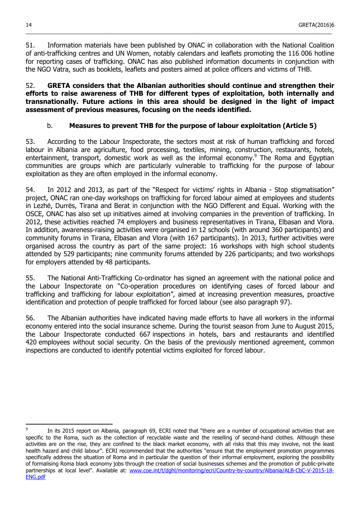51. Information materials have been published by ONAC in collaboration with the National Coalition of anti-trafficking centres and UN Women, notably calendars and leaflets promoting the 116 006 hotline for reporting cases of trafficking. ONAC has also published information documents in conjunction with the NGO Vatra, such as booklets, leaflets and posters aimed at police officers and victims of THB.

\_\_\_\_\_\_\_\_\_\_\_\_\_\_\_\_\_\_\_\_\_\_\_\_\_\_\_\_\_\_\_\_\_\_\_\_\_\_\_\_\_\_\_\_\_\_\_\_\_\_\_\_\_\_\_\_\_\_\_\_\_\_\_\_\_\_\_\_\_\_\_\_\_\_\_\_\_\_\_\_\_\_\_\_\_\_\_\_\_\_\_\_\_\_\_\_\_\_\_\_\_\_\_

52. **GRETA considers that the Albanian authorities should continue and strengthen their efforts to raise awareness of THB for different types of exploitation, both internally and transnationally. Future actions in this area should be designed in the light of impact assessment of previous measures, focusing on the needs identified.**

## b. **Measures to prevent THB for the purpose of labour exploitation (Article 5)**

<span id="page-13-0"></span>53. According to the Labour Inspectorate, the sectors most at risk of human trafficking and forced labour in Albania are agriculture, food processing, textiles, mining, construction, restaurants, hotels, entertainment, transport, domestic work as well as the informal economy.<sup>[9](#page-13-1)</sup> The Roma and Egyptian communities are groups which are particularly vulnerable to trafficking for the purpose of labour exploitation as they are often employed in the informal economy.

54. In 2012 and 2013, as part of the "Respect for victims' rights in Albania - Stop stigmatisation" project, ONAC ran one-day workshops on trafficking for forced labour aimed at employees and students in Lezhë, Durrës, Tirana and Berat in conjunction with the NGO Different and Equal. Working with the OSCE, ONAC has also set up initiatives aimed at involving companies in the prevention of trafficking. In 2012, these activities reached 74 employers and business representatives in Tirana, Elbasan and Vlora. In addition, awareness-raising activities were organised in 12 schools (with around 360 participants) and community forums in Tirana, Elbasan and Vlora (with 167 participants). In 2013, further activities were organised across the country as part of the same project: 16 workshops with high school students attended by 529 participants; nine community forums attended by 226 participants; and two workshops for employers attended by 48 participants.

55. The National Anti-Trafficking Co-ordinator has signed an agreement with the national police and the Labour Inspectorate on "Co-operation procedures on identifying cases of forced labour and trafficking and trafficking for labour exploitation", aimed at increasing prevention measures, proactive identification and protection of people trafficked for forced labour (see also paragraph 97).

56. The Albanian authorities have indicated having made efforts to have all workers in the informal economy entered into the social insurance scheme. During the tourist season from June to August 2015, the Labour Inspectorate conducted 667 inspections in hotels, bars and restaurants and identified 420 employees without social security. On the basis of the previously mentioned agreement, common inspections are conducted to identify potential victims exploited for forced labour.

<span id="page-13-1"></span>l 9 In its 2015 report on Albania, paragraph 69, ECRI noted that "there are a number of occupational activities that are specific to the Roma, such as the collection of recyclable waste and the reselling of second-hand clothes. Although these activities are on the rise, they are confined to the black market economy, with all risks that this may involve, not the least health hazard and child labour". ECRI recommended that the authorities "ensure that the employment promotion programmes specifically address the situation of Roma and in particular the question of their informal employment, exploring the possibility of formalising Roma black economy jobs through the creation of social businesses schemes and the promotion of public-private partnerships at local level". Available at: [www.coe.int/t/dghl/monitoring/ecri/Country-by-country/Albania/ALB-CbC-V-2015-18-](http://www.coe.int/t/dghl/monitoring/ecri/Country-by-country/Albania/ALB-CbC-V-2015-18-ENG.pdf) [ENG.pdf](http://www.coe.int/t/dghl/monitoring/ecri/Country-by-country/Albania/ALB-CbC-V-2015-18-ENG.pdf)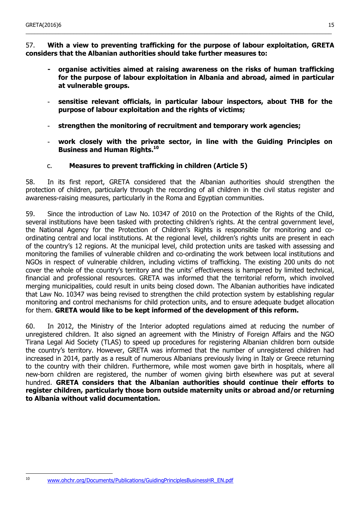57. **With a view to preventing trafficking for the purpose of labour exploitation, GRETA considers that the Albanian authorities should take further measures to:**

\_\_\_\_\_\_\_\_\_\_\_\_\_\_\_\_\_\_\_\_\_\_\_\_\_\_\_\_\_\_\_\_\_\_\_\_\_\_\_\_\_\_\_\_\_\_\_\_\_\_\_\_\_\_\_\_\_\_\_\_\_\_\_\_\_\_\_\_\_\_\_\_\_\_\_\_\_\_\_\_\_\_\_\_\_\_\_\_\_\_\_\_\_\_\_\_\_\_\_\_\_\_\_

- **- organise activities aimed at raising awareness on the risks of human trafficking for the purpose of labour exploitation in Albania and abroad, aimed in particular at vulnerable groups.**
- **sensitise relevant officials, in particular labour inspectors, about THB for the purpose of labour exploitation and the rights of victims;**
- **strengthen the monitoring of recruitment and temporary work agencies;**
- **work closely with the private sector, in line with the Guiding Principles on Business and Human Rights.[10](#page-14-1)**
- c. **Measures to prevent trafficking in children (Article 5)**

<span id="page-14-0"></span>58. In its first report, GRETA considered that the Albanian authorities should strengthen the protection of children, particularly through the recording of all children in the civil status register and awareness-raising measures, particularly in the Roma and Egyptian communities.

59. Since the introduction of Law No. 10347 of 2010 on the Protection of the Rights of the Child, several institutions have been tasked with protecting children's rights. At the central government level, the National Agency for the Protection of Children's Rights is responsible for monitoring and coordinating central and local institutions. At the regional level, children's rights units are present in each of the country's 12 regions. At the municipal level, child protection units are tasked with assessing and monitoring the families of vulnerable children and co-ordinating the work between local institutions and NGOs in respect of vulnerable children, including victims of trafficking. The existing 200 units do not cover the whole of the country's territory and the units' effectiveness is hampered by limited technical, financial and professional resources. GRETA was informed that the territorial reform, which involved merging municipalities, could result in units being closed down. The Albanian authorities have indicated that Law No. 10347 was being revised to strengthen the child protection system by establishing regular monitoring and control mechanisms for child protection units, and to ensure adequate budget allocation for them. **GRETA would like to be kept informed of the development of this reform.**

60. In 2012, the Ministry of the Interior adopted regulations aimed at reducing the number of unregistered children. It also signed an agreement with the Ministry of Foreign Affairs and the NGO Tirana Legal Aid Society (TLAS) to speed up procedures for registering Albanian children born outside the country's territory. However, GRETA was informed that the number of unregistered children had increased in 2014, partly as a result of numerous Albanians previously living in Italy or Greece returning to the country with their children. Furthermore, while most women gave birth in hospitals, where all new-born children are registered, the number of women giving birth elsewhere was put at several hundred. **GRETA considers that the Albanian authorities should continue their efforts to register children, particularly those born outside maternity units or abroad and/or returning to Albania without valid documentation.**

<span id="page-14-1"></span> $10$ 

[www.ohchr.org/Documents/Publications/GuidingPrinciplesBusinessHR\\_EN.pdf](http://www.ohchr.org/Documents/Publications/GuidingPrinciplesBusinessHR_EN.pdf)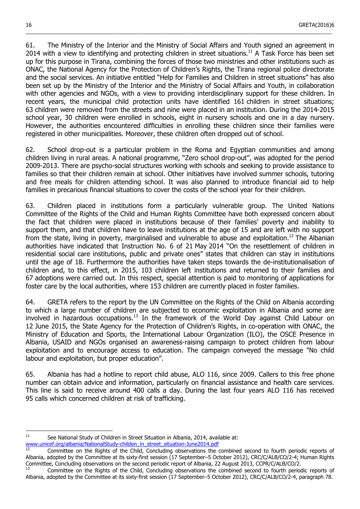61. The Ministry of the Interior and the Ministry of Social Affairs and Youth signed an agreement in 2014 with a view to identifying and protecting children in street situations.<sup>[11](#page-15-0)</sup> A Task Force has been set up for this purpose in Tirana, combining the forces of those two ministries and other institutions such as ONAC, the National Agency for the Protection of Children's Rights, the Tirana regional police directorate and the social services. An initiative entitled "Help for Families and Children in street situations" has also been set up by the Ministry of the Interior and the Ministry of Social Affairs and Youth, in collaboration with other agencies and NGOs, with a view to providing interdisciplinary support for these children. In recent years, the municipal child protection units have identified 161 children in street situations; 63 children were removed from the streets and nine were placed in an institution. During the 2014-2015 school year, 30 children were enrolled in schools, eight in nursery schools and one in a day nursery. However, the authorities encountered difficulties in enrolling these children since their families were registered in other municipalities. Moreover, these children often dropped out of school.

\_\_\_\_\_\_\_\_\_\_\_\_\_\_\_\_\_\_\_\_\_\_\_\_\_\_\_\_\_\_\_\_\_\_\_\_\_\_\_\_\_\_\_\_\_\_\_\_\_\_\_\_\_\_\_\_\_\_\_\_\_\_\_\_\_\_\_\_\_\_\_\_\_\_\_\_\_\_\_\_\_\_\_\_\_\_\_\_\_\_\_\_\_\_\_\_\_\_\_\_\_\_\_

62. School drop-out is a particular problem in the Roma and Egyptian communities and among children living in rural areas. A national programme, "Zero school drop-out", was adopted for the period 2009-2013. There are psycho-social structures working with schools and seeking to provide assistance to families so that their children remain at school. Other initiatives have involved summer schools, tutoring and free meals for children attending school. It was also planned to introduce financial aid to help families in precarious financial situations to cover the costs of the school year for their children.

63. Children placed in institutions form a particularly vulnerable group. The United Nations Committee of the Rights of the Child and Human Rights Committee have both expressed concern about the fact that children were placed in institutions because of their families' poverty and inability to support them, and that children have to leave institutions at the age of 15 and are left with no support from the state, living in poverty, marginalised and vulnerable to abuse and exploitation.<sup>[12](#page-15-1)</sup> The Albanian authorities have indicated that Instruction No. 6 of 21 May 2014 "On the resettlement of children in residential social care institutions, public and private ones" states that children can stay in institutions until the age of 18. Furthermore the authorities have taken steps towards the de-institutionalisation of children and, to this effect, in 2015, 103 children left institutions and returned to their families and 67 adoptions were carried out. In this respect, special attention is paid to monitoring of applications for foster care by the local authorities, where 153 children are currently placed in foster families.

64. GRETA refers to the report by the UN Committee on the Rights of the Child on Albania according to which a large number of children are subjected to economic exploitation in Albania and some are involved in hazardous occupations.<sup>[13](#page-15-2)</sup> In the framework of the World Day against Child Labour on 12 June 2015, the State Agency for the Protection of Children's Rights, in co-operation with ONAC, the Ministry of Education and Sports, the International Labour Organization (ILO), the OSCE Presence in Albania, USAID and NGOs organised an awareness-raising campaign to protect children from labour exploitation and to encourage access to education. The campaign conveyed the message "No child labour and exploitation, but proper education".

65. Albania has had a hotline to report child abuse, ALO 116, since 2009. Callers to this free phone number can obtain advice and information, particularly on financial assistance and health care services. This line is said to receive around 400 calls a day. During the last four years ALO 116 has received 95 calls which concerned children at risk of trafficking.

<span id="page-15-0"></span> $11$  See National Study of Children in Street Situation in Albania, 2014, available at:

[www.unicef.org/albania/NationalStudy-childen\\_in\\_street\\_situation-June2014.pdf](http://www.unicef.org/albania/NationalStudy-childen_in_street_situation-June2014.pdf)

l

<span id="page-15-1"></span><sup>12</sup> Committee on the Rights of the Child, Concluding observations the combined second to fourth periodic reports of Albania, adopted by the Committee at its sixty-first session (17 September–5 October 2012), CRC/C/ALB/CO/2-4; Human Rights Committee, Concluding observations on the second periodic report of Albania, 22 August 2013, CCPR/C/ALB/CO/2.

<span id="page-15-2"></span><sup>13</sup> Committee on the Rights of the Child, Concluding observations the combined second to fourth periodic reports of Albania, adopted by the Committee at its sixty-first session (17 September–5 October 2012), CRC/C/ALB/CO/2-4, paragraph 78.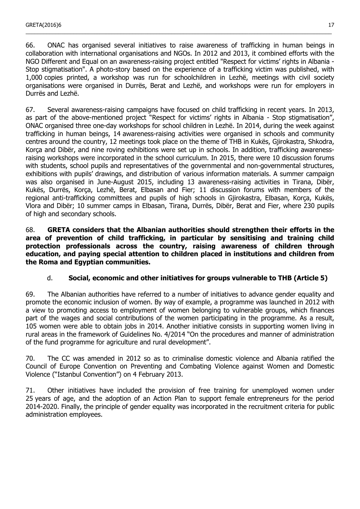66. ONAC has organised several initiatives to raise awareness of trafficking in human beings in collaboration with international organisations and NGOs. In 2012 and 2013, it combined efforts with the NGO Different and Equal on an awareness-raising project entitled "Respect for victims' rights in Albania - Stop stigmatisation". A photo-story based on the experience of a trafficking victim was published, with 1,000 copies printed, a workshop was run for schoolchildren in Lezhë, meetings with civil society organisations were organised in Durrës, Berat and Lezhë, and workshops were run for employers in Durrës and Lezhë.

\_\_\_\_\_\_\_\_\_\_\_\_\_\_\_\_\_\_\_\_\_\_\_\_\_\_\_\_\_\_\_\_\_\_\_\_\_\_\_\_\_\_\_\_\_\_\_\_\_\_\_\_\_\_\_\_\_\_\_\_\_\_\_\_\_\_\_\_\_\_\_\_\_\_\_\_\_\_\_\_\_\_\_\_\_\_\_\_\_\_\_\_\_\_\_\_\_\_\_\_\_\_\_

67. Several awareness-raising campaigns have focused on child trafficking in recent years. In 2013, as part of the above-mentioned project "Respect for victims' rights in Albania - Stop stigmatisation", ONAC organised three one-day workshops for school children in Lezhë. In 2014, during the week against trafficking in human beings, 14 awareness-raising activities were organised in schools and community centres around the country, 12 meetings took place on the theme of THB in Kukës, Gjirokastra, Shkodra, Korça and Dibër, and nine roving exhibitions were set up in schools. In addition, trafficking awarenessraising workshops were incorporated in the school curriculum. In 2015, there were 10 discussion forums with students, school pupils and representatives of the governmental and non-governmental structures, exhibitions with pupils' drawings, and distribution of various information materials. A summer campaign was also organised in June-August 2015, including 13 awareness-raising activities in Tirana, Dibër, Kukës, Durrës, Korça, Lezhë, Berat, Elbasan and Fier; 11 discussion forums with members of the regional anti-trafficking committees and pupils of high schools in Gjirokastra, Elbasan, Korça, Kukës, Vlora and Dibër; 10 summer camps in Elbasan, Tirana, Durrës, Dibër, Berat and Fier, where 230 pupils of high and secondary schools.

68. **GRETA considers that the Albanian authorities should strengthen their efforts in the area of prevention of child trafficking, in particular by sensitising and training child protection professionals across the country, raising awareness of children through education, and paying special attention to children placed in institutions and children from the Roma and Egyptian communities.**

### d. **Social, economic and other initiatives for groups vulnerable to THB (Article 5)**

<span id="page-16-0"></span>69. The Albanian authorities have referred to a number of initiatives to advance gender equality and promote the economic inclusion of women. By way of example, a programme was launched in 2012 with a view to promoting access to employment of women belonging to vulnerable groups, which finances part of the wages and social contributions of the women participating in the programme. As a result, 105 women were able to obtain jobs in 2014. Another initiative consists in supporting women living in rural areas in the framework of Guidelines No. 4/2014 "On the procedures and manner of administration of the fund programme for agriculture and rural development".

70. The CC was amended in 2012 so as to criminalise domestic violence and Albania ratified the Council of Europe Convention on Preventing and Combating Violence against Women and Domestic Violence ("Istanbul Convention") on 4 February 2013.

71. Other initiatives have included the provision of free training for unemployed women under 25 years of age, and the adoption of an Action Plan to support female entrepreneurs for the period 2014-2020. Finally, the principle of gender equality was incorporated in the recruitment criteria for public administration employees.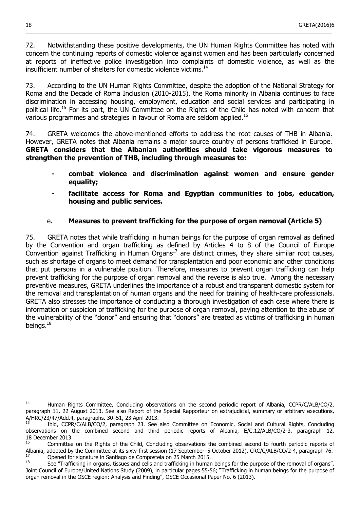72. Notwithstanding these positive developments, the UN Human Rights Committee has noted with concern the continuing reports of domestic violence against women and has been particularly concerned at reports of ineffective police investigation into complaints of domestic violence, as well as the insufficient number of shelters for domestic violence victims.<sup>[14](#page-17-1)</sup>

\_\_\_\_\_\_\_\_\_\_\_\_\_\_\_\_\_\_\_\_\_\_\_\_\_\_\_\_\_\_\_\_\_\_\_\_\_\_\_\_\_\_\_\_\_\_\_\_\_\_\_\_\_\_\_\_\_\_\_\_\_\_\_\_\_\_\_\_\_\_\_\_\_\_\_\_\_\_\_\_\_\_\_\_\_\_\_\_\_\_\_\_\_\_\_\_\_\_\_\_\_\_\_

73. According to the UN Human Rights Committee, despite the adoption of the National Strategy for Roma and the Decade of Roma Inclusion (2010-2015), the Roma minority in Albania continues to face discrimination in accessing housing, employment, education and social services and participating in political life.<sup>[15](#page-17-2)</sup> For its part, the UN Committee on the Rights of the Child has noted with concern that various programmes and strategies in favour of Roma are seldom applied.[16](#page-17-3)

74. GRETA welcomes the above-mentioned efforts to address the root causes of THB in Albania. However, GRETA notes that Albania remains a major source country of persons trafficked in Europe. **GRETA considers that the Albanian authorities should take vigorous measures to strengthen the prevention of THB, including through measures to:** 

- **- combat violence and discrimination against women and ensure gender equality;**
- **- facilitate access for Roma and Egyptian communities to jobs, education, housing and public services.**

## e. **Measures to prevent trafficking for the purpose of organ removal (Article 5)**

<span id="page-17-0"></span>75. GRETA notes that while trafficking in human beings for the purpose of organ removal as defined by the Convention and organ trafficking as defined by Articles 4 to 8 of the Council of Europe  $\overrightarrow{C}$  Convention against Trafficking in Human Organs<sup>[17](#page-17-4)</sup> are distinct crimes, they share similar root causes, such as shortage of organs to meet demand for transplantation and poor economic and other conditions that put persons in a vulnerable position. Therefore, measures to prevent organ trafficking can help prevent trafficking for the purpose of organ removal and the reverse is also true. Among the necessary preventive measures, GRETA underlines the importance of a robust and transparent domestic system for the removal and transplantation of human organs and the need for training of health-care professionals. GRETA also stresses the importance of conducting a thorough investigation of each case where there is information or suspicion of trafficking for the purpose of organ removal, paying attention to the abuse of the vulnerability of the "donor" and ensuring that "donors" are treated as victims of trafficking in human beings. $18$ 

l

<span id="page-17-1"></span><sup>14</sup> Human Rights Committee, Concluding observations on the second periodic report of Albania, CCPR/C/ALB/CO/2, paragraph 11, 22 August 2013. See also Report of the Special Rapporteur on extrajudicial, summary or arbitrary executions, A/HRC/23/47/Add.4, paragraphs. 30–51, 23 April 2013.

<span id="page-17-2"></span><sup>15</sup> Ibid, CCPR/C/ALB/CO/2, paragraph 23. See also Committee on Economic, Social and Cultural Rights, Concluding observations on the combined second and third periodic reports of Albania, E/C.12/ALB/CO/2-3, paragraph 12, 18 December 2013.

<span id="page-17-3"></span><sup>16</sup> Committee on the Rights of the Child, Concluding observations the combined second to fourth periodic reports of Albania, adopted by the Committee at its sixty-first session (17 September–5 October 2012), CRC/C/ALB/CO/2-4, paragraph 76. <sup>17</sup> Opened for signature in Santiago de Compostela on 25 March 2015.

<span id="page-17-5"></span><span id="page-17-4"></span>See "Trafficking in organs, tissues and cells and trafficking in human beings for the purpose of the removal of organs", Joint Council of Europe/United Nations Study (2009), in particular pages 55-56; "Trafficking in human beings for the purpose of organ removal in the OSCE region: Analysis and Finding", OSCE Occasional Paper No. 6 (2013).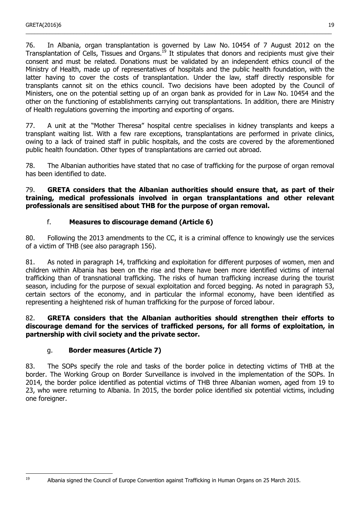76. In Albania, organ transplantation is governed by Law No. 10454 of 7 August 2012 on the Transplantation of Cells, Tissues and Organs.[19](#page-18-2) It stipulates that donors and recipients must give their consent and must be related. Donations must be validated by an independent ethics council of the Ministry of Health, made up of representatives of hospitals and the public health foundation, with the latter having to cover the costs of transplantation. Under the law, staff directly responsible for transplants cannot sit on the ethics council. Two decisions have been adopted by the Council of Ministers, one on the potential setting up of an organ bank as provided for in Law No. 10454 and the other on the functioning of establishments carrying out transplantations. In addition, there are Ministry of Health regulations governing the importing and exporting of organs.

\_\_\_\_\_\_\_\_\_\_\_\_\_\_\_\_\_\_\_\_\_\_\_\_\_\_\_\_\_\_\_\_\_\_\_\_\_\_\_\_\_\_\_\_\_\_\_\_\_\_\_\_\_\_\_\_\_\_\_\_\_\_\_\_\_\_\_\_\_\_\_\_\_\_\_\_\_\_\_\_\_\_\_\_\_\_\_\_\_\_\_\_\_\_\_\_\_\_\_\_\_\_\_

77. A unit at the "Mother Theresa" hospital centre specialises in kidney transplants and keeps a transplant waiting list. With a few rare exceptions, transplantations are performed in private clinics, owing to a lack of trained staff in public hospitals, and the costs are covered by the aforementioned public health foundation. Other types of transplantations are carried out abroad.

78. The Albanian authorities have stated that no case of trafficking for the purpose of organ removal has been identified to date.

79. **GRETA considers that the Albanian authorities should ensure that, as part of their training, medical professionals involved in organ transplantations and other relevant professionals are sensitised about THB for the purpose of organ removal.**

## f. **Measures to discourage demand (Article 6)**

<span id="page-18-1"></span>80. Following the 2013 amendments to the CC, it is a criminal offence to knowingly use the services of a victim of THB (see also paragraph 156).

81. As noted in paragraph 14, trafficking and exploitation for different purposes of women, men and children within Albania has been on the rise and there have been more identified victims of internal trafficking than of transnational trafficking. The risks of human trafficking increase during the tourist season, including for the purpose of sexual exploitation and forced begging. As noted in paragraph 53, certain sectors of the economy, and in particular the informal economy, have been identified as representing a heightened risk of human trafficking for the purpose of forced labour.

### 82. **GRETA considers that the Albanian authorities should strengthen their efforts to discourage demand for the services of trafficked persons, for all forms of exploitation, in partnership with civil society and the private sector.**

### g. **Border measures (Article 7)**

<span id="page-18-0"></span>83. The SOPs specify the role and tasks of the border police in detecting victims of THB at the border. The Working Group on Border Surveillance is involved in the implementation of the SOPs. In 2014, the border police identified as potential victims of THB three Albanian women, aged from 19 to 23, who were returning to Albania. In 2015, the border police identified six potential victims, including one foreigner.

<span id="page-18-2"></span>19

<sup>19</sup> Albania signed the Council of Europe Convention against Trafficking in Human Organs on 25 March 2015.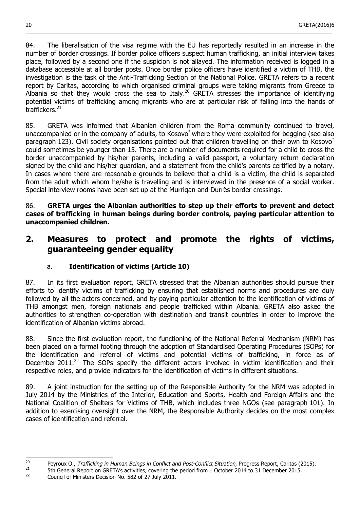84. The liberalisation of the visa regime with the EU has reportedly resulted in an increase in the number of border crossings. If border police officers suspect human trafficking, an initial interview takes place, followed by a second one if the suspicion is not allayed. The information received is logged in a database accessible at all border posts. Once border police officers have identified a victim of THB, the investigation is the task of the Anti-Trafficking Section of the National Police. GRETA refers to a recent report by Caritas, according to which organised criminal groups were taking migrants from Greece to Albania so that they would cross the sea to Italy.<sup>[20](#page-19-2)</sup> GRETA stresses the importance of identifying potential victims of trafficking among migrants who are at particular risk of falling into the hands of traffickers.<sup>[21](#page-19-3)</sup>

\_\_\_\_\_\_\_\_\_\_\_\_\_\_\_\_\_\_\_\_\_\_\_\_\_\_\_\_\_\_\_\_\_\_\_\_\_\_\_\_\_\_\_\_\_\_\_\_\_\_\_\_\_\_\_\_\_\_\_\_\_\_\_\_\_\_\_\_\_\_\_\_\_\_\_\_\_\_\_\_\_\_\_\_\_\_\_\_\_\_\_\_\_\_\_\_\_\_\_\_\_\_\_

85. GRETA was informed that Albanian children from the Roma community continued to travel, unaccompanied or in the company of adults, to Kosovo\* where they were exploited for begging (see also paragraph 123). Civil society organisations pointed out that children travelling on their own to Kosovo\* could sometimes be younger than 15. There are a number of documents required for a child to cross the border unaccompanied by his/her parents, including a valid passport, a voluntary return declaration signed by the child and his/her guardian, and a statement from the child's parents certified by a notary. In cases where there are reasonable grounds to believe that a child is a victim, the child is separated from the adult which whom he/she is travelling and is interviewed in the presence of a social worker. Special interview rooms have been set up at the Murriqan and Durrës border crossings.

86. **GRETA urges the Albanian authorities to step up their efforts to prevent and detect cases of trafficking in human beings during border controls, paying particular attention to unaccompanied children.**

## <span id="page-19-1"></span>**2. Measures to protect and promote the rights of victims, guaranteeing gender equality**

## a. **Identification of victims (Article 10)**

<span id="page-19-0"></span>87. In its first evaluation report, GRETA stressed that the Albanian authorities should pursue their efforts to identify victims of trafficking by ensuring that established norms and procedures are duly followed by all the actors concerned, and by paying particular attention to the identification of victims of THB amongst men, foreign nationals and people trafficked within Albania. GRETA also asked the authorities to strengthen co-operation with destination and transit countries in order to improve the identification of Albanian victims abroad.

88. Since the first evaluation report, the functioning of the National Referral Mechanism (NRM) has been placed on a formal footing through the adoption of Standardised Operating Procedures (SOPs) for the identification and referral of victims and potential victims of trafficking, in force as of December 2011.<sup>[22](#page-19-4)</sup> The SOPs specify the different actors involved in victim identification and their respective roles, and provide indicators for the identification of victims in different situations.

89. A joint instruction for the setting up of the Responsible Authority for the NRM was adopted in July 2014 by the Ministries of the Interior, Education and Sports, Health and Foreign Affairs and the National Coalition of Shelters for Victims of THB, which includes three NGOs (see paragraph 101). In addition to exercising oversight over the NRM, the Responsible Authority decides on the most complex cases of identification and referral.

<span id="page-19-2"></span> $20$ <sup>20</sup> Peyroux O., Trafficking in Human Beings in Conflict and Post-Conflict Situation, Progress Report, Caritas (2015).<br><sup>21</sup> Eth Conoral Bonest on CBETA's activities, sovering the period from 1 October 2014 to 21 Desember

<span id="page-19-4"></span><span id="page-19-3"></span><sup>&</sup>lt;sup>21</sup> 5th General Report on GRETA's activities, covering the period from 1 October 2014 to 31 December 2015.

<sup>22</sup> Council of Ministers Decision No. 582 of 27 July 2011.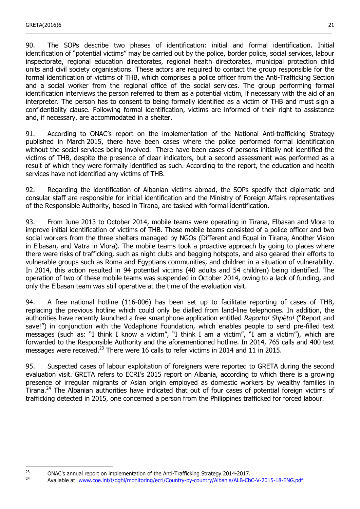90. The SOPs describe two phases of identification: initial and formal identification. Initial identification of "potential victims" may be carried out by the police, border police, social services, labour inspectorate, regional education directorates, regional health directorates, municipal protection child units and civil society organisations. These actors are required to contact the group responsible for the formal identification of victims of THB, which comprises a police officer from the Anti-Trafficking Section and a social worker from the regional office of the social services. The group performing formal identification interviews the person referred to them as a potential victim, if necessary with the aid of an interpreter. The person has to consent to being formally identified as a victim of THB and must sign a confidentiality clause. Following formal identification, victims are informed of their right to assistance and, if necessary, are accommodated in a shelter.

\_\_\_\_\_\_\_\_\_\_\_\_\_\_\_\_\_\_\_\_\_\_\_\_\_\_\_\_\_\_\_\_\_\_\_\_\_\_\_\_\_\_\_\_\_\_\_\_\_\_\_\_\_\_\_\_\_\_\_\_\_\_\_\_\_\_\_\_\_\_\_\_\_\_\_\_\_\_\_\_\_\_\_\_\_\_\_\_\_\_\_\_\_\_\_\_\_\_\_\_\_\_\_

91. According to ONAC's report on the implementation of the National Anti-trafficking Strategy published in March 2015, there have been cases where the police performed formal identification without the social services being involved. There have been cases of persons initially not identified the victims of THB, despite the presence of clear indicators, but a second assessment was performed as a result of which they were formally identified as such. According to the report, the education and health services have not identified any victims of THB.

92. Regarding the identification of Albanian victims abroad, the SOPs specify that diplomatic and consular staff are responsible for initial identification and the Ministry of Foreign Affairs representatives of the Responsible Authority, based in Tirana, are tasked with formal identification.

93. From June 2013 to October 2014, mobile teams were operating in Tirana, Elbasan and Vlora to improve initial identification of victims of THB. These mobile teams consisted of a police officer and two social workers from the three shelters managed by NGOs (Different and Equal in Tirana, Another Vision in Elbasan, and Vatra in Vlora). The mobile teams took a proactive approach by going to places where there were risks of trafficking, such as night clubs and begging hotspots, and also geared their efforts to vulnerable groups such as Roma and Egyptians communities, and children in a situation of vulnerability. In 2014, this action resulted in 94 potential victims (40 adults and 54 children) being identified. The operation of two of these mobile teams was suspended in October 2014, owing to a lack of funding, and only the Elbasan team was still operative at the time of the evaluation visit.

94. A free national hotline (116-006) has been set up to facilitate reporting of cases of THB, replacing the previous hotline which could only be dialled from land-line telephones. In addition, the authorities have recently launched a free smartphone application entitled Raporto! Shpëto! ("Report and save!") in conjunction with the Vodaphone Foundation, which enables people to send pre-filled text messages (such as: "I think I know a victim", "I think I am a victim", "I am a victim"), which are forwarded to the Responsible Authority and the aforementioned hotline. In 2014, 765 calls and 400 text messages were received.<sup>[23](#page-20-0)</sup> There were 16 calls to refer victims in 2014 and 11 in 2015.

95. Suspected cases of labour exploitation of foreigners were reported to GRETA during the second evaluation visit. GRETA refers to ECRI's 2015 report on Albania, according to which there is a growing presence of irregular migrants of Asian origin employed as domestic workers by wealthy families in Tirana.[24](#page-20-1) The Albanian authorities have indicated that out of four cases of potential foreign victims of trafficking detected in 2015, one concerned a person from the Philippines trafficked for forced labour.

<sup>24</sup> Available at: [www.coe.int/t/dghl/monitoring/ecri/Country-by-country/Albania/ALB-CbC-V-2015-18-ENG.pdf](http://www.coe.int/t/dghl/monitoring/ecri/Country-by-country/Albania/ALB-CbC-V-2015-18-ENG.pdf)

<span id="page-20-1"></span><span id="page-20-0"></span> $23$ <sup>23</sup> ONAC's annual report on implementation of the Anti-Trafficking Strategy 2014-2017.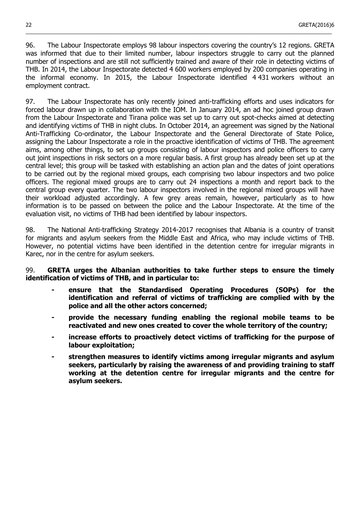96. The Labour Inspectorate employs 98 labour inspectors covering the country's 12 regions. GRETA was informed that due to their limited number, labour inspectors struggle to carry out the planned number of inspections and are still not sufficiently trained and aware of their role in detecting victims of THB. In 2014, the Labour Inspectorate detected 4 600 workers employed by 200 companies operating in the informal economy. In 2015, the Labour Inspectorate identified 4 431 workers without an employment contract.

\_\_\_\_\_\_\_\_\_\_\_\_\_\_\_\_\_\_\_\_\_\_\_\_\_\_\_\_\_\_\_\_\_\_\_\_\_\_\_\_\_\_\_\_\_\_\_\_\_\_\_\_\_\_\_\_\_\_\_\_\_\_\_\_\_\_\_\_\_\_\_\_\_\_\_\_\_\_\_\_\_\_\_\_\_\_\_\_\_\_\_\_\_\_\_\_\_\_\_\_\_\_\_

97. The Labour Inspectorate has only recently joined anti-trafficking efforts and uses indicators for forced labour drawn up in collaboration with the IOM. In January 2014, an ad hoc joined group drawn from the Labour Inspectorate and Tirana police was set up to carry out spot-checks aimed at detecting and identifying victims of THB in night clubs. In October 2014, an agreement was signed by the National Anti-Trafficking Co-ordinator, the Labour Inspectorate and the General Directorate of State Police, assigning the Labour Inspectorate a role in the proactive identification of victims of THB. The agreement aims, among other things, to set up groups consisting of labour inspectors and police officers to carry out joint inspections in risk sectors on a more regular basis. A first group has already been set up at the central level; this group will be tasked with establishing an action plan and the dates of joint operations to be carried out by the regional mixed groups, each comprising two labour inspectors and two police officers. The regional mixed groups are to carry out 24 inspections a month and report back to the central group every quarter. The two labour inspectors involved in the regional mixed groups will have their workload adjusted accordingly. A few grey areas remain, however, particularly as to how information is to be passed on between the police and the Labour Inspectorate. At the time of the evaluation visit, no victims of THB had been identified by labour inspectors.

98. The National Anti-trafficking Strategy 2014-2017 recognises that Albania is a country of transit for migrants and asylum seekers from the Middle East and Africa, who may include victims of THB. However, no potential victims have been identified in the detention centre for irregular migrants in Karec, nor in the centre for asylum seekers.

99. **GRETA urges the Albanian authorities to take further steps to ensure the timely identification of victims of THB, and in particular to:**

- **- ensure that the Standardised Operating Procedures (SOPs) for the identification and referral of victims of trafficking are complied with by the police and all the other actors concerned;**
- **- provide the necessary funding enabling the regional mobile teams to be reactivated and new ones created to cover the whole territory of the country;**
- **- increase efforts to proactively detect victims of trafficking for the purpose of labour exploitation;**
- **- strengthen measures to identify victims among irregular migrants and asylum seekers, particularly by raising the awareness of and providing training to staff working at the detention centre for irregular migrants and the centre for asylum seekers.**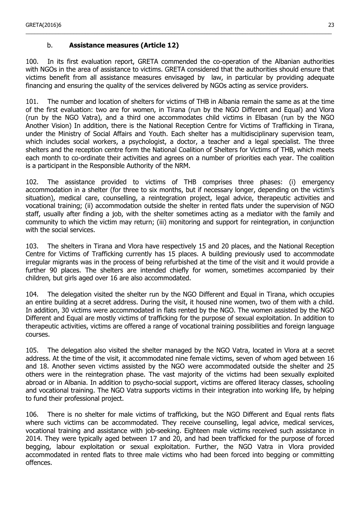## b. **Assistance measures (Article 12)**

100. In its first evaluation report, GRETA commended the co-operation of the Albanian authorities with NGOs in the area of assistance to victims. GRETA considered that the authorities should ensure that victims benefit from all assistance measures envisaged by law, in particular by providing adequate financing and ensuring the quality of the services delivered by NGOs acting as service providers.

<span id="page-22-0"></span>\_\_\_\_\_\_\_\_\_\_\_\_\_\_\_\_\_\_\_\_\_\_\_\_\_\_\_\_\_\_\_\_\_\_\_\_\_\_\_\_\_\_\_\_\_\_\_\_\_\_\_\_\_\_\_\_\_\_\_\_\_\_\_\_\_\_\_\_\_\_\_\_\_\_\_\_\_\_\_\_\_\_\_\_\_\_\_\_\_\_\_\_\_\_\_\_\_\_\_\_\_\_\_

101. The number and location of shelters for victims of THB in Albania remain the same as at the time of the first evaluation: two are for women, in Tirana (run by the NGO Different and Equal) and Vlora (run by the NGO Vatra), and a third one accommodates child victims in Elbasan (run by the NGO Another Vision) In addition, there is the National Reception Centre for Victims of Trafficking in Tirana, under the Ministry of Social Affairs and Youth. Each shelter has a multidisciplinary supervision team, which includes social workers, a psychologist, a doctor, a teacher and a legal specialist. The three shelters and the reception centre form the National Coalition of Shelters for Victims of THB, which meets each month to co-ordinate their activities and agrees on a number of priorities each year. The coalition is a participant in the Responsible Authority of the NRM.

102. The assistance provided to victims of THB comprises three phases: (i) emergency accommodation in a shelter (for three to six months, but if necessary longer, depending on the victim's situation), medical care, counselling, a reintegration project, legal advice, therapeutic activities and vocational training; (ii) accommodation outside the shelter in rented flats under the supervision of NGO staff, usually after finding a job, with the shelter sometimes acting as a mediator with the family and community to which the victim may return; (iii) monitoring and support for reintegration, in conjunction with the social services.

103. The shelters in Tirana and Vlora have respectively 15 and 20 places, and the National Reception Centre for Victims of Trafficking currently has 15 places. A building previously used to accommodate irregular migrants was in the process of being refurbished at the time of the visit and it would provide a further 90 places. The shelters are intended chiefly for women, sometimes accompanied by their children, but girls aged over 16 are also accommodated.

104. The delegation visited the shelter run by the NGO Different and Equal in Tirana, which occupies an entire building at a secret address. During the visit, it housed nine women, two of them with a child. In addition, 30 victims were accommodated in flats rented by the NGO. The women assisted by the NGO Different and Equal are mostly victims of trafficking for the purpose of sexual exploitation. In addition to therapeutic activities, victims are offered a range of vocational training possibilities and foreign language courses.

105. The delegation also visited the shelter managed by the NGO Vatra, located in Vlora at a secret address. At the time of the visit, it accommodated nine female victims, seven of whom aged between 16 and 18. Another seven victims assisted by the NGO were accommodated outside the shelter and 25 others were in the reintegration phase. The vast majority of the victims had been sexually exploited abroad or in Albania. In addition to psycho-social support, victims are offered literacy classes, schooling and vocational training. The NGO Vatra supports victims in their integration into working life, by helping to fund their professional project.

106. There is no shelter for male victims of trafficking, but the NGO Different and Equal rents flats where such victims can be accommodated. They receive counselling, legal advice, medical services, vocational training and assistance with job-seeking. Eighteen male victims received such assistance in 2014. They were typically aged between 17 and 20, and had been trafficked for the purpose of forced begging, labour exploitation or sexual exploitation. Further, the NGO Vatra in Vlora provided accommodated in rented flats to three male victims who had been forced into begging or committing offences.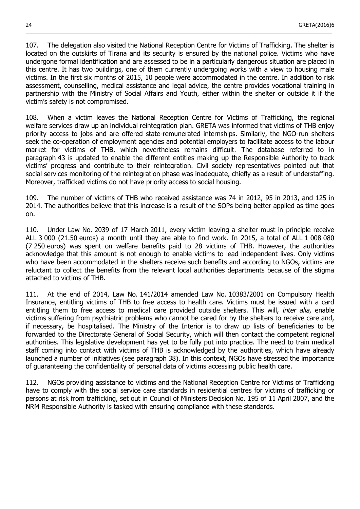107. The delegation also visited the National Reception Centre for Victims of Trafficking. The shelter is located on the outskirts of Tirana and its security is ensured by the national police. Victims who have undergone formal identification and are assessed to be in a particularly dangerous situation are placed in this centre. It has two buildings, one of them currently undergoing works with a view to housing male victims. In the first six months of 2015, 10 people were accommodated in the centre. In addition to risk assessment, counselling, medical assistance and legal advice, the centre provides vocational training in partnership with the Ministry of Social Affairs and Youth, either within the shelter or outside it if the victim's safety is not compromised.

\_\_\_\_\_\_\_\_\_\_\_\_\_\_\_\_\_\_\_\_\_\_\_\_\_\_\_\_\_\_\_\_\_\_\_\_\_\_\_\_\_\_\_\_\_\_\_\_\_\_\_\_\_\_\_\_\_\_\_\_\_\_\_\_\_\_\_\_\_\_\_\_\_\_\_\_\_\_\_\_\_\_\_\_\_\_\_\_\_\_\_\_\_\_\_\_\_\_\_\_\_\_\_

108. When a victim leaves the National Reception Centre for Victims of Trafficking, the regional welfare services draw up an individual reintegration plan. GRETA was informed that victims of THB enjoy priority access to jobs and are offered state-remunerated internships. Similarly, the NGO-run shelters seek the co-operation of employment agencies and potential employers to facilitate access to the labour market for victims of THB, which nevertheless remains difficult. The database referred to in paragraph 43 is updated to enable the different entities making up the Responsible Authority to track victims' progress and contribute to their reintegration. Civil society representatives pointed out that social services monitoring of the reintegration phase was inadequate, chiefly as a result of understaffing. Moreover, trafficked victims do not have priority access to social housing.

109. The number of victims of THB who received assistance was 74 in 2012, 95 in 2013, and 125 in 2014. The authorities believe that this increase is a result of the SOPs being better applied as time goes on.

110. Under Law No. 2039 of 17 March 2011, every victim leaving a shelter must in principle receive ALL 3 000 (21.50 euros) a month until they are able to find work. In 2015, a total of ALL 1 008 080 (7 250 euros) was spent on welfare benefits paid to 28 victims of THB. However, the authorities acknowledge that this amount is not enough to enable victims to lead independent lives. Only victims who have been accommodated in the shelters receive such benefits and according to NGOs, victims are reluctant to collect the benefits from the relevant local authorities departments because of the stigma attached to victims of THB.

111. At the end of 2014, Law No. 141/2014 amended Law No. 10383/2001 on Compulsory Health Insurance, entitling victims of THB to free access to health care. Victims must be issued with a card entitling them to free access to medical care provided outside shelters. This will, *inter alia*, enable victims suffering from psychiatric problems who cannot be cared for by the shelters to receive care and, if necessary, be hospitalised. The Ministry of the Interior is to draw up lists of beneficiaries to be forwarded to the Directorate General of Social Security, which will then contact the competent regional authorities. This legislative development has yet to be fully put into practice. The need to train medical staff coming into contact with victims of THB is acknowledged by the authorities, which have already launched a number of initiatives (see paragraph 38). In this context, NGOs have stressed the importance of guaranteeing the confidentiality of personal data of victims accessing public health care.

112. NGOs providing assistance to victims and the National Reception Centre for Victims of Trafficking have to comply with the social service care standards in residential centres for victims of trafficking or persons at risk from trafficking, set out in Council of Ministers Decision No. 195 of 11 April 2007, and the NRM Responsible Authority is tasked with ensuring compliance with these standards.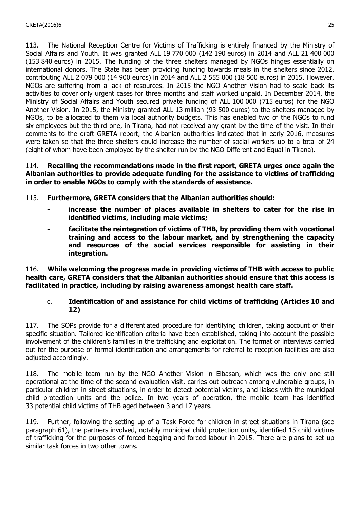113. The National Reception Centre for Victims of Trafficking is entirely financed by the Ministry of Social Affairs and Youth. It was granted ALL 19 770 000 (142 190 euros) in 2014 and ALL 21 400 000 (153 840 euros) in 2015. The funding of the three shelters managed by NGOs hinges essentially on international donors. The State has been providing funding towards meals in the shelters since 2012, contributing ALL 2 079 000 (14 900 euros) in 2014 and ALL 2 555 000 (18 500 euros) in 2015. However, NGOs are suffering from a lack of resources. In 2015 the NGO Another Vision had to scale back its activities to cover only urgent cases for three months and staff worked unpaid. In December 2014, the Ministry of Social Affairs and Youth secured private funding of ALL 100 000 (715 euros) for the NGO Another Vision. In 2015, the Ministry granted ALL 13 million (93 500 euros) to the shelters managed by NGOs, to be allocated to them via local authority budgets. This has enabled two of the NGOs to fund six employees but the third one, in Tirana, had not received any grant by the time of the visit. In their comments to the draft GRETA report, the Albanian authorities indicated that in early 2016, measures were taken so that the three shelters could increase the number of social workers up to a total of 24 (eight of whom have been employed by the shelter run by the NGO Different and Equal in Tirana).

\_\_\_\_\_\_\_\_\_\_\_\_\_\_\_\_\_\_\_\_\_\_\_\_\_\_\_\_\_\_\_\_\_\_\_\_\_\_\_\_\_\_\_\_\_\_\_\_\_\_\_\_\_\_\_\_\_\_\_\_\_\_\_\_\_\_\_\_\_\_\_\_\_\_\_\_\_\_\_\_\_\_\_\_\_\_\_\_\_\_\_\_\_\_\_\_\_\_\_\_\_\_\_

#### 114. **Recalling the recommendations made in the first report, GRETA urges once again the Albanian authorities to provide adequate funding for the assistance to victims of trafficking in order to enable NGOs to comply with the standards of assistance.**

115. **Furthermore, GRETA considers that the Albanian authorities should:**

- **- increase the number of places available in shelters to cater for the rise in identified victims, including male victims;**
- **- facilitate the reintegration of victims of THB, by providing them with vocational training and access to the labour market, and by strengthening the capacity and resources of the social services responsible for assisting in their integration.**

116. **While welcoming the progress made in providing victims of THB with access to public health care, GRETA considers that the Albanian authorities should ensure that this access is facilitated in practice, including by raising awareness amongst health care staff.**

### c. **Identification of and assistance for child victims of trafficking (Articles 10 and 12)**

<span id="page-24-0"></span>117. The SOPs provide for a differentiated procedure for identifying children, taking account of their specific situation. Tailored identification criteria have been established, taking into account the possible involvement of the children's families in the trafficking and exploitation. The format of interviews carried out for the purpose of formal identification and arrangements for referral to reception facilities are also adjusted accordingly.

118. The mobile team run by the NGO Another Vision in Elbasan, which was the only one still operational at the time of the second evaluation visit, carries out outreach among vulnerable groups, in particular children in street situations, in order to detect potential victims, and liaises with the municipal child protection units and the police. In two years of operation, the mobile team has identified 33 potential child victims of THB aged between 3 and 17 years.

119. Further, following the setting up of a Task Force for children in street situations in Tirana (see paragraph 61), the partners involved, notably municipal child protection units, identified 15 child victims of trafficking for the purposes of forced begging and forced labour in 2015. There are plans to set up similar task forces in two other towns.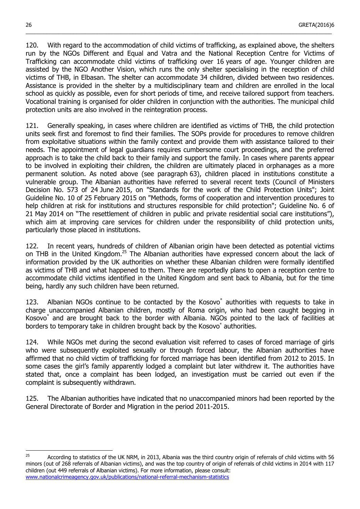120. With regard to the accommodation of child victims of trafficking, as explained above, the shelters run by the NGOs Different and Equal and Vatra and the National Reception Centre for Victims of Trafficking can accommodate child victims of trafficking over 16 years of age. Younger children are assisted by the NGO Another Vision, which runs the only shelter specialising in the reception of child victims of THB, in Elbasan. The shelter can accommodate 34 children, divided between two residences. Assistance is provided in the shelter by a multidisciplinary team and children are enrolled in the local school as quickly as possible, even for short periods of time, and receive tailored support from teachers. Vocational training is organised for older children in conjunction with the authorities. The municipal child protection units are also involved in the reintegration process.

\_\_\_\_\_\_\_\_\_\_\_\_\_\_\_\_\_\_\_\_\_\_\_\_\_\_\_\_\_\_\_\_\_\_\_\_\_\_\_\_\_\_\_\_\_\_\_\_\_\_\_\_\_\_\_\_\_\_\_\_\_\_\_\_\_\_\_\_\_\_\_\_\_\_\_\_\_\_\_\_\_\_\_\_\_\_\_\_\_\_\_\_\_\_\_\_\_\_\_\_\_\_\_

121. Generally speaking, in cases where children are identified as victims of THB, the child protection units seek first and foremost to find their families. The SOPs provide for procedures to remove children from exploitative situations within the family context and provide them with assistance tailored to their needs. The appointment of legal guardians requires cumbersome court proceedings, and the preferred approach is to take the child back to their family and support the family. In cases where parents appear to be involved in exploiting their children, the children are ultimately placed in orphanages as a more permanent solution. As noted above (see paragraph 63), children placed in institutions constitute a vulnerable group. The Albanian authorities have referred to several recent texts (Council of Ministers Decision No. 573 of 24 June 2015, on "Standards for the work of the Child Protection Units"; Joint Guideline No. 10 of 25 February 2015 on "Methods, forms of cooperation and intervention procedures to help children at risk for institutions and structures responsible for child protection"; Guideline No. 6 of 21 May 2014 on "The resettlement of children in public and private residential social care institutions"), which aim at improving care services for children under the responsibility of child protection units, particularly those placed in institutions.

122. In recent years, hundreds of children of Albanian origin have been detected as potential victims on THB in the United Kingdom.<sup>[25](#page-25-0)</sup> The Albanian authorities have expressed concern about the lack of information provided by the UK authorities on whether these Albanian children were formally identified as victims of THB and what happened to them. There are reportedly plans to open a reception centre to accommodate child victims identified in the United Kingdom and sent back to Albania, but for the time being, hardly any such children have been returned.

123. Albanian NGOs continue to be contacted by the Kosovo\* authorities with requests to take in charge unaccompanied Albanian children, mostly of Roma origin, who had been caught begging in Kosovo\* and are brought back to the border with Albania. NGOs pointed to the lack of facilities at borders to temporary take in children brought back by the Kosovo\* authorities.

124. While NGOs met during the second evaluation visit referred to cases of forced marriage of girls who were subsequently exploited sexually or through forced labour, the Albanian authorities have affirmed that no child victim of trafficking for forced marriage has been identified from 2012 to 2015. In some cases the girl's family apparently lodged a complaint but later withdrew it. The authorities have stated that, once a complaint has been lodged, an investigation must be carried out even if the complaint is subsequently withdrawn.

125. The Albanian authorities have indicated that no unaccompanied minors had been reported by the General Directorate of Border and Migration in the period 2011-2015.

l

<span id="page-25-0"></span><sup>&</sup>lt;sup>25</sup> According to statistics of the UK NRM, in 2013, Albania was the third country origin of referrals of child victims with 56 minors (out of 268 referrals of Albanian victims), and was the top country of origin of referrals of child victims in 2014 with 117 children (out 449 referrals of Albanian victims). For more information, please consult: [www.nationalcrimeagency.gov.uk/publications/national-referral-mechanism-statistics](http://www.nationalcrimeagency.gov.uk/publications/national-referral-mechanism-statistics)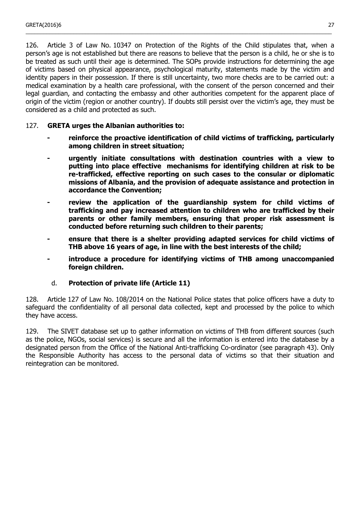126. Article 3 of Law No. 10347 on Protection of the Rights of the Child stipulates that, when a person's age is not established but there are reasons to believe that the person is a child, he or she is to be treated as such until their age is determined. The SOPs provide instructions for determining the age of victims based on physical appearance, psychological maturity, statements made by the victim and identity papers in their possession. If there is still uncertainty, two more checks are to be carried out: a medical examination by a health care professional, with the consent of the person concerned and their legal guardian, and contacting the embassy and other authorities competent for the apparent place of origin of the victim (region or another country). If doubts still persist over the victim's age, they must be considered as a child and protected as such.

\_\_\_\_\_\_\_\_\_\_\_\_\_\_\_\_\_\_\_\_\_\_\_\_\_\_\_\_\_\_\_\_\_\_\_\_\_\_\_\_\_\_\_\_\_\_\_\_\_\_\_\_\_\_\_\_\_\_\_\_\_\_\_\_\_\_\_\_\_\_\_\_\_\_\_\_\_\_\_\_\_\_\_\_\_\_\_\_\_\_\_\_\_\_\_\_\_\_\_\_\_\_\_

### 127. **GRETA urges the Albanian authorities to:**

- **- reinforce the proactive identification of child victims of trafficking, particularly among children in street situation;**
- **- urgently initiate consultations with destination countries with a view to putting into place effective mechanisms for identifying children at risk to be re-trafficked, effective reporting on such cases to the consular or diplomatic missions of Albania, and the provision of adequate assistance and protection in accordance the Convention;**
- **- review the application of the guardianship system for child victims of trafficking and pay increased attention to children who are trafficked by their parents or other family members, ensuring that proper risk assessment is conducted before returning such children to their parents;**
- **- ensure that there is a shelter providing adapted services for child victims of THB above 16 years of age, in line with the best interests of the child;**
- **- introduce a procedure for identifying victims of THB among unaccompanied foreign children.**

### d. **Protection of private life (Article 11)**

<span id="page-26-0"></span>128. Article 127 of Law No. 108/2014 on the National Police states that police officers have a duty to safeguard the confidentiality of all personal data collected, kept and processed by the police to which they have access.

129. The SIVET database set up to gather information on victims of THB from different sources (such as the police, NGOs, social services) is secure and all the information is entered into the database by a designated person from the Office of the National Anti-trafficking Co-ordinator (see paragraph 43). Only the Responsible Authority has access to the personal data of victims so that their situation and reintegration can be monitored.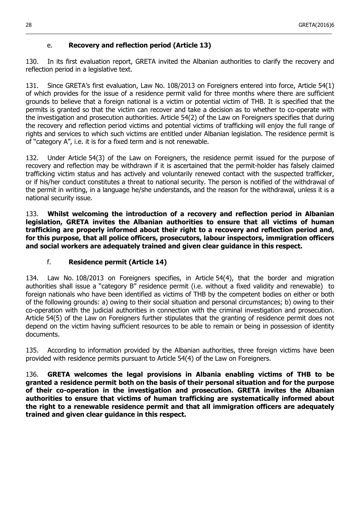## e. **Recovery and reflection period (Article 13)**

130. In its first evaluation report, GRETA invited the Albanian authorities to clarify the recovery and reflection period in a legislative text.

<span id="page-27-1"></span>\_\_\_\_\_\_\_\_\_\_\_\_\_\_\_\_\_\_\_\_\_\_\_\_\_\_\_\_\_\_\_\_\_\_\_\_\_\_\_\_\_\_\_\_\_\_\_\_\_\_\_\_\_\_\_\_\_\_\_\_\_\_\_\_\_\_\_\_\_\_\_\_\_\_\_\_\_\_\_\_\_\_\_\_\_\_\_\_\_\_\_\_\_\_\_\_\_\_\_\_\_\_\_

131. Since GRETA's first evaluation, Law No. 108/2013 on Foreigners entered into force, Article 54(1) of which provides for the issue of a residence permit valid for three months where there are sufficient grounds to believe that a foreign national is a victim or potential victim of THB. It is specified that the permits is granted so that the victim can recover and take a decision as to whether to co-operate with the investigation and prosecution authorities. Article 54(2) of the Law on Foreigners specifies that during the recovery and reflection period victims and potential victims of trafficking will enjoy the full range of rights and services to which such victims are entitled under Albanian legislation. The residence permit is of "category A", i.e. it is for a fixed term and is not renewable.

132. Under Article 54(3) of the Law on Foreigners, the residence permit issued for the purpose of recovery and reflection may be withdrawn if it is ascertained that the permit-holder has falsely claimed trafficking victim status and has actively and voluntarily renewed contact with the suspected trafficker, or if his/her conduct constitutes a threat to national security. The person is notified of the withdrawal of the permit in writing, in a language he/she understands, and the reason for the withdrawal, unless it is a national security issue.

133. **Whilst welcoming the introduction of a recovery and reflection period in Albanian legislation, GRETA invites the Albanian authorities to ensure that all victims of human trafficking are properly informed about their right to a recovery and reflection period and, for this purpose, that all police officers, prosecutors, labour inspectors, immigration officers and social workers are adequately trained and given clear guidance in this respect.**

### f. **Residence permit (Article 14)**

<span id="page-27-0"></span>134. Law No. 108/2013 on Foreigners specifies, in Article 54(4), that the border and migration authorities shall issue a "category B" residence permit (i.e. without a fixed validity and renewable) to foreign nationals who have been identified as victims of THB by the competent bodies on either or both of the following grounds: a) owing to their social situation and personal circumstances; b) owing to their co-operation with the judicial authorities in connection with the criminal investigation and prosecution. Article 54(5) of the Law on Foreigners further stipulates that the granting of residence permit does not depend on the victim having sufficient resources to be able to remain or being in possession of identity documents.

135. According to information provided by the Albanian authorities, three foreign victims have been provided with residence permits pursuant to Article 54(4) of the Law on Foreigners.

136. **GRETA welcomes the legal provisions in Albania enabling victims of THB to be granted a residence permit both on the basis of their personal situation and for the purpose of their co-operation in the investigation and prosecution. GRETA invites the Albanian authorities to ensure that victims of human trafficking are systematically informed about the right to a renewable residence permit and that all immigration officers are adequately trained and given clear guidance in this respect.**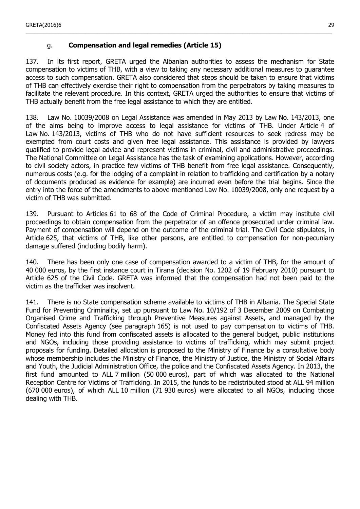## g. **Compensation and legal remedies (Article 15)**

137. In its first report, GRETA urged the Albanian authorities to assess the mechanism for State compensation to victims of THB, with a view to taking any necessary additional measures to guarantee access to such compensation. GRETA also considered that steps should be taken to ensure that victims of THB can effectively exercise their right to compensation from the perpetrators by taking measures to facilitate the relevant procedure. In this context, GRETA urged the authorities to ensure that victims of THB actually benefit from the free legal assistance to which they are entitled.

<span id="page-28-0"></span>\_\_\_\_\_\_\_\_\_\_\_\_\_\_\_\_\_\_\_\_\_\_\_\_\_\_\_\_\_\_\_\_\_\_\_\_\_\_\_\_\_\_\_\_\_\_\_\_\_\_\_\_\_\_\_\_\_\_\_\_\_\_\_\_\_\_\_\_\_\_\_\_\_\_\_\_\_\_\_\_\_\_\_\_\_\_\_\_\_\_\_\_\_\_\_\_\_\_\_\_\_\_\_

138. Law No. 10039/2008 on Legal Assistance was amended in May 2013 by Law No. 143/2013, one of the aims being to improve access to legal assistance for victims of THB. Under Article 4 of Law No. 143/2013, victims of THB who do not have sufficient resources to seek redress may be exempted from court costs and given free legal assistance. This assistance is provided by lawyers qualified to provide legal advice and represent victims in criminal, civil and administrative proceedings. The National Committee on Legal Assistance has the task of examining applications. However, according to civil society actors, in practice few victims of THB benefit from free legal assistance. Consequently, numerous costs (e.g. for the lodging of a complaint in relation to trafficking and certification by a notary of documents produced as evidence for example) are incurred even before the trial begins. Since the entry into the force of the amendments to above-mentioned Law No. 10039/2008, only one request by a victim of THB was submitted.

139. Pursuant to Articles 61 to 68 of the Code of Criminal Procedure, a victim may institute civil proceedings to obtain compensation from the perpetrator of an offence prosecuted under criminal law. Payment of compensation will depend on the outcome of the criminal trial. The Civil Code stipulates, in Article 625, that victims of THB, like other persons, are entitled to compensation for non-pecuniary damage suffered (including bodily harm).

140. There has been only one case of compensation awarded to a victim of THB, for the amount of 40 000 euros, by the first instance court in Tirana (decision No. 1202 of 19 February 2010) pursuant to Article 625 of the Civil Code. GRETA was informed that the compensation had not been paid to the victim as the trafficker was insolvent.

141. There is no State compensation scheme available to victims of THB in Albania. The Special State Fund for Preventing Criminality, set up pursuant to Law No. 10/192 of 3 December 2009 on Combating Organised Crime and Trafficking through Preventive Measures against Assets, and managed by the Confiscated Assets Agency (see paragraph 165) is not used to pay compensation to victims of THB. Money fed into this fund from confiscated assets is allocated to the general budget, public institutions and NGOs, including those providing assistance to victims of trafficking, which may submit project proposals for funding. Detailed allocation is proposed to the Ministry of Finance by a consultative body whose membership includes the Ministry of Finance, the Ministry of Justice, the Ministry of Social Affairs and Youth, the Judicial Administration Office, the police and the Confiscated Assets Agency. In 2013, the first fund amounted to ALL 7 million (50 000 euros), part of which was allocated to the National Reception Centre for Victims of Trafficking. In 2015, the funds to be redistributed stood at ALL 94 million (670 000 euros), of which ALL 10 million (71 930 euros) were allocated to all NGOs, including those dealing with THB.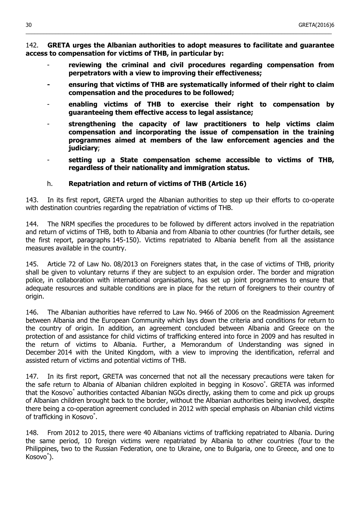142. **GRETA urges the Albanian authorities to adopt measures to facilitate and guarantee access to compensation for victims of THB, in particular by:**

\_\_\_\_\_\_\_\_\_\_\_\_\_\_\_\_\_\_\_\_\_\_\_\_\_\_\_\_\_\_\_\_\_\_\_\_\_\_\_\_\_\_\_\_\_\_\_\_\_\_\_\_\_\_\_\_\_\_\_\_\_\_\_\_\_\_\_\_\_\_\_\_\_\_\_\_\_\_\_\_\_\_\_\_\_\_\_\_\_\_\_\_\_\_\_\_\_\_\_\_\_\_\_

- reviewing the criminal and civil procedures regarding compensation from **perpetrators with a view to improving their effectiveness;**
- **- ensuring that victims of THB are systematically informed of their right to claim compensation and the procedures to be followed;**
- **enabling victims of THB to exercise their right to compensation by guaranteeing them effective access to legal assistance;**
- **strengthening the capacity of law practitioners to help victims claim compensation and incorporating the issue of compensation in the training programmes aimed at members of the law enforcement agencies and the judiciary**;
- **setting up a State compensation scheme accessible to victims of THB, regardless of their nationality and immigration status.**

#### h. **Repatriation and return of victims of THB (Article 16)**

<span id="page-29-0"></span>143. In its first report, GRETA urged the Albanian authorities to step up their efforts to co-operate with destination countries regarding the repatriation of victims of THB.

144. The NRM specifies the procedures to be followed by different actors involved in the repatriation and return of victims of THB, both to Albania and from Albania to other countries (for further details, see the first report, paragraphs 145-150). Victims repatriated to Albania benefit from all the assistance measures available in the country.

145. Article 72 of Law No. 08/2013 on Foreigners states that, in the case of victims of THB, priority shall be given to voluntary returns if they are subject to an expulsion order. The border and migration police, in collaboration with international organisations, has set up joint programmes to ensure that adequate resources and suitable conditions are in place for the return of foreigners to their country of origin.

146. The Albanian authorities have referred to Law No. 9466 of 2006 on the Readmission Agreement between Albania and the European Community which lays down the criteria and conditions for return to the country of origin. In addition, an agreement concluded between Albania and Greece on the protection of and assistance for child victims of trafficking entered into force in 2009 and has resulted in the return of victims to Albania. Further, a Memorandum of Understanding was signed in December 2014 with the United Kingdom, with a view to improving the identification, referral and assisted return of victims and potential victims of THB.

147. In its first report, GRETA was concerned that not all the necessary precautions were taken for the safe return to Albania of Albanian children exploited in begging in Kosovo\* . GRETA was informed that the Kosovo<sup>\*</sup> authorities contacted Albanian NGOs directly, asking them to come and pick up groups of Albanian children brought back to the border, without the Albanian authorities being involved, despite there being a co-operation agreement concluded in 2012 with special emphasis on Albanian child victims of trafficking in Kosovo\* .

148. From 2012 to 2015, there were 40 Albanians victims of trafficking repatriated to Albania. During the same period, 10 foreign victims were repatriated by Albania to other countries (four to the Philippines, two to the Russian Federation, one to Ukraine, one to Bulgaria, one to Greece, and one to Kosovo\* ).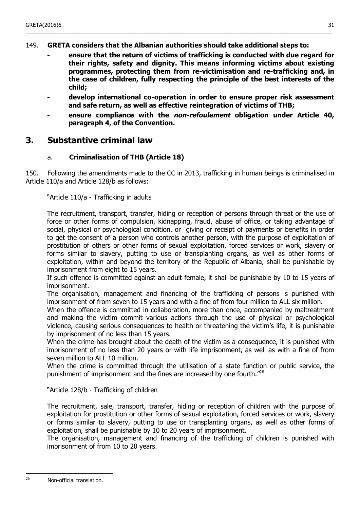## 149. **GRETA considers that the Albanian authorities should take additional steps to:**

- **- ensure that the return of victims of trafficking is conducted with due regard for their rights, safety and dignity. This means informing victims about existing programmes, protecting them from re-victimisation and re-trafficking and, in the case of children, fully respecting the principle of the best interests of the child;**
- **- develop international co-operation in order to ensure proper risk assessment and safe return, as well as effective reintegration of victims of THB;**
- **- ensure compliance with the non-refoulement obligation under Article 40, paragraph 4, of the Convention.**

## <span id="page-30-1"></span>**3. Substantive criminal law**

### a. **Criminalisation of THB (Article 18)**

<span id="page-30-0"></span>150. Following the amendments made to the CC in 2013, trafficking in human beings is criminalised in Article 110/a and Article 128/b as follows:

"Article 110/a - Trafficking in adults

The recruitment, transport, transfer, hiding or reception of persons through threat or the use of force or other forms of compulsion, kidnapping, fraud, abuse of office, or taking advantage of social, physical or psychological condition, or giving or receipt of payments or benefits in order to get the consent of a person who controls another person, with the purpose of exploitation of prostitution of others or other forms of sexual exploitation, forced services or work, slavery or forms similar to slavery, putting to use or transplanting organs, as well as other forms of exploitation, within and beyond the territory of the Republic of Albania, shall be punishable by imprisonment from eight to 15 years.

If such offence is committed against an adult female, it shall be punishable by 10 to 15 years of imprisonment.

The organisation, management and financing of the trafficking of persons is punished with imprisonment of from seven to 15 years and with a fine of from four million to ALL six million.

When the offence is committed in collaboration, more than once, accompanied by maltreatment and making the victim commit various actions through the use of physical or psychological violence, causing serious consequences to health or threatening the victim's life, it is punishable by imprisonment of no less than 15 years.

When the crime has brought about the death of the victim as a consequence, it is punished with imprisonment of no less than 20 years or with life imprisonment, as well as with a fine of from seven million to ALL 10 million.

When the crime is committed through the utilisation of a state function or public service, the punishment of imprisonment and the fines are increased by one fourth."[26](#page-30-2)

"Article 128/b - Trafficking of children

The recruitment, sale, transport, transfer, hiding or reception of children with the purpose of exploitation for prostitution or other forms of sexual exploitation, forced services or work, slavery or forms similar to slavery, putting to use or transplanting organs, as well as other forms of exploitation, shall be punishable by 10 to 20 years of imprisonment.

The organisation, management and financing of the trafficking of children is punished with imprisonment of from 10 to 20 years.

<span id="page-30-2"></span> $\overline{26}$ Non-official translation.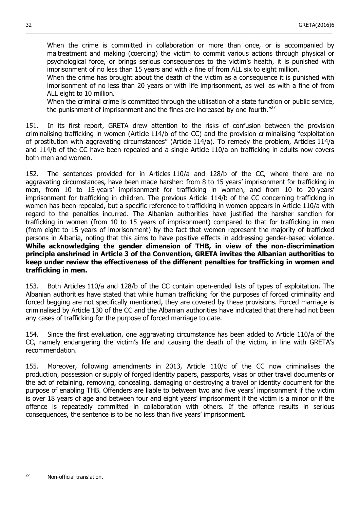When the crime is committed in collaboration or more than once, or is accompanied by maltreatment and making (coercing) the victim to commit various actions through physical or psychological force, or brings serious consequences to the victim's health, it is punished with imprisonment of no less than 15 years and with a fine of from ALL six to eight million.

\_\_\_\_\_\_\_\_\_\_\_\_\_\_\_\_\_\_\_\_\_\_\_\_\_\_\_\_\_\_\_\_\_\_\_\_\_\_\_\_\_\_\_\_\_\_\_\_\_\_\_\_\_\_\_\_\_\_\_\_\_\_\_\_\_\_\_\_\_\_\_\_\_\_\_\_\_\_\_\_\_\_\_\_\_\_\_\_\_\_\_\_\_\_\_\_\_\_\_\_\_\_\_

When the crime has brought about the death of the victim as a consequence it is punished with imprisonment of no less than 20 years or with life imprisonment, as well as with a fine of from ALL eight to 10 million.

When the criminal crime is committed through the utilisation of a state function or public service, the punishment of imprisonment and the fines are increased by one fourth. $"^{27}$  $"^{27}$  $"^{27}$ 

151. In its first report, GRETA drew attention to the risks of confusion between the provision criminalising trafficking in women (Article 114/b of the CC) and the provision criminalising "exploitation of prostitution with aggravating circumstances" (Article 114/a). To remedy the problem, Articles 114/a and 114/b of the CC have been repealed and a single Article 110/a on trafficking in adults now covers both men and women.

152. The sentences provided for in Articles 110/a and 128/b of the CC, where there are no aggravating circumstances, have been made harsher: from 8 to 15 years' imprisonment for trafficking in men, from 10 to 15 years' imprisonment for trafficking in women, and from 10 to 20 years' imprisonment for trafficking in children. The previous Article 114/b of the CC concerning trafficking in women has been repealed, but a specific reference to trafficking in women appears in Article 110/a with regard to the penalties incurred. The Albanian authorities have justified the harsher sanction for trafficking in women (from 10 to 15 years of imprisonment) compared to that for trafficking in men (from eight to 15 years of imprisonment) by the fact that women represent the majority of trafficked persons in Albania, noting that this aims to have positive effects in addressing gender-based violence. **While acknowledging the gender dimension of THB, in view of the non-discrimination principle enshrined in Article 3 of the Convention, GRETA invites the Albanian authorities to keep under review the effectiveness of the different penalties for trafficking in women and trafficking in men.**

153. Both Articles 110/a and 128/b of the CC contain open-ended lists of types of exploitation. The Albanian authorities have stated that while human trafficking for the purposes of forced criminality and forced begging are not specifically mentioned, they are covered by these provisions. Forced marriage is criminalised by Article 130 of the CC and the Albanian authorities have indicated that there had not been any cases of trafficking for the purpose of forced marriage to date.

154. Since the first evaluation, one aggravating circumstance has been added to Article 110/a of the CC, namely endangering the victim's life and causing the death of the victim, in line with GRETA's recommendation.

155. Moreover, following amendments in 2013, Article 110/c of the CC now criminalises the production, possession or supply of forged identity papers, passports, visas or other travel documents or the act of retaining, removing, concealing, damaging or destroying a travel or identity document for the purpose of enabling THB. Offenders are liable to between two and five years' imprisonment if the victim is over 18 years of age and between four and eight years' imprisonment if the victim is a minor or if the offence is repeatedly committed in collaboration with others. If the offence results in serious consequences, the sentence is to be no less than five years' imprisonment.

<span id="page-31-0"></span> $\overline{2}$ 

Non-official translation.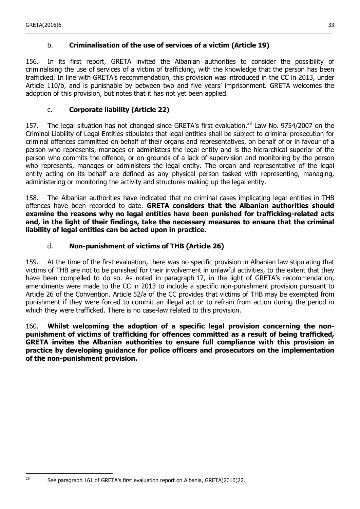## b. **Criminalisation of the use of services of a victim (Article 19)**

156. In its first report, GRETA invited the Albanian authorities to consider the possibility of criminalising the use of services of a victim of trafficking, with the knowledge that the person has been trafficked. In line with GRETA's recommendation, this provision was introduced in the CC in 2013, under Article 110/b, and is punishable by between two and five years' imprisonment. GRETA welcomes the adoption of this provision, but notes that it has not yet been applied.

<span id="page-32-2"></span>\_\_\_\_\_\_\_\_\_\_\_\_\_\_\_\_\_\_\_\_\_\_\_\_\_\_\_\_\_\_\_\_\_\_\_\_\_\_\_\_\_\_\_\_\_\_\_\_\_\_\_\_\_\_\_\_\_\_\_\_\_\_\_\_\_\_\_\_\_\_\_\_\_\_\_\_\_\_\_\_\_\_\_\_\_\_\_\_\_\_\_\_\_\_\_\_\_\_\_\_\_\_\_

### c. **Corporate liability (Article 22)**

<span id="page-32-1"></span>157. The legal situation has not changed since GRETA's first evaluation.<sup>[28](#page-32-3)</sup> Law No. 9754/2007 on the Criminal Liability of Legal Entities stipulates that legal entities shall be subject to criminal prosecution for criminal offences committed on behalf of their organs and representatives, on behalf of or in favour of a person who represents, manages or administers the legal entity and is the hierarchical superior of the person who commits the offence, or on grounds of a lack of supervision and monitoring by the person who represents, manages or administers the legal entity. The organ and representative of the legal entity acting on its behalf are defined as any physical person tasked with representing, managing, administering or monitoring the activity and structures making up the legal entity.

158. The Albanian authorities have indicated that no criminal cases implicating legal entities in THB offences have been recorded to date. **GRETA considers that the Albanian authorities should examine the reasons why no legal entities have been punished for trafficking-related acts and, in the light of their findings, take the necessary measures to ensure that the criminal liability of legal entities can be acted upon in practice.**

### d. **Non-punishment of victims of THB (Article 26)**

<span id="page-32-0"></span>159. At the time of the first evaluation, there was no specific provision in Albanian law stipulating that victims of THB are not to be punished for their involvement in unlawful activities, to the extent that they have been compelled to do so. As noted in paragraph 17, in the light of GRETA's recommendation, amendments were made to the CC in 2013 to include a specific non-punishment provision pursuant to Article 26 of the Convention. Article 52/a of the CC provides that victims of THB may be exempted from punishment if they were forced to commit an illegal act or to refrain from action during the period in which they were trafficked. There is no case-law related to this provision.

160. **Whilst welcoming the adoption of a specific legal provision concerning the nonpunishment of victims of trafficking for offences committed as a result of being trafficked, GRETA invites the Albanian authorities to ensure full compliance with this provision in practice by developing guidance for police officers and prosecutors on the implementation of the non-punishment provision.**

<span id="page-32-3"></span>See paragraph 161 of GRETA's first evaluation report on Albania, GRETA(2010)22.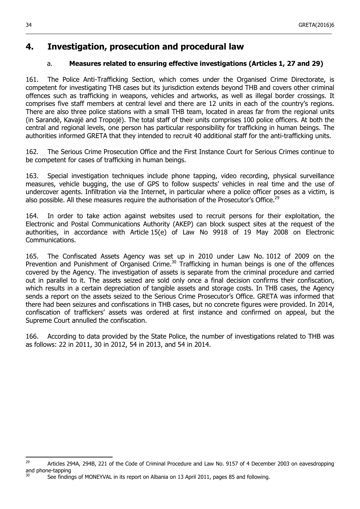## <span id="page-33-1"></span>**4. Investigation, prosecution and procedural law**

## a. **Measures related to ensuring effective investigations (Articles 1, 27 and 29)**

\_\_\_\_\_\_\_\_\_\_\_\_\_\_\_\_\_\_\_\_\_\_\_\_\_\_\_\_\_\_\_\_\_\_\_\_\_\_\_\_\_\_\_\_\_\_\_\_\_\_\_\_\_\_\_\_\_\_\_\_\_\_\_\_\_\_\_\_\_\_\_\_\_\_\_\_\_\_\_\_\_\_\_\_\_\_\_\_\_\_\_\_\_\_\_\_\_\_\_\_\_\_\_

<span id="page-33-0"></span>161. The Police Anti-Trafficking Section, which comes under the Organised Crime Directorate, is competent for investigating THB cases but its jurisdiction extends beyond THB and covers other criminal offences such as trafficking in weapons, vehicles and artworks, as well as illegal border crossings. It comprises five staff members at central level and there are 12 units in each of the country's regions. There are also three police stations with a small THB team, located in areas far from the regional units (in Sarandë, Kavajë and Tropojë). The total staff of their units comprises 100 police officers. At both the central and regional levels, one person has particular responsibility for trafficking in human beings. The authorities informed GRETA that they intended to recruit 40 additional staff for the anti-trafficking units.

162. The Serious Crime Prosecution Office and the First Instance Court for Serious Crimes continue to be competent for cases of trafficking in human beings.

163. Special investigation techniques include phone tapping, video recording, physical surveillance measures, vehicle bugging, the use of GPS to follow suspects' vehicles in real time and the use of undercover agents. Infiltration via the Internet, in particular where a police officer poses as a victim, is also possible. All these measures require the authorisation of the Prosecutor's Office.<sup>[29](#page-33-2)</sup>

164. In order to take action against websites used to recruit persons for their exploitation, the Electronic and Postal Communications Authority (AKEP) can block suspect sites at the request of the authorities, in accordance with Article 15(e) of Law No 9918 of 19 May 2008 on Electronic Communications.

165. The Confiscated Assets Agency was set up in 2010 under Law No. 1012 of 2009 on the Prevention and Punishment of Organised Crime.<sup>[30](#page-33-3)</sup> Trafficking in human beings is one of the offences covered by the Agency. The investigation of assets is separate from the criminal procedure and carried out in parallel to it. The assets seized are sold only once a final decision confirms their confiscation, which results in a certain depreciation of tangible assets and storage costs. In THB cases, the Agency sends a report on the assets seized to the Serious Crime Prosecutor's Office. GRETA was informed that there had been seizures and confiscations in THB cases, but no concrete figures were provided. In 2014, confiscation of traffickers' assets was ordered at first instance and confirmed on appeal, but the Supreme Court annulled the confiscation.

166. According to data provided by the State Police, the number of investigations related to THB was as follows: 22 in 2011, 30 in 2012, 54 in 2013, and 54 in 2014.

<span id="page-33-3"></span><span id="page-33-2"></span><sup>29</sup> <sup>29</sup> Articles 294A, 294B, 221 of the Code of Criminal Procedure and Law No. 9157 of 4 December 2003 on eavesdropping and phone-tapping

See findings of MONEYVAL in its report on Albania on 13 April 2011, pages 85 and following.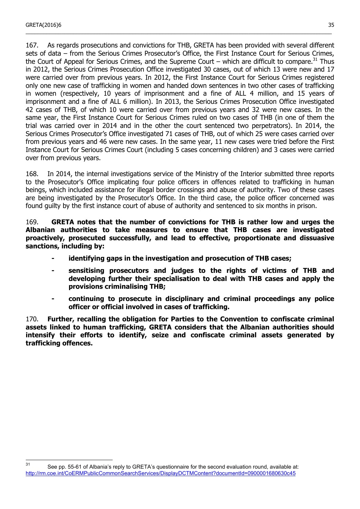167. As regards prosecutions and convictions for THB, GRETA has been provided with several different sets of data – from the Serious Crimes Prosecutor's Office, the First Instance Court for Serious Crimes, the Court of Appeal for Serious Crimes, and the Supreme Court – which are difficult to compare.<sup>[31](#page-34-0)</sup> Thus in 2012, the Serious Crimes Prosecution Office investigated 30 cases, out of which 13 were new and 17 were carried over from previous years. In 2012, the First Instance Court for Serious Crimes registered only one new case of trafficking in women and handed down sentences in two other cases of trafficking in women (respectively, 10 years of imprisonment and a fine of ALL 4 million, and 15 years of imprisonment and a fine of ALL 6 million). In 2013, the Serious Crimes Prosecution Office investigated 42 cases of THB, of which 10 were carried over from previous years and 32 were new cases. In the same year, the First Instance Court for Serious Crimes ruled on two cases of THB (in one of them the trial was carried over in 2014 and in the other the court sentenced two perpetrators). In 2014, the Serious Crimes Prosecutor's Office investigated 71 cases of THB, out of which 25 were cases carried over from previous years and 46 were new cases. In the same year, 11 new cases were tried before the First Instance Court for Serious Crimes Court (including 5 cases concerning children) and 3 cases were carried over from previous years.

\_\_\_\_\_\_\_\_\_\_\_\_\_\_\_\_\_\_\_\_\_\_\_\_\_\_\_\_\_\_\_\_\_\_\_\_\_\_\_\_\_\_\_\_\_\_\_\_\_\_\_\_\_\_\_\_\_\_\_\_\_\_\_\_\_\_\_\_\_\_\_\_\_\_\_\_\_\_\_\_\_\_\_\_\_\_\_\_\_\_\_\_\_\_\_\_\_\_\_\_\_\_\_

168. In 2014, the internal investigations service of the Ministry of the Interior submitted three reports to the Prosecutor's Office implicating four police officers in offences related to trafficking in human beings, which included assistance for illegal border crossings and abuse of authority. Two of these cases are being investigated by the Prosecutor's Office. In the third case, the police officer concerned was found guilty by the first instance court of abuse of authority and sentenced to six months in prison.

169. **GRETA notes that the number of convictions for THB is rather low and urges the Albanian authorities to take measures to ensure that THB cases are investigated proactively, prosecuted successfully, and lead to effective, proportionate and dissuasive sanctions, including by:**

- **- identifying gaps in the investigation and prosecution of THB cases;**
- **- sensitising prosecutors and judges to the rights of victims of THB and developing further their specialisation to deal with THB cases and apply the provisions criminalising THB;**
- **- continuing to prosecute in disciplinary and criminal proceedings any police officer or official involved in cases of trafficking.**

170. **Further, recalling the obligation for Parties to the Convention to confiscate criminal assets linked to human trafficking, GRETA considers that the Albanian authorities should intensify their efforts to identify, seize and confiscate criminal assets generated by trafficking offences.**

<span id="page-34-0"></span> $31$ See pp. 55-61 of Albania's reply to GRETA's questionnaire for the second evaluation round, available at: <http://rm.coe.int/CoERMPublicCommonSearchServices/DisplayDCTMContent?documentId=0900001680630c45>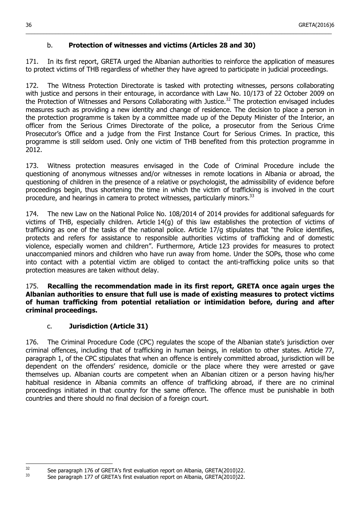## b. **Protection of witnesses and victims (Articles 28 and 30)**

171. In its first report, GRETA urged the Albanian authorities to reinforce the application of measures to protect victims of THB regardless of whether they have agreed to participate in judicial proceedings.

<span id="page-35-1"></span>\_\_\_\_\_\_\_\_\_\_\_\_\_\_\_\_\_\_\_\_\_\_\_\_\_\_\_\_\_\_\_\_\_\_\_\_\_\_\_\_\_\_\_\_\_\_\_\_\_\_\_\_\_\_\_\_\_\_\_\_\_\_\_\_\_\_\_\_\_\_\_\_\_\_\_\_\_\_\_\_\_\_\_\_\_\_\_\_\_\_\_\_\_\_\_\_\_\_\_\_\_\_\_

172. The Witness Protection Directorate is tasked with protecting witnesses, persons collaborating with justice and persons in their entourage, in accordance with Law No. 10/173 of 22 October 2009 on the Protection of Witnesses and Persons Collaborating with Justice.<sup>[32](#page-35-2)</sup> The protection envisaged includes measures such as providing a new identity and change of residence. The decision to place a person in the protection programme is taken by a committee made up of the Deputy Minister of the Interior, an officer from the Serious Crimes Directorate of the police, a prosecutor from the Serious Crime Prosecutor's Office and a judge from the First Instance Court for Serious Crimes. In practice, this programme is still seldom used. Only one victim of THB benefited from this protection programme in 2012.

173. Witness protection measures envisaged in the Code of Criminal Procedure include the questioning of anonymous witnesses and/or witnesses in remote locations in Albania or abroad, the questioning of children in the presence of a relative or psychologist, the admissibility of evidence before proceedings begin, thus shortening the time in which the victim of trafficking is involved in the court procedure, and hearings in camera to protect witnesses, particularly minors.<sup>[33](#page-35-3)</sup>

174. The new Law on the National Police No. 108/2014 of 2014 provides for additional safeguards for victims of THB, especially children. Article 14(g) of this law establishes the protection of victims of trafficking as one of the tasks of the national police. Article 17/g stipulates that "the Police identifies, protects and refers for assistance to responsible authorities victims of trafficking and of domestic violence, especially women and children". Furthermore, Article 123 provides for measures to protect unaccompanied minors and children who have run away from home. Under the SOPs, those who come into contact with a potential victim are obliged to contact the anti-trafficking police units so that protection measures are taken without delay.

175. **Recalling the recommendation made in its first report, GRETA once again urges the Albanian authorities to ensure that full use is made of existing measures to protect victims of human trafficking from potential retaliation or intimidation before, during and after criminal proceedings.**

## c. **Jurisdiction (Article 31)**

<span id="page-35-0"></span>176. The Criminal Procedure Code (CPC) regulates the scope of the Albanian state's jurisdiction over criminal offences, including that of trafficking in human beings, in relation to other states. Article 77, paragraph 1, of the CPC stipulates that when an offence is entirely committed abroad, jurisdiction will be dependent on the offenders' residence, domicile or the place where they were arrested or gave themselves up. Albanian courts are competent when an Albanian citizen or a person having his/her habitual residence in Albania commits an offence of trafficking abroad, if there are no criminal proceedings initiated in that country for the same offence. The offence must be punishable in both countries and there should no final decision of a foreign court.

<span id="page-35-3"></span><span id="page-35-2"></span> $32$ <sup>32</sup> See paragraph 176 of GRETA's first evaluation report on Albania, GRETA(2010)22.<br>33 See paragraph 177 of CBETA's first evaluation report on Albania, GBETA(2010)22.

See paragraph 177 of GRETA's first evaluation report on Albania, GRETA(2010)22.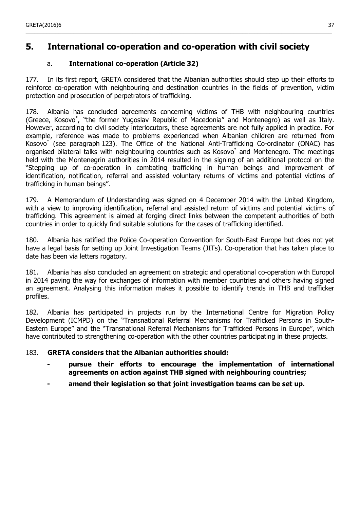## <span id="page-36-1"></span>**5. International co-operation and co-operation with civil society**

\_\_\_\_\_\_\_\_\_\_\_\_\_\_\_\_\_\_\_\_\_\_\_\_\_\_\_\_\_\_\_\_\_\_\_\_\_\_\_\_\_\_\_\_\_\_\_\_\_\_\_\_\_\_\_\_\_\_\_\_\_\_\_\_\_\_\_\_\_\_\_\_\_\_\_\_\_\_\_\_\_\_\_\_\_\_\_\_\_\_\_\_\_\_\_\_\_\_\_\_\_\_\_

## a. **International co-operation (Article 32)**

<span id="page-36-0"></span>177. In its first report, GRETA considered that the Albanian authorities should step up their efforts to reinforce co-operation with neighbouring and destination countries in the fields of prevention, victim protection and prosecution of perpetrators of trafficking.

178. Albania has concluded agreements concerning victims of THB with neighbouring countries (Greece, Kosovo\* , "the former Yugoslav Republic of Macedonia" and Montenegro) as well as Italy. However, according to civil society interlocutors, these agreements are not fully applied in practice. For example, reference was made to problems experienced when Albanian children are returned from Kosovo\* (see paragraph 123). The Office of the National Anti-Trafficking Co-ordinator (ONAC) has organised bilateral talks with neighbouring countries such as Kosovo\* and Montenegro. The meetings held with the Montenegrin authorities in 2014 resulted in the signing of an additional protocol on the "Stepping up of co-operation in combating trafficking in human beings and improvement of identification, notification, referral and assisted voluntary returns of victims and potential victims of trafficking in human beings".

179. A Memorandum of Understanding was signed on 4 December 2014 with the United Kingdom, with a view to improving identification, referral and assisted return of victims and potential victims of trafficking. This agreement is aimed at forging direct links between the competent authorities of both countries in order to quickly find suitable solutions for the cases of trafficking identified.

180. Albania has ratified the Police Co-operation Convention for South-East Europe but does not yet have a legal basis for setting up Joint Investigation Teams (JITs). Co-operation that has taken place to date has been via letters rogatory.

181. Albania has also concluded an agreement on strategic and operational co-operation with Europol in 2014 paving the way for exchanges of information with member countries and others having signed an agreement. Analysing this information makes it possible to identify trends in THB and trafficker profiles.

182. Albania has participated in projects run by the International Centre for Migration Policy Development (ICMPD) on the "Transnational Referral Mechanisms for Trafficked Persons in South-Eastern Europe" and the "Transnational Referral Mechanisms for Trafficked Persons in Europe", which have contributed to strengthening co-operation with the other countries participating in these projects.

### 183. **GRETA considers that the Albanian authorities should:**

- **- pursue their efforts to encourage the implementation of international agreements on action against THB signed with neighbouring countries;**
- **- amend their legislation so that joint investigation teams can be set up.**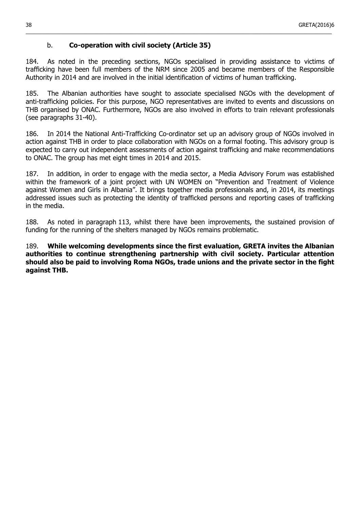## b. **Co-operation with civil society (Article 35)**

184. As noted in the preceding sections, NGOs specialised in providing assistance to victims of trafficking have been full members of the NRM since 2005 and became members of the Responsible Authority in 2014 and are involved in the initial identification of victims of human trafficking.

<span id="page-37-0"></span>\_\_\_\_\_\_\_\_\_\_\_\_\_\_\_\_\_\_\_\_\_\_\_\_\_\_\_\_\_\_\_\_\_\_\_\_\_\_\_\_\_\_\_\_\_\_\_\_\_\_\_\_\_\_\_\_\_\_\_\_\_\_\_\_\_\_\_\_\_\_\_\_\_\_\_\_\_\_\_\_\_\_\_\_\_\_\_\_\_\_\_\_\_\_\_\_\_\_\_\_\_\_\_

185. The Albanian authorities have sought to associate specialised NGOs with the development of anti-trafficking policies. For this purpose, NGO representatives are invited to events and discussions on THB organised by ONAC. Furthermore, NGOs are also involved in efforts to train relevant professionals (see paragraphs 31-40).

186. In 2014 the National Anti-Trafficking Co-ordinator set up an advisory group of NGOs involved in action against THB in order to place collaboration with NGOs on a formal footing. This advisory group is expected to carry out independent assessments of action against trafficking and make recommendations to ONAC. The group has met eight times in 2014 and 2015.

187. In addition, in order to engage with the media sector, a Media Advisory Forum was established within the framework of a joint project with UN WOMEN on "Prevention and Treatment of Violence against Women and Girls in Albania". It brings together media professionals and, in 2014, its meetings addressed issues such as protecting the identity of trafficked persons and reporting cases of trafficking in the media.

188. As noted in paragraph 113, whilst there have been improvements, the sustained provision of funding for the running of the shelters managed by NGOs remains problematic.

189. **While welcoming developments since the first evaluation, GRETA invites the Albanian authorities to continue strengthening partnership with civil society. Particular attention should also be paid to involving Roma NGOs, trade unions and the private sector in the fight against THB.**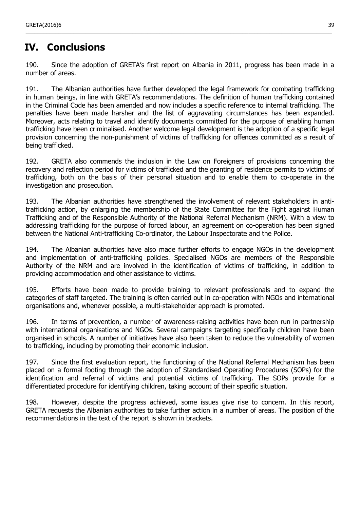# <span id="page-38-0"></span>**IV. Conclusions**

190. Since the adoption of GRETA's first report on Albania in 2011, progress has been made in a number of areas.

\_\_\_\_\_\_\_\_\_\_\_\_\_\_\_\_\_\_\_\_\_\_\_\_\_\_\_\_\_\_\_\_\_\_\_\_\_\_\_\_\_\_\_\_\_\_\_\_\_\_\_\_\_\_\_\_\_\_\_\_\_\_\_\_\_\_\_\_\_\_\_\_\_\_\_\_\_\_\_\_\_\_\_\_\_\_\_\_\_\_\_\_\_\_\_\_\_\_\_\_\_\_\_

191. The Albanian authorities have further developed the legal framework for combating trafficking in human beings, in line with GRETA's recommendations. The definition of human trafficking contained in the Criminal Code has been amended and now includes a specific reference to internal trafficking. The penalties have been made harsher and the list of aggravating circumstances has been expanded. Moreover, acts relating to travel and identify documents committed for the purpose of enabling human trafficking have been criminalised. Another welcome legal development is the adoption of a specific legal provision concerning the non-punishment of victims of trafficking for offences committed as a result of being trafficked.

192. GRETA also commends the inclusion in the Law on Foreigners of provisions concerning the recovery and reflection period for victims of trafficked and the granting of residence permits to victims of trafficking, both on the basis of their personal situation and to enable them to co-operate in the investigation and prosecution.

193. The Albanian authorities have strengthened the involvement of relevant stakeholders in antitrafficking action, by enlarging the membership of the State Committee for the Fight against Human Trafficking and of the Responsible Authority of the National Referral Mechanism (NRM). With a view to addressing trafficking for the purpose of forced labour, an agreement on co-operation has been signed between the National Anti-trafficking Co-ordinator, the Labour Inspectorate and the Police.

194. The Albanian authorities have also made further efforts to engage NGOs in the development and implementation of anti-trafficking policies. Specialised NGOs are members of the Responsible Authority of the NRM and are involved in the identification of victims of trafficking, in addition to providing accommodation and other assistance to victims.

195. Efforts have been made to provide training to relevant professionals and to expand the categories of staff targeted. The training is often carried out in co-operation with NGOs and international organisations and, whenever possible, a multi-stakeholder approach is promoted.

196. In terms of prevention, a number of awareness-raising activities have been run in partnership with international organisations and NGOs. Several campaigns targeting specifically children have been organised in schools. A number of initiatives have also been taken to reduce the vulnerability of women to trafficking, including by promoting their economic inclusion.

197. Since the first evaluation report, the functioning of the National Referral Mechanism has been placed on a formal footing through the adoption of Standardised Operating Procedures (SOPs) for the identification and referral of victims and potential victims of trafficking. The SOPs provide for a differentiated procedure for identifying children, taking account of their specific situation.

198. However, despite the progress achieved, some issues give rise to concern. In this report, GRETA requests the Albanian authorities to take further action in a number of areas. The position of the recommendations in the text of the report is shown in brackets.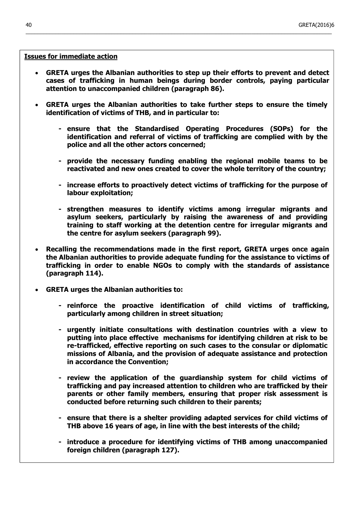#### **Issues for immediate action**

 **GRETA urges the Albanian authorities to step up their efforts to prevent and detect cases of trafficking in human beings during border controls, paying particular attention to unaccompanied children (paragraph 86).**

- **GRETA urges the Albanian authorities to take further steps to ensure the timely identification of victims of THB, and in particular to:**
	- **- ensure that the Standardised Operating Procedures (SOPs) for the identification and referral of victims of trafficking are complied with by the police and all the other actors concerned;**
	- **- provide the necessary funding enabling the regional mobile teams to be reactivated and new ones created to cover the whole territory of the country;**
	- **- increase efforts to proactively detect victims of trafficking for the purpose of labour exploitation;**
	- **- strengthen measures to identify victims among irregular migrants and asylum seekers, particularly by raising the awareness of and providing training to staff working at the detention centre for irregular migrants and the centre for asylum seekers (paragraph 99).**
- **Recalling the recommendations made in the first report, GRETA urges once again the Albanian authorities to provide adequate funding for the assistance to victims of trafficking in order to enable NGOs to comply with the standards of assistance (paragraph 114).**
- **GRETA urges the Albanian authorities to:**
	- **- reinforce the proactive identification of child victims of trafficking, particularly among children in street situation;**
	- **- urgently initiate consultations with destination countries with a view to putting into place effective mechanisms for identifying children at risk to be re-trafficked, effective reporting on such cases to the consular or diplomatic missions of Albania, and the provision of adequate assistance and protection in accordance the Convention;**
	- **- review the application of the guardianship system for child victims of trafficking and pay increased attention to children who are trafficked by their parents or other family members, ensuring that proper risk assessment is conducted before returning such children to their parents;**
	- **- ensure that there is a shelter providing adapted services for child victims of THB above 16 years of age, in line with the best interests of the child;**
	- **- introduce a procedure for identifying victims of THB among unaccompanied foreign children (paragraph 127).**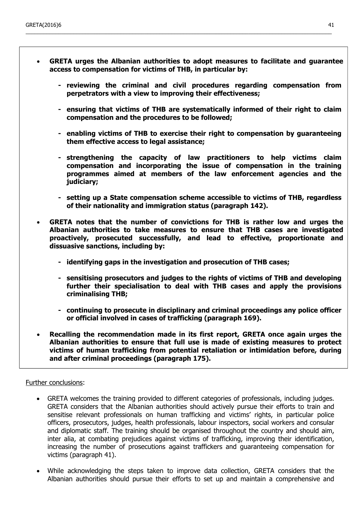**GRETA urges the Albanian authorities to adopt measures to facilitate and guarantee access to compensation for victims of THB, in particular by:**

\_\_\_\_\_\_\_\_\_\_\_\_\_\_\_\_\_\_\_\_\_\_\_\_\_\_\_\_\_\_\_\_\_\_\_\_\_\_\_\_\_\_\_\_\_\_\_\_\_\_\_\_\_\_\_\_\_\_\_\_\_\_\_\_\_\_\_\_\_\_\_\_\_\_\_\_\_\_\_\_\_\_\_\_\_\_\_\_\_\_\_\_\_\_\_\_\_\_\_\_\_\_\_

- **- reviewing the criminal and civil procedures regarding compensation from perpetrators with a view to improving their effectiveness;**
- **- ensuring that victims of THB are systematically informed of their right to claim compensation and the procedures to be followed;**
- **- enabling victims of THB to exercise their right to compensation by guaranteeing them effective access to legal assistance;**
- **- strengthening the capacity of law practitioners to help victims claim compensation and incorporating the issue of compensation in the training programmes aimed at members of the law enforcement agencies and the judiciary;**
- **- setting up a State compensation scheme accessible to victims of THB, regardless of their nationality and immigration status (paragraph 142).**
- **GRETA notes that the number of convictions for THB is rather low and urges the Albanian authorities to take measures to ensure that THB cases are investigated proactively, prosecuted successfully, and lead to effective, proportionate and dissuasive sanctions, including by:**
	- **- identifying gaps in the investigation and prosecution of THB cases;**
	- **- sensitising prosecutors and judges to the rights of victims of THB and developing further their specialisation to deal with THB cases and apply the provisions criminalising THB;**
	- **- continuing to prosecute in disciplinary and criminal proceedings any police officer or official involved in cases of trafficking (paragraph 169).**
- **Recalling the recommendation made in its first report, GRETA once again urges the Albanian authorities to ensure that full use is made of existing measures to protect victims of human trafficking from potential retaliation or intimidation before, during and after criminal proceedings (paragraph 175).**

#### Further conclusions:

- GRETA welcomes the training provided to different categories of professionals, including judges. GRETA considers that the Albanian authorities should actively pursue their efforts to train and sensitise relevant professionals on human trafficking and victims' rights, in particular police officers, prosecutors, judges, health professionals, labour inspectors, social workers and consular and diplomatic staff. The training should be organised throughout the country and should aim, inter alia, at combating prejudices against victims of trafficking, improving their identification, increasing the number of prosecutions against traffickers and guaranteeing compensation for victims (paragraph 41).
- While acknowledging the steps taken to improve data collection, GRETA considers that the Albanian authorities should pursue their efforts to set up and maintain a comprehensive and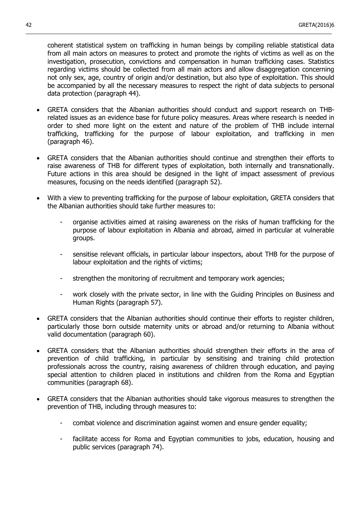coherent statistical system on trafficking in human beings by compiling reliable statistical data from all main actors on measures to protect and promote the rights of victims as well as on the investigation, prosecution, convictions and compensation in human trafficking cases. Statistics regarding victims should be collected from all main actors and allow disaggregation concerning not only sex, age, country of origin and/or destination, but also type of exploitation. This should be accompanied by all the necessary measures to respect the right of data subjects to personal data protection (paragraph 44).

- GRETA considers that the Albanian authorities should conduct and support research on THBrelated issues as an evidence base for future policy measures. Areas where research is needed in order to shed more light on the extent and nature of the problem of THB include internal trafficking, trafficking for the purpose of labour exploitation, and trafficking in men (paragraph 46).
- GRETA considers that the Albanian authorities should continue and strengthen their efforts to raise awareness of THB for different types of exploitation, both internally and transnationally. Future actions in this area should be designed in the light of impact assessment of previous measures, focusing on the needs identified (paragraph 52).
- With a view to preventing trafficking for the purpose of labour exploitation, GRETA considers that the Albanian authorities should take further measures to:
	- organise activities aimed at raising awareness on the risks of human trafficking for the purpose of labour exploitation in Albania and abroad, aimed in particular at vulnerable groups.
	- sensitise relevant officials, in particular labour inspectors, about THB for the purpose of labour exploitation and the rights of victims;
	- strengthen the monitoring of recruitment and temporary work agencies;
	- work closely with the private sector, in line with the Guiding Principles on Business and Human Rights (paragraph 57).
- GRETA considers that the Albanian authorities should continue their efforts to register children, particularly those born outside maternity units or abroad and/or returning to Albania without valid documentation (paragraph 60).
- GRETA considers that the Albanian authorities should strengthen their efforts in the area of prevention of child trafficking, in particular by sensitising and training child protection professionals across the country, raising awareness of children through education, and paying special attention to children placed in institutions and children from the Roma and Egyptian communities (paragraph 68).
- GRETA considers that the Albanian authorities should take vigorous measures to strengthen the prevention of THB, including through measures to:
	- combat violence and discrimination against women and ensure gender equality;
	- facilitate access for Roma and Egyptian communities to jobs, education, housing and public services (paragraph 74).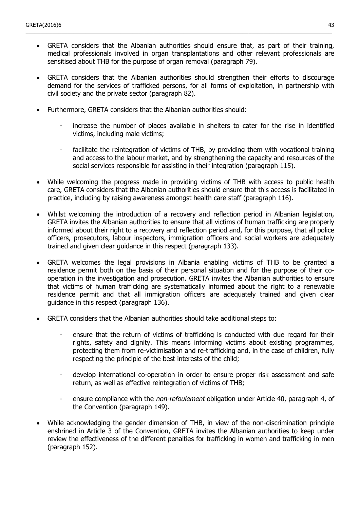GRETA considers that the Albanian authorities should ensure that, as part of their training, medical professionals involved in organ transplantations and other relevant professionals are sensitised about THB for the purpose of organ removal (paragraph 79).

- GRETA considers that the Albanian authorities should strengthen their efforts to discourage demand for the services of trafficked persons, for all forms of exploitation, in partnership with civil society and the private sector (paragraph 82).
- Furthermore, GRETA considers that the Albanian authorities should:
	- increase the number of places available in shelters to cater for the rise in identified victims, including male victims;
	- facilitate the reintegration of victims of THB, by providing them with vocational training and access to the labour market, and by strengthening the capacity and resources of the social services responsible for assisting in their integration (paragraph 115).
- While welcoming the progress made in providing victims of THB with access to public health care, GRETA considers that the Albanian authorities should ensure that this access is facilitated in practice, including by raising awareness amongst health care staff (paragraph 116).
- Whilst welcoming the introduction of a recovery and reflection period in Albanian legislation, GRETA invites the Albanian authorities to ensure that all victims of human trafficking are properly informed about their right to a recovery and reflection period and, for this purpose, that all police officers, prosecutors, labour inspectors, immigration officers and social workers are adequately trained and given clear guidance in this respect (paragraph 133).
- GRETA welcomes the legal provisions in Albania enabling victims of THB to be granted a residence permit both on the basis of their personal situation and for the purpose of their cooperation in the investigation and prosecution. GRETA invites the Albanian authorities to ensure that victims of human trafficking are systematically informed about the right to a renewable residence permit and that all immigration officers are adequately trained and given clear guidance in this respect (paragraph 136).
- GRETA considers that the Albanian authorities should take additional steps to:
	- ensure that the return of victims of trafficking is conducted with due regard for their rights, safety and dignity. This means informing victims about existing programmes, protecting them from re-victimisation and re-trafficking and, in the case of children, fully respecting the principle of the best interests of the child;
	- develop international co-operation in order to ensure proper risk assessment and safe return, as well as effective reintegration of victims of THB;
	- ensure compliance with the *non-refoulement* obligation under Article 40, paragraph 4, of the Convention (paragraph 149).
- While acknowledging the gender dimension of THB, in view of the non-discrimination principle enshrined in Article 3 of the Convention, GRETA invites the Albanian authorities to keep under review the effectiveness of the different penalties for trafficking in women and trafficking in men (paragraph 152).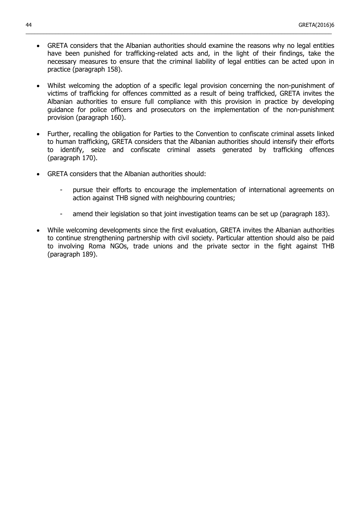GRETA considers that the Albanian authorities should examine the reasons why no legal entities have been punished for trafficking-related acts and, in the light of their findings, take the necessary measures to ensure that the criminal liability of legal entities can be acted upon in practice (paragraph 158).

- Whilst welcoming the adoption of a specific legal provision concerning the non-punishment of victims of trafficking for offences committed as a result of being trafficked, GRETA invites the Albanian authorities to ensure full compliance with this provision in practice by developing guidance for police officers and prosecutors on the implementation of the non-punishment provision (paragraph 160).
- Further, recalling the obligation for Parties to the Convention to confiscate criminal assets linked to human trafficking, GRETA considers that the Albanian authorities should intensify their efforts to identify, seize and confiscate criminal assets generated by trafficking offences (paragraph 170).
- GRETA considers that the Albanian authorities should:
	- pursue their efforts to encourage the implementation of international agreements on action against THB signed with neighbouring countries;
	- amend their legislation so that joint investigation teams can be set up (paragraph 183).
- While welcoming developments since the first evaluation, GRETA invites the Albanian authorities to continue strengthening partnership with civil society. Particular attention should also be paid to involving Roma NGOs, trade unions and the private sector in the fight against THB (paragraph 189).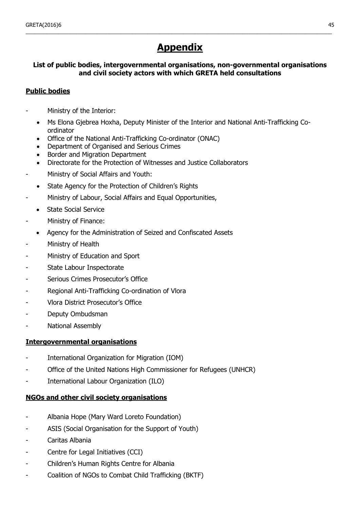# **Appendix**

<span id="page-44-0"></span>\_\_\_\_\_\_\_\_\_\_\_\_\_\_\_\_\_\_\_\_\_\_\_\_\_\_\_\_\_\_\_\_\_\_\_\_\_\_\_\_\_\_\_\_\_\_\_\_\_\_\_\_\_\_\_\_\_\_\_\_\_\_\_\_\_\_\_\_\_\_\_\_\_\_\_\_\_\_\_\_\_\_\_\_\_\_\_\_\_\_\_\_\_\_\_\_\_\_\_\_\_\_\_

## **List of public bodies, intergovernmental organisations, non-governmental organisations and civil society actors with which GRETA held consultations**

### **Public bodies**

- Ministry of the Interior:
	- Ms Elona Gjebrea Hoxha, Deputy Minister of the Interior and National Anti-Trafficking Coordinator
	- Office of the National Anti-Trafficking Co-ordinator (ONAC)
	- Department of Organised and Serious Crimes
	- Border and Migration Department
	- Directorate for the Protection of Witnesses and Justice Collaborators
- Ministry of Social Affairs and Youth:
	- State Agency for the Protection of Children's Rights
- Ministry of Labour, Social Affairs and Equal Opportunities,
	- State Social Service
- Ministry of Finance:
- Agency for the Administration of Seized and Confiscated Assets
- Ministry of Health
- Ministry of Education and Sport
- State Labour Inspectorate
- Serious Crimes Prosecutor's Office
- Regional Anti-Trafficking Co-ordination of Vlora
- Vlora District Prosecutor's Office
- Deputy Ombudsman
- National Assembly

#### **Intergovernmental organisations**

- International Organization for Migration (IOM)
- Office of the United Nations High Commissioner for Refugees (UNHCR)
- International Labour Organization (ILO)

#### **NGOs and other civil society organisations**

- Albania Hope (Mary Ward Loreto Foundation)
- ASIS (Social Organisation for the Support of Youth)
- Caritas Albania
- Centre for Legal Initiatives (CCI)
- Children's Human Rights Centre for Albania
- Coalition of NGOs to Combat Child Trafficking (BKTF)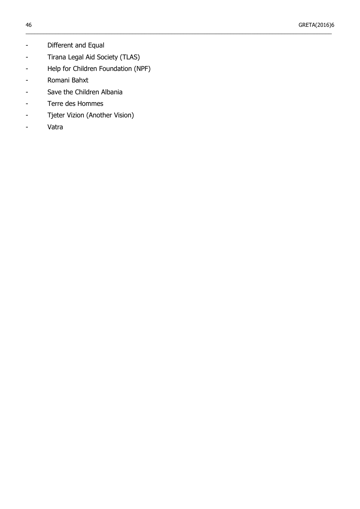- Different and Equal
- Tirana Legal Aid Society (TLAS)
- Help for Children Foundation (NPF)

- Romani Bahxt
- Save the Children Albania
- Terre des Hommes
- Tjeter Vizion (Another Vision)
- Vatra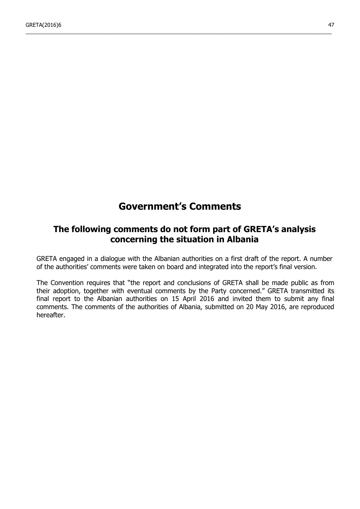## **Government's Comments**

\_\_\_\_\_\_\_\_\_\_\_\_\_\_\_\_\_\_\_\_\_\_\_\_\_\_\_\_\_\_\_\_\_\_\_\_\_\_\_\_\_\_\_\_\_\_\_\_\_\_\_\_\_\_\_\_\_\_\_\_\_\_\_\_\_\_\_\_\_\_\_\_\_\_\_\_\_\_\_\_\_\_\_\_\_\_\_\_\_\_\_\_\_\_\_\_\_\_\_\_\_\_\_

## <span id="page-46-0"></span>**The following comments do not form part of GRETA's analysis concerning the situation in Albania**

GRETA engaged in a dialogue with the Albanian authorities on a first draft of the report. A number of the authorities' comments were taken on board and integrated into the report's final version.

The Convention requires that "the report and conclusions of GRETA shall be made public as from their adoption, together with eventual comments by the Party concerned." GRETA transmitted its final report to the Albanian authorities on 15 April 2016 and invited them to submit any final comments. The comments of the authorities of Albania, submitted on 20 May 2016, are reproduced hereafter.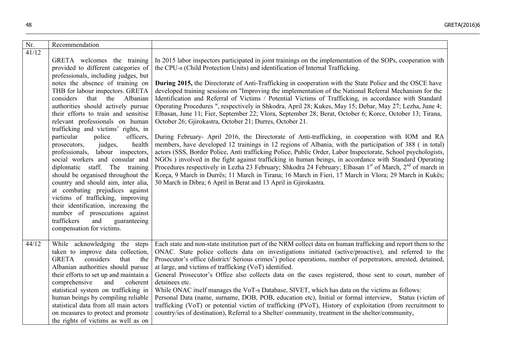| Nr.             | Recommendation                                                                                                                                                                                                                                                                                                                                                                                                                                                                                                                                                                                                                                                                                                                                                                                                                                                        |                                                                                                                                                                                                                                                                                                                                                                                                                                                                                                                                                                                                                                                                                                                                                                                                                                                                                                                                                                                                                                                                                                                                                                                                                                                                                                                                                                                                                                                                                                                                                                                    |
|-----------------|-----------------------------------------------------------------------------------------------------------------------------------------------------------------------------------------------------------------------------------------------------------------------------------------------------------------------------------------------------------------------------------------------------------------------------------------------------------------------------------------------------------------------------------------------------------------------------------------------------------------------------------------------------------------------------------------------------------------------------------------------------------------------------------------------------------------------------------------------------------------------|------------------------------------------------------------------------------------------------------------------------------------------------------------------------------------------------------------------------------------------------------------------------------------------------------------------------------------------------------------------------------------------------------------------------------------------------------------------------------------------------------------------------------------------------------------------------------------------------------------------------------------------------------------------------------------------------------------------------------------------------------------------------------------------------------------------------------------------------------------------------------------------------------------------------------------------------------------------------------------------------------------------------------------------------------------------------------------------------------------------------------------------------------------------------------------------------------------------------------------------------------------------------------------------------------------------------------------------------------------------------------------------------------------------------------------------------------------------------------------------------------------------------------------------------------------------------------------|
| $\frac{41}{12}$ | GRETA welcomes the training<br>provided to different categories of<br>professionals, including judges, but<br>notes the absence of training on<br>THB for labour inspectors. GRETA<br>Albanian<br>considers<br>that the<br>authorities should actively pursue<br>their efforts to train and sensitise<br>relevant professionals on human<br>trafficking and victims' rights, in<br>particular<br>police<br>officers.<br>health<br>prosecutors,<br>judges,<br>professionals, labour inspectors,<br>social workers and consular and<br>diplomatic staff. The training<br>should be organised throughout the<br>country and should aim, inter alia,<br>at combating prejudices against<br>victims of trafficking, improving<br>their identification, increasing the<br>number of prosecutions against<br>traffickers<br>and<br>guaranteeing<br>compensation for victims. | In 2015 labor inspectors participated in joint trainings on the implementation of the SOPs, cooperation with<br>the CPU-s (Child Protection Units) and identification of Internal Trafficking.<br><b>During 2015,</b> the Directorate of Anti-Trafficking in cooperation with the State Police and the OSCE have<br>developed training sessions on "Improving the implementation of the National Referral Mechanism for the<br>Identification and Referral of Victims / Potential Victims of Trafficking, in accordance with Standard<br>Operating Procedures ", respectively in Shkodra, April 28; Kukes, May 15; Debar, May 27; Lezha, June 4;<br>Elbasan, June 11; Fier, September 22; Vlora, September 28; Berat, October 6; Korce, October 13; Tirana,<br>October 26; Gjirokastra, October 21; Durres, October 21.<br>During February- April 2016, the Directorate of Anti-trafficking, in cooperation with IOM and RA<br>members, have developed 12 trainings in 12 regions of Albania, with the participation of 388 (in total)<br>actors (SSS, Border Police, Anti trafficking Police, Public Order, Labor Inspectorate, School psychologists,<br>NGOs) involved in the fight against trafficking in human beings, in accordance with Standard Operating<br>Procedures respectively in Lezha 23 February; Shkodra 24 February; Elbasan 1 <sup>st</sup> of March, 2 <sup>nd</sup> of march in<br>Korça, 9 March in Durrës; 11 March in Tirana; 16 March in Fieri, 17 March in Vlora; 29 March in Kukës;<br>30 March in Dibra; 6 April in Berat and 13 April in Gjirokastra. |
| 44/12           | While acknowledging the steps<br>taken to improve data collection,<br>considers<br><b>GRETA</b><br>that<br>the<br>Albanian authorities should pursue<br>their efforts to set up and maintain a<br>comprehensive<br>and<br>coherent<br>statistical system on trafficking in<br>human beings by compiling reliable<br>statistical data from all main actors<br>on measures to protect and promote<br>the rights of victims as well as on                                                                                                                                                                                                                                                                                                                                                                                                                                | Each state and non-state institution part of the NRM collect data on human trafficking and report them to the<br>ONAC. State police collects data on investigations initiated (active/proactive), and referred to the<br>Prosecutor's office (district/ Serious crimes') police operations, number of perpetrators, arrested, detained,<br>at large, and victims of trafficking (VoT) identified.<br>General Prosecutor's Office also collects data on the cases registered, those sent to court, number of<br>detainees etc.<br>While ONAC itself manages the VoT-s Database, SIVET, which has data on the victims as follows:<br>Personal Data (name, surname, DOB, POB, education etc), Initial or formal interview, Status (victim of<br>trafficking (VoT) or potential victim of trafficking (PVoT), History of exploitation (from recruitment to<br>country/ies of destination), Referral to a Shelter/community, treatment in the shelter/community,                                                                                                                                                                                                                                                                                                                                                                                                                                                                                                                                                                                                                        |

\_\_\_\_\_\_\_\_\_\_\_\_\_\_\_\_\_\_\_\_\_\_\_\_\_\_\_\_\_\_\_\_\_\_\_\_\_\_\_\_\_\_\_\_\_\_\_\_\_\_\_\_\_\_\_\_\_\_\_\_\_\_\_\_\_\_\_\_\_\_\_\_\_\_\_\_\_\_\_\_\_\_\_\_\_\_\_\_\_\_\_\_\_\_\_\_\_\_\_\_\_\_\_\_\_\_\_\_\_\_\_\_\_\_\_\_\_\_\_\_\_\_\_\_\_\_\_\_\_\_\_\_\_\_\_\_\_\_\_\_\_\_\_\_\_\_\_\_\_\_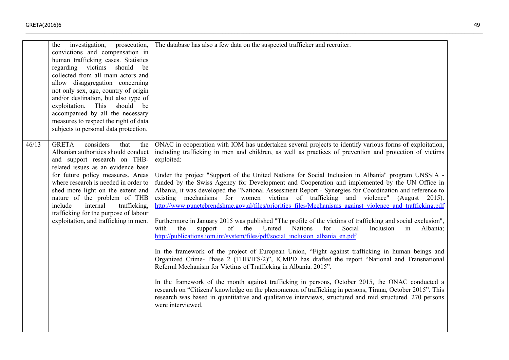|       | investigation,<br>prosecution,<br>the<br>convictions and compensation in<br>human trafficking cases. Statistics<br>regarding victims should<br>be<br>collected from all main actors and<br>allow disaggregation concerning<br>not only sex, age, country of origin<br>and/or destination, but also type of<br>should be<br>exploitation. This<br>accompanied by all the necessary<br>measures to respect the right of data<br>subjects to personal data protection. | The database has also a few data on the suspected trafficker and recruiter.                                                                                                                                                                                                                                                                                                                                                                                                                                                                                                                                                                                                                                                                                                                                                                                                                                                                                                                                                                                                                                                                                                                                                                                                                                                                                                                                                                                                                                                                                                                                                                                                                    |
|-------|---------------------------------------------------------------------------------------------------------------------------------------------------------------------------------------------------------------------------------------------------------------------------------------------------------------------------------------------------------------------------------------------------------------------------------------------------------------------|------------------------------------------------------------------------------------------------------------------------------------------------------------------------------------------------------------------------------------------------------------------------------------------------------------------------------------------------------------------------------------------------------------------------------------------------------------------------------------------------------------------------------------------------------------------------------------------------------------------------------------------------------------------------------------------------------------------------------------------------------------------------------------------------------------------------------------------------------------------------------------------------------------------------------------------------------------------------------------------------------------------------------------------------------------------------------------------------------------------------------------------------------------------------------------------------------------------------------------------------------------------------------------------------------------------------------------------------------------------------------------------------------------------------------------------------------------------------------------------------------------------------------------------------------------------------------------------------------------------------------------------------------------------------------------------------|
| 46/13 | considers<br><b>GRETA</b><br>that<br>the<br>Albanian authorities should conduct<br>and support research on THB-<br>related issues as an evidence base<br>for future policy measures. Areas<br>where research is needed in order to<br>shed more light on the extent and<br>nature of the problem of THB<br>include<br>internal<br>trafficking,<br>trafficking for the purpose of labour<br>exploitation, and trafficking in men.                                    | ONAC in cooperation with IOM has undertaken several projects to identify various forms of exploitation,<br>including trafficking in men and children, as well as practices of prevention and protection of victims<br>exploited:<br>Under the project "Support of the United Nations for Social Inclusion in Albania" program UNSSIA -<br>funded by the Swiss Agency for Development and Cooperation and implemented by the UN Office in<br>Albania, it was developed the "National Assessment Report - Synergies for Coordination and reference to<br>existing mechanisms for women victims of trafficking and violence" (August 2015).<br>http://www.punetebrendshme.gov.al/files/priorities files/Mechanisms against violence and trafficking.pdf<br>Furthermore in January 2015 was published "The profile of the victims of trafficking and social exclusion",<br>United<br>for<br>Social<br>with<br>the<br>of<br>the<br>Nations<br>Inclusion<br>in<br>support<br>Albania;<br>http://publications.iom.int/system/files/pdf/social_inclusion_albania_en.pdf<br>In the framework of the project of European Union, "Fight against trafficking in human beings and<br>Organized Crime- Phase 2 (THB/IFS/2)", ICMPD has drafted the report "National and Transnational<br>Referral Mechanism for Victims of Trafficking in Albania. 2015".<br>In the framework of the month against trafficking in persons, October 2015, the ONAC conducted a<br>research on "Citizens' knowledge on the phenomenon of trafficking in persons, Tirana, October 2015". This<br>research was based in quantitative and qualitative interviews, structured and mid structured. 270 persons<br>were interviewed. |

 $\_$  , and the set of the set of the set of the set of the set of the set of the set of the set of the set of the set of the set of the set of the set of the set of the set of the set of the set of the set of the set of th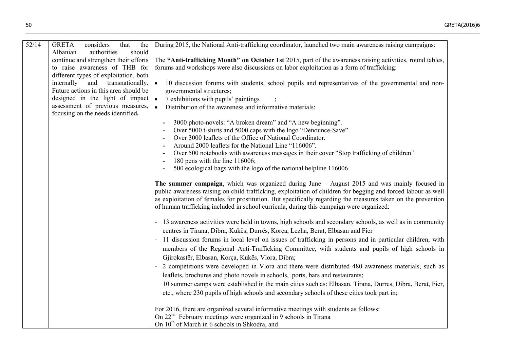| 52/14 | <b>GRETA</b><br>considers<br>that<br>the<br>should<br>Albanian<br>authorities | During 2015, the National Anti-trafficking coordinator, launched two main awareness raising campaigns:                                                                                                                                                                                                                                                                                                                     |
|-------|-------------------------------------------------------------------------------|----------------------------------------------------------------------------------------------------------------------------------------------------------------------------------------------------------------------------------------------------------------------------------------------------------------------------------------------------------------------------------------------------------------------------|
|       | continue and strengthen their efforts                                         | The "Anti-trafficking Month" on October 1st 2015, part of the awareness raising activities, round tables,                                                                                                                                                                                                                                                                                                                  |
|       | to raise awareness of THB for<br>different types of exploitation, both        | forums and workshops were also discussions on labor exploitation as a form of trafficking:                                                                                                                                                                                                                                                                                                                                 |
|       | and transnationally.<br>internally                                            | 10 discussion forums with students, school pupils and representatives of the governmental and non-<br>$\bullet$                                                                                                                                                                                                                                                                                                            |
|       | Future actions in this area should be                                         | governmental structures;                                                                                                                                                                                                                                                                                                                                                                                                   |
|       | designed in the light of impact                                               | $\bullet$<br>7 exhibitions with pupils' paintings                                                                                                                                                                                                                                                                                                                                                                          |
|       | assessment of previous measures,<br>focusing on the needs identified.         | $\bullet$<br>Distribution of the awareness and informative materials:                                                                                                                                                                                                                                                                                                                                                      |
|       |                                                                               | 3000 photo-novels: "A broken dream" and "A new beginning".                                                                                                                                                                                                                                                                                                                                                                 |
|       |                                                                               | Over 5000 t-shirts and 5000 caps with the logo "Denounce-Save".                                                                                                                                                                                                                                                                                                                                                            |
|       |                                                                               | Over 3000 leaflets of the Office of National Coordinator.<br>Around 2000 leaflets for the National Line "116006".                                                                                                                                                                                                                                                                                                          |
|       |                                                                               | Over 500 notebooks with awareness messages in their cover "Stop trafficking of children"                                                                                                                                                                                                                                                                                                                                   |
|       |                                                                               | 180 pens with the line $116006$ ;                                                                                                                                                                                                                                                                                                                                                                                          |
|       |                                                                               | 500 ecological bags with the logo of the national helpline 116006.                                                                                                                                                                                                                                                                                                                                                         |
|       |                                                                               | The summer campaign, which was organized during June $-$ August 2015 and was mainly focused in<br>public awareness raising on child trafficking, exploitation of children for begging and forced labour as well<br>as exploitation of females for prostitution. But specifically regarding the measures taken on the prevention<br>of human trafficking included in school curricula, during this campaign were organized: |
|       |                                                                               | 13 awareness activities were held in towns, high schools and secondary schools, as well as in community<br>centres in Tirana, Dibra, Kukës, Durrës, Korça, Lezha, Berat, Elbasan and Fier                                                                                                                                                                                                                                  |
|       |                                                                               | 11 discussion forums in local level on issues of trafficking in persons and in particular children, with                                                                                                                                                                                                                                                                                                                   |
|       |                                                                               | members of the Regional Anti-Trafficking Committee, with students and pupils of high schools in                                                                                                                                                                                                                                                                                                                            |
|       |                                                                               | Gjirokastër, Elbasan, Korça, Kukës, Vlora, Dibra;                                                                                                                                                                                                                                                                                                                                                                          |
|       |                                                                               | 2 competitions were developed in Vlora and there were distributed 480 awareness materials, such as                                                                                                                                                                                                                                                                                                                         |
|       |                                                                               | leaflets, brochures and photo novels in schools, ports, bars and restaurants;                                                                                                                                                                                                                                                                                                                                              |
|       |                                                                               | 10 summer camps were established in the main cities such as: Elbasan, Tirana, Durres, Dibra, Berat, Fier,                                                                                                                                                                                                                                                                                                                  |
|       |                                                                               | etc., where 230 pupils of high schools and secondary schools of these cities took part in;                                                                                                                                                                                                                                                                                                                                 |
|       |                                                                               | For 2016, there are organized several informative meetings with students as follows:                                                                                                                                                                                                                                                                                                                                       |
|       |                                                                               | On 22 <sup>nd</sup> February meetings were organized in 9 schools in Tirana                                                                                                                                                                                                                                                                                                                                                |
|       |                                                                               | On 10 <sup>th</sup> of March in 6 schools in Shkodra, and                                                                                                                                                                                                                                                                                                                                                                  |

\_\_\_\_\_\_\_\_\_\_\_\_\_\_\_\_\_\_\_\_\_\_\_\_\_\_\_\_\_\_\_\_\_\_\_\_\_\_\_\_\_\_\_\_\_\_\_\_\_\_\_\_\_\_\_\_\_\_\_\_\_\_\_\_\_\_\_\_\_\_\_\_\_\_\_\_\_\_\_\_\_\_\_\_\_\_\_\_\_\_\_\_\_\_\_\_\_\_\_\_\_\_\_\_\_\_\_\_\_\_\_\_\_\_\_\_\_\_\_\_\_\_\_\_\_\_\_\_\_\_\_\_\_\_\_\_\_\_\_\_\_\_\_\_\_\_\_\_\_\_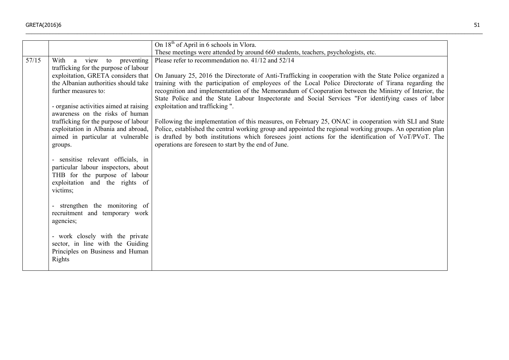|       |                                                                                                                                                                                                                                                                                                                                                                                          | On 18 <sup>th</sup> of April in 6 schools in Vlora.                                                                                                                                                                                                                                                                                                                                                                                                                                                                                                                                                                                                                                                                                                                                                                                                                                                             |
|-------|------------------------------------------------------------------------------------------------------------------------------------------------------------------------------------------------------------------------------------------------------------------------------------------------------------------------------------------------------------------------------------------|-----------------------------------------------------------------------------------------------------------------------------------------------------------------------------------------------------------------------------------------------------------------------------------------------------------------------------------------------------------------------------------------------------------------------------------------------------------------------------------------------------------------------------------------------------------------------------------------------------------------------------------------------------------------------------------------------------------------------------------------------------------------------------------------------------------------------------------------------------------------------------------------------------------------|
|       |                                                                                                                                                                                                                                                                                                                                                                                          | These meetings were attended by around 660 students, teachers, psychologists, etc.                                                                                                                                                                                                                                                                                                                                                                                                                                                                                                                                                                                                                                                                                                                                                                                                                              |
| 57/15 | With<br>a view to preventing<br>trafficking for the purpose of labour<br>exploitation, GRETA considers that<br>the Albanian authorities should take<br>further measures to:<br>- organise activities aimed at raising<br>awareness on the risks of human<br>trafficking for the purpose of labour<br>exploitation in Albania and abroad,<br>aimed in particular at vulnerable<br>groups. | Please refer to recommendation no. 41/12 and 52/14<br>On January 25, 2016 the Directorate of Anti-Trafficking in cooperation with the State Police organized a<br>training with the participation of employees of the Local Police Directorate of Tirana regarding the<br>recognition and implementation of the Memorandum of Cooperation between the Ministry of Interior, the<br>State Police and the State Labour Inspectorate and Social Services "For identifying cases of labor<br>exploitation and trafficking ".<br>Following the implementation of this measures, on February 25, ONAC in cooperation with SLI and State<br>Police, established the central working group and appointed the regional working groups. An operation plan<br>is drafted by both institutions which foresees joint actions for the identification of VoT/PVoT. The<br>operations are foreseen to start by the end of June. |
|       | - sensitise relevant officials, in<br>particular labour inspectors, about<br>THB for the purpose of labour<br>exploitation and the rights of<br>victims;                                                                                                                                                                                                                                 |                                                                                                                                                                                                                                                                                                                                                                                                                                                                                                                                                                                                                                                                                                                                                                                                                                                                                                                 |
|       | - strengthen the monitoring of<br>recruitment and temporary work<br>agencies;                                                                                                                                                                                                                                                                                                            |                                                                                                                                                                                                                                                                                                                                                                                                                                                                                                                                                                                                                                                                                                                                                                                                                                                                                                                 |
|       | - work closely with the private<br>sector, in line with the Guiding<br>Principles on Business and Human<br>Rights                                                                                                                                                                                                                                                                        |                                                                                                                                                                                                                                                                                                                                                                                                                                                                                                                                                                                                                                                                                                                                                                                                                                                                                                                 |

 $\_$  , and the set of the set of the set of the set of the set of the set of the set of the set of the set of the set of the set of the set of the set of the set of the set of the set of the set of the set of the set of th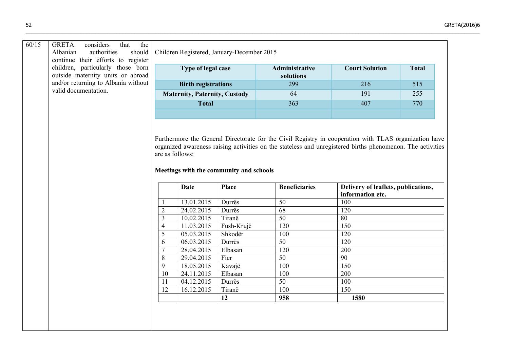|  | children, particularly those born<br>outside maternity units or abroad<br>and/or returning to Albania without<br>valid documentation. |                                                                                                                                                                                                                                                                                   | Type of legal case<br><b>Birth registrations</b> |              | <b>Administrative</b> | <b>Court Solution</b>                                   | <b>Total</b> |  |
|--|---------------------------------------------------------------------------------------------------------------------------------------|-----------------------------------------------------------------------------------------------------------------------------------------------------------------------------------------------------------------------------------------------------------------------------------|--------------------------------------------------|--------------|-----------------------|---------------------------------------------------------|--------------|--|
|  |                                                                                                                                       |                                                                                                                                                                                                                                                                                   |                                                  |              | solutions             |                                                         |              |  |
|  |                                                                                                                                       |                                                                                                                                                                                                                                                                                   |                                                  |              | 299                   | 216                                                     | 515          |  |
|  |                                                                                                                                       |                                                                                                                                                                                                                                                                                   | <b>Maternity, Paternity, Custody</b>             |              | 64                    | 191                                                     | 255          |  |
|  |                                                                                                                                       |                                                                                                                                                                                                                                                                                   | <b>Total</b>                                     |              | 363                   | 407                                                     | 770          |  |
|  |                                                                                                                                       |                                                                                                                                                                                                                                                                                   |                                                  |              |                       |                                                         |              |  |
|  |                                                                                                                                       | Furthermore the General Directorate for the Civil Registry in cooperation with TLAS organization have<br>organized awareness raising activities on the stateless and unregistered births phenomenon. The activities<br>are as follows:<br>Meetings with the community and schools |                                                  |              |                       |                                                         |              |  |
|  |                                                                                                                                       |                                                                                                                                                                                                                                                                                   | <b>Date</b>                                      | <b>Place</b> | <b>Beneficiaries</b>  | Delivery of leaflets, publications,<br>information etc. |              |  |
|  |                                                                                                                                       |                                                                                                                                                                                                                                                                                   | 13.01.2015                                       | Durrës       | $\overline{50}$       | 100                                                     |              |  |
|  |                                                                                                                                       | $\sqrt{2}$                                                                                                                                                                                                                                                                        | 24.02.2015                                       | Durrës       | 68                    | 120                                                     |              |  |
|  |                                                                                                                                       | $\overline{3}$                                                                                                                                                                                                                                                                    | 10.02.2015                                       | Tiranë       | 50                    | 80                                                      |              |  |
|  |                                                                                                                                       | $\overline{4}$                                                                                                                                                                                                                                                                    | 11.03.2015                                       | Fush-Krujë   | 120                   | 150                                                     |              |  |
|  |                                                                                                                                       | 5                                                                                                                                                                                                                                                                                 | 05.03.2015                                       | Shkodër      | 100                   | 120                                                     |              |  |
|  |                                                                                                                                       | 6                                                                                                                                                                                                                                                                                 | 06.03.2015                                       | Durrës       | 50                    | 120                                                     |              |  |
|  |                                                                                                                                       | $\overline{7}$                                                                                                                                                                                                                                                                    | 28.04.2015                                       | Elbasan      | 120                   | 200                                                     |              |  |
|  |                                                                                                                                       | 8                                                                                                                                                                                                                                                                                 | 29.04.2015                                       | Fier         | $\overline{50}$       | $\overline{90}$                                         |              |  |
|  |                                                                                                                                       | 9                                                                                                                                                                                                                                                                                 | 18.05.2015                                       | Kavajë       | 100                   | 150                                                     |              |  |
|  |                                                                                                                                       | 10                                                                                                                                                                                                                                                                                | 24.11.2015                                       | Elbasan      | 100                   | 200                                                     |              |  |
|  |                                                                                                                                       | 11                                                                                                                                                                                                                                                                                | 04.12.2015                                       | Durrës       | $\overline{50}$       | 100                                                     |              |  |
|  |                                                                                                                                       | 12                                                                                                                                                                                                                                                                                | 16.12.2015                                       | Tiranë       | 100                   | 150                                                     |              |  |
|  |                                                                                                                                       |                                                                                                                                                                                                                                                                                   |                                                  | 12           | 958                   | 1580                                                    |              |  |

\_\_\_\_\_\_\_\_\_\_\_\_\_\_\_\_\_\_\_\_\_\_\_\_\_\_\_\_\_\_\_\_\_\_\_\_\_\_\_\_\_\_\_\_\_\_\_\_\_\_\_\_\_\_\_\_\_\_\_\_\_\_\_\_\_\_\_\_\_\_\_\_\_\_\_\_\_\_\_\_\_\_\_\_\_\_\_\_\_\_\_\_\_\_\_\_\_\_\_\_\_\_\_\_\_\_\_\_\_\_\_\_\_\_\_\_\_\_\_\_\_\_\_\_\_\_\_\_\_\_\_\_\_\_\_\_\_\_\_\_\_\_\_\_\_\_\_\_\_\_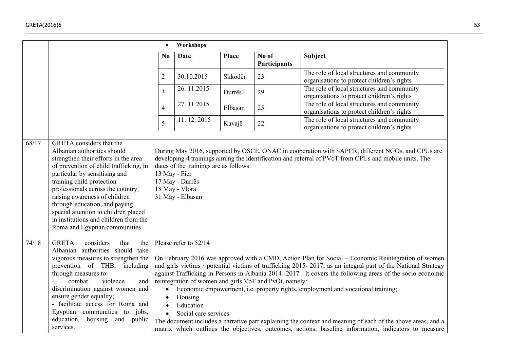|       |                                                                                                                                                                                                                                                                                                                                                                                                                                          | $\bullet$                                        | Workshops                                                                                                        |              |                                                        |                                                                                                                                                                                                                                                                                                                                                                                                                                                                                                                                                                                                                                           |
|-------|------------------------------------------------------------------------------------------------------------------------------------------------------------------------------------------------------------------------------------------------------------------------------------------------------------------------------------------------------------------------------------------------------------------------------------------|--------------------------------------------------|------------------------------------------------------------------------------------------------------------------|--------------|--------------------------------------------------------|-------------------------------------------------------------------------------------------------------------------------------------------------------------------------------------------------------------------------------------------------------------------------------------------------------------------------------------------------------------------------------------------------------------------------------------------------------------------------------------------------------------------------------------------------------------------------------------------------------------------------------------------|
|       |                                                                                                                                                                                                                                                                                                                                                                                                                                          | No                                               | <b>Date</b>                                                                                                      | <b>Place</b> | No of<br>Participants                                  | <b>Subject</b>                                                                                                                                                                                                                                                                                                                                                                                                                                                                                                                                                                                                                            |
|       |                                                                                                                                                                                                                                                                                                                                                                                                                                          | $\overline{2}$                                   | 30.10.2015                                                                                                       | Shkodër      | 23                                                     | The role of local structures and community<br>organisations to protect children's rights                                                                                                                                                                                                                                                                                                                                                                                                                                                                                                                                                  |
|       |                                                                                                                                                                                                                                                                                                                                                                                                                                          | $\overline{3}$                                   | 26.11.2015                                                                                                       | Durrës       | 29                                                     | The role of local structures and community<br>organisations to protect children's rights                                                                                                                                                                                                                                                                                                                                                                                                                                                                                                                                                  |
|       |                                                                                                                                                                                                                                                                                                                                                                                                                                          | $\overline{4}$                                   | 27.11.2015                                                                                                       | Elbasan      | 25                                                     | The role of local structures and community<br>organisations to protect children's rights                                                                                                                                                                                                                                                                                                                                                                                                                                                                                                                                                  |
|       |                                                                                                                                                                                                                                                                                                                                                                                                                                          | 5                                                | 11.12.2015                                                                                                       | Kavajë       | 22                                                     | The role of local structures and community<br>organisations to protect children's rights                                                                                                                                                                                                                                                                                                                                                                                                                                                                                                                                                  |
| 68/17 | <b>GRETA</b> considers that the<br>Albanian authorities should<br>strengthen their efforts in the area<br>of prevention of child trafficking, in<br>particular by sensitising and<br>training child protection<br>professionals across the country,<br>raising awareness of children<br>through education, and paying<br>special attention to children placed<br>in institutions and children from the<br>Roma and Egyptian communities. |                                                  | dates of the trainings are as follows:<br>13 May - Fier<br>17 May - Durrës<br>18 May - Vlora<br>31 May - Elbasan |              |                                                        | During May 2016, supported by OSCE, ONAC in cooperation with SAPCR, different NGOs, and CPUs are<br>developing 4 trainings aiming the identification and referral of PVoT from CPUs and mobile units. The                                                                                                                                                                                                                                                                                                                                                                                                                                 |
| 74/18 | <b>GRETA</b><br>considers<br>that<br>the<br>Albanian authorities should take<br>vigorous measures to strengthen the<br>prevention of THB, including<br>through measures to:<br>combat<br>violence<br>and<br>discrimination against women and<br>ensure gender equality;<br>- facilitate access for Roma and<br>Egyptian communities to jobs,<br>education, housing and<br>public<br>services.                                            | $\bullet$<br>$\bullet$<br>$\bullet$<br>$\bullet$ | Please refer to 52/14<br>Housing<br>Education<br>Social care services                                            |              | reintegration of women and girls VoT and PvOt, namely: | On February 2016 was approved with a CMD, Action Plan for Social – Economic Reintegration of women<br>and girls victims / potential victims of trafficking 2015-2017, as an integral part of the National Strategy<br>against Trafficking in Persons in Albania 2014 -2017. It covers the following areas of the socio economic<br>Economic empowerment, i.e. property rights, employment and vocational training;<br>The document includes a narrative part explaining the context and meaning of each of the above areas, and a<br>matrix which outlines the objectives, outcomes, actions, baseline information, indicators to measure |

 $\_$  , and the set of the set of the set of the set of the set of the set of the set of the set of the set of the set of the set of the set of the set of the set of the set of the set of the set of the set of the set of th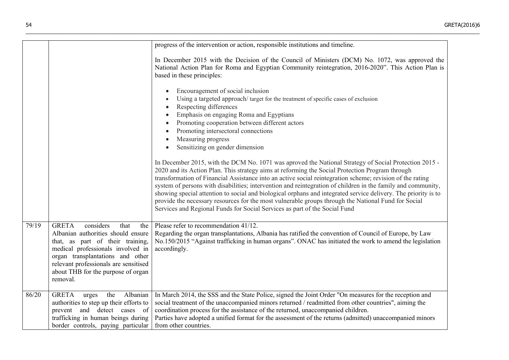|       |                                                                                                                                                                                                                                                                                        | progress of the intervention or action, responsible institutions and timeline.                                                                                                                                                                                                                                                                                                                                                                                                                                                                                                                                                                                                                                                               |
|-------|----------------------------------------------------------------------------------------------------------------------------------------------------------------------------------------------------------------------------------------------------------------------------------------|----------------------------------------------------------------------------------------------------------------------------------------------------------------------------------------------------------------------------------------------------------------------------------------------------------------------------------------------------------------------------------------------------------------------------------------------------------------------------------------------------------------------------------------------------------------------------------------------------------------------------------------------------------------------------------------------------------------------------------------------|
|       |                                                                                                                                                                                                                                                                                        | In December 2015 with the Decision of the Council of Ministers (DCM) No. 1072, was approved the<br>National Action Plan for Roma and Egyptian Community reintegration, 2016-2020". This Action Plan is<br>based in these principles:                                                                                                                                                                                                                                                                                                                                                                                                                                                                                                         |
|       |                                                                                                                                                                                                                                                                                        | Encouragement of social inclusion<br>Using a targeted approach/target for the treatment of specific cases of exclusion<br>Respecting differences<br>$\bullet$<br>Emphasis on engaging Roma and Egyptians<br>Promoting cooperation between different actors<br>Promoting intersectoral connections<br>Measuring progress<br>Sensitizing on gender dimension                                                                                                                                                                                                                                                                                                                                                                                   |
|       |                                                                                                                                                                                                                                                                                        | In December 2015, with the DCM No. 1071 was aproved the National Strategy of Social Protection 2015 -<br>2020 and its Action Plan. This strategy aims at reforming the Social Protection Program through<br>transformation of Financial Assistance into an active social reintegration scheme; revision of the rating<br>system of persons with disabilities; intervention and reintegration of children in the family and community,<br>showing special attention to social and biological orphans and integrated service delivery. The priority is to<br>provide the necessary resources for the most vulnerable groups through the National Fund for Social<br>Services and Regional Funds for Social Services as part of the Social Fund |
| 79/19 | considers<br><b>GRETA</b><br>that<br>the<br>Albanian authorities should ensure<br>that, as part of their training,<br>medical professionals involved in<br>organ transplantations and other<br>relevant professionals are sensitised<br>about THB for the purpose of organ<br>removal. | Please refer to recommendation 41/12.<br>Regarding the organ transplantations, Albania has ratified the convention of Council of Europe, by Law<br>No.150/2015 "Against trafficking in human organs". ONAC has initiated the work to amend the legislation<br>accordingly.                                                                                                                                                                                                                                                                                                                                                                                                                                                                   |
| 86/20 | Albanian<br><b>GRETA</b><br>urges<br>the<br>authorities to step up their efforts to<br>prevent and detect cases of<br>trafficking in human beings during<br>border controls, paying particular                                                                                         | In March 2014, the SSS and the State Police, signed the Joint Order "On measures for the reception and<br>social treatment of the unaccompanied minors returned / readmitted from other countries", aiming the<br>coordination process for the assistance of the returned, unaccompanied children.<br>Parties have adopted a unified format for the assessment of the returns (admitted) unaccompanied minors<br>from other countries.                                                                                                                                                                                                                                                                                                       |

\_\_\_\_\_\_\_\_\_\_\_\_\_\_\_\_\_\_\_\_\_\_\_\_\_\_\_\_\_\_\_\_\_\_\_\_\_\_\_\_\_\_\_\_\_\_\_\_\_\_\_\_\_\_\_\_\_\_\_\_\_\_\_\_\_\_\_\_\_\_\_\_\_\_\_\_\_\_\_\_\_\_\_\_\_\_\_\_\_\_\_\_\_\_\_\_\_\_\_\_\_\_\_\_\_\_\_\_\_\_\_\_\_\_\_\_\_\_\_\_\_\_\_\_\_\_\_\_\_\_\_\_\_\_\_\_\_\_\_\_\_\_\_\_\_\_\_\_\_\_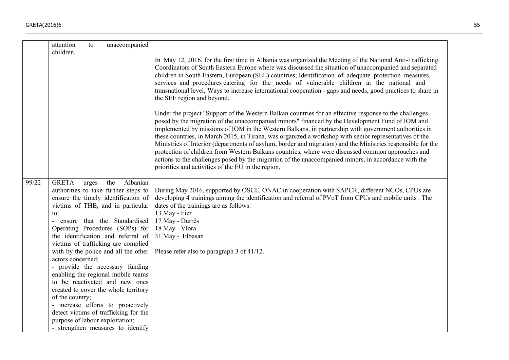|       | attention<br>children.                                                                         | to    | unaccompanied                                                                                                                                                                                                                                                                                                                                                                                                                                                                                                                                                                                       |                                                                                                                                                                                                                                                                                                                                                                                                                                                                                                                                                                                                                                                                                                                                                                                                               |
|-------|------------------------------------------------------------------------------------------------|-------|-----------------------------------------------------------------------------------------------------------------------------------------------------------------------------------------------------------------------------------------------------------------------------------------------------------------------------------------------------------------------------------------------------------------------------------------------------------------------------------------------------------------------------------------------------------------------------------------------------|---------------------------------------------------------------------------------------------------------------------------------------------------------------------------------------------------------------------------------------------------------------------------------------------------------------------------------------------------------------------------------------------------------------------------------------------------------------------------------------------------------------------------------------------------------------------------------------------------------------------------------------------------------------------------------------------------------------------------------------------------------------------------------------------------------------|
|       |                                                                                                |       |                                                                                                                                                                                                                                                                                                                                                                                                                                                                                                                                                                                                     | In May 12, 2016, for the first time in Albania was organized the Meeting of the National Anti-Trafficking<br>Coordinators of South Eastern Europe where was discussed the situation of unaccompanied and separated<br>children in South Eastern, European (SEE) countries; Identification of adequate protection measures,<br>services and procedures catering for the needs of vulnerable children at the national and<br>transnational level; Ways to increase international cooperation - gaps and needs, good practices to share in<br>the SEE region and beyond.                                                                                                                                                                                                                                         |
|       |                                                                                                |       |                                                                                                                                                                                                                                                                                                                                                                                                                                                                                                                                                                                                     | Under the project "Support of the Western Balkan countries for an effective response to the challenges<br>posed by the migration of the unaccompanied minors" financed by the Development Fund of IOM and<br>implemented by missions of IOM in the Western Balkans, in partnership with government authorities in<br>these countries, in March 2015, in Tirana, was organized a workshop with senior representatives of the<br>Ministries of Interior (departments of asylum, border and migration) and the Ministries responsible for the<br>protection of children from Western Balkans countries, where were discussed common approaches and<br>actions to the challenges posed by the migration of the unaccompanied minors, in accordance with the<br>priorities and activities of the EU in the region. |
| 99/22 | <b>GRETA</b><br>to:<br>actors concerned;<br>of the country;<br>purpose of labour exploitation; | urges | the<br>Albanian<br>authorities to take further steps to<br>ensure the timely identification of<br>victims of THB, and in particular<br>- ensure that the Standardised<br>Operating Procedures (SOPs) for<br>the identification and referral of<br>victims of trafficking are complied<br>with by the police and all the other<br>- provide the necessary funding<br>enabling the regional mobile teams<br>to be reactivated and new ones<br>created to cover the whole territory<br>- increase efforts to proactively<br>detect victims of trafficking for the<br>- strengthen measures to identify | During May 2016, supported by OSCE, ONAC in cooperation with SAPCR, different NGOs, CPUs are<br>developing 4 trainings aiming the identification and referral of PVoT from CPUs and mobile units. The<br>dates of the trainings are as follows:<br>13 May - Fier<br>17 May - Durrës<br>18 May - Vlora<br>31 May - Elbasan<br>Please refer also to paragraph 3 of 41/12.                                                                                                                                                                                                                                                                                                                                                                                                                                       |

 $\_$  , and the set of the set of the set of the set of the set of the set of the set of the set of the set of the set of the set of the set of the set of the set of the set of the set of the set of the set of the set of th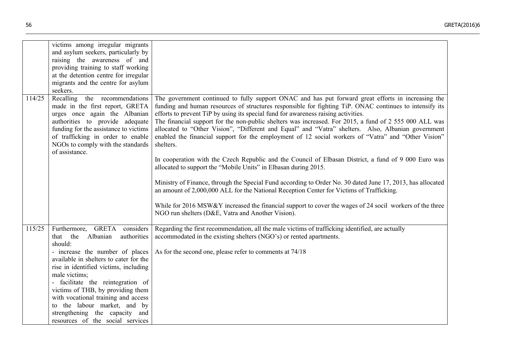|        | victims among irregular migrants<br>and asylum seekers, particularly by<br>raising the awareness of and<br>providing training to staff working<br>at the detention centre for irregular<br>migrants and the centre for asylum<br>seekers.                                                                                                            |                                                                                                                                                                                                                                                                                                                                                                                                                                                                                                                                                                                                                                                                                                                                                                                                                                                                                                                                                                                                                                                                                                                                                                                               |
|--------|------------------------------------------------------------------------------------------------------------------------------------------------------------------------------------------------------------------------------------------------------------------------------------------------------------------------------------------------------|-----------------------------------------------------------------------------------------------------------------------------------------------------------------------------------------------------------------------------------------------------------------------------------------------------------------------------------------------------------------------------------------------------------------------------------------------------------------------------------------------------------------------------------------------------------------------------------------------------------------------------------------------------------------------------------------------------------------------------------------------------------------------------------------------------------------------------------------------------------------------------------------------------------------------------------------------------------------------------------------------------------------------------------------------------------------------------------------------------------------------------------------------------------------------------------------------|
| 114/25 | Recalling<br>the recommendations<br>made in the first report, GRETA<br>urges once again the Albanian<br>authorities to provide adequate<br>funding for the assistance to victims<br>of trafficking in order to enable<br>NGOs to comply with the standards<br>of assistance.                                                                         | The government continued to fully support ONAC and has put forward great efforts in increasing the<br>funding and human resources of structures responsible for fighting TiP. ONAC continues to intensify its<br>efforts to prevent TiP by using its special fund for awareness raising activities.<br>The financial support for the non-public shelters was increased. For 2015, a fund of 2 555 000 ALL was<br>allocated to "Other Vision", "Different and Equal" and "Vatra" shelters. Also, Albanian government<br>enabled the financial support for the employment of 12 social workers of "Vatra" and "Other Vision"<br>shelters.<br>In cooperation with the Czech Republic and the Council of Elbasan District, a fund of 9 000 Euro was<br>allocated to support the "Mobile Units" in Elbasan during 2015.<br>Ministry of Finance, through the Special Fund according to Order No. 30 dated June 17, 2013, has allocated<br>an amount of 2,000,000 ALL for the National Reception Center for Victims of Trafficking.<br>While for 2016 MSW&Y increased the financial support to cover the wages of 24 socil workers of the three<br>NGO run shelters (D&E, Vatra and Another Vision). |
| 115/25 | <b>GRETA</b><br>considers<br>Furthermore,<br>the<br>Albanian<br>authorities<br>that<br>should:<br>- increase the number of places<br>available in shelters to cater for the<br>rise in identified victims, including<br>male victims;<br>facilitate the reintegration of<br>victims of THB, by providing them<br>with vocational training and access | Regarding the first recommendation, all the male victims of trafficking identified, are actually<br>accommodated in the existing shelters (NGO's) or rented apartments.<br>As for the second one, please refer to comments at 74/18                                                                                                                                                                                                                                                                                                                                                                                                                                                                                                                                                                                                                                                                                                                                                                                                                                                                                                                                                           |
|        | to the labour market, and by<br>strengthening the capacity and<br>resources of the social services                                                                                                                                                                                                                                                   |                                                                                                                                                                                                                                                                                                                                                                                                                                                                                                                                                                                                                                                                                                                                                                                                                                                                                                                                                                                                                                                                                                                                                                                               |

\_\_\_\_\_\_\_\_\_\_\_\_\_\_\_\_\_\_\_\_\_\_\_\_\_\_\_\_\_\_\_\_\_\_\_\_\_\_\_\_\_\_\_\_\_\_\_\_\_\_\_\_\_\_\_\_\_\_\_\_\_\_\_\_\_\_\_\_\_\_\_\_\_\_\_\_\_\_\_\_\_\_\_\_\_\_\_\_\_\_\_\_\_\_\_\_\_\_\_\_\_\_\_\_\_\_\_\_\_\_\_\_\_\_\_\_\_\_\_\_\_\_\_\_\_\_\_\_\_\_\_\_\_\_\_\_\_\_\_\_\_\_\_\_\_\_\_\_\_\_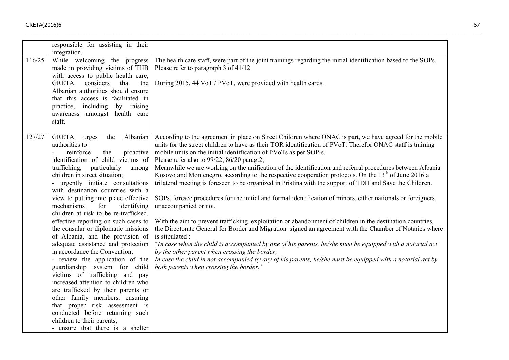|        | responsible for assisting in their<br>integration.                                                                                                                                                                                                                                                                                                                                                                                                                                                                                                                                                                                                                                                                                                                                                                                                                                                                                                                |                                                                                                                                                                                                                                                                                                                                                                                                                                                                                                                                                                                                                                                                                                                                                                                                                                                                                                                                                                                                                                                                                                                                                                                                                                                                                                                                                                                            |
|--------|-------------------------------------------------------------------------------------------------------------------------------------------------------------------------------------------------------------------------------------------------------------------------------------------------------------------------------------------------------------------------------------------------------------------------------------------------------------------------------------------------------------------------------------------------------------------------------------------------------------------------------------------------------------------------------------------------------------------------------------------------------------------------------------------------------------------------------------------------------------------------------------------------------------------------------------------------------------------|--------------------------------------------------------------------------------------------------------------------------------------------------------------------------------------------------------------------------------------------------------------------------------------------------------------------------------------------------------------------------------------------------------------------------------------------------------------------------------------------------------------------------------------------------------------------------------------------------------------------------------------------------------------------------------------------------------------------------------------------------------------------------------------------------------------------------------------------------------------------------------------------------------------------------------------------------------------------------------------------------------------------------------------------------------------------------------------------------------------------------------------------------------------------------------------------------------------------------------------------------------------------------------------------------------------------------------------------------------------------------------------------|
| 116/25 | While welcoming the progress<br>made in providing victims of THB<br>with access to public health care,<br>considers<br><b>GRETA</b><br>that<br>the<br>Albanian authorities should ensure<br>that this access is facilitated in<br>practice, including<br>by raising<br>awareness amongst health care<br>staff.                                                                                                                                                                                                                                                                                                                                                                                                                                                                                                                                                                                                                                                    | The health care staff, were part of the joint trainings regarding the initial identification based to the SOPs.<br>Please refer to paragraph 3 of 41/12<br>During 2015, 44 VoT / PVoT, were provided with health cards.                                                                                                                                                                                                                                                                                                                                                                                                                                                                                                                                                                                                                                                                                                                                                                                                                                                                                                                                                                                                                                                                                                                                                                    |
| 127/27 | <b>GRETA</b><br>Albanian<br>the<br>urges<br>authorities to:<br>reinforce<br>the<br>proactive<br>identification of child victims of<br>trafficking,<br>particularly<br>among<br>children in street situation;<br>- urgently initiate consultations<br>with destination countries with a<br>view to putting into place effective<br>mechanisms<br>for<br>identifying<br>children at risk to be re-trafficked,<br>effective reporting on such cases to<br>the consular or diplomatic missions<br>of Albania, and the provision of<br>adequate assistance and protection<br>in accordance the Convention;<br>- review the application of the<br>guardianship system for child<br>victims of trafficking and pay<br>increased attention to children who<br>are trafficked by their parents or<br>other family members, ensuring<br>that proper risk assessment is<br>conducted before returning such<br>children to their parents;<br>- ensure that there is a shelter | According to the agreement in place on Street Children where ONAC is part, we have agreed for the mobile<br>units for the street children to have as their TOR identification of PVoT. Therefor ONAC staff is training<br>mobile units on the initial identification of PVoTs as per SOP-s.<br>Please refer also to 99/22; 86/20 parag.2;<br>Meanwhile we are working on the unification of the identification and referral procedures between Albania<br>Kosovo and Montenegro, according to the respective cooperation protocols. On the $13th$ of June 2016 a<br>trilateral meeting is foreseen to be organized in Pristina with the support of TDH and Save the Children.<br>SOPs, foresee procedures for the initial and formal identification of minors, either nationals or foreigners,<br>unaccompanied or not.<br>With the aim to prevent trafficking, exploitation or abandonment of children in the destination countries,<br>the Directorate General for Border and Migration signed an agreement with the Chamber of Notaries where<br>is stipulated :<br>"In case when the child is accompanied by one of his parents, he/she must be equipped with a notarial act<br>by the other parent when crossing the border;<br>In case the child in not accompanied by any of his parents, he/she must be equipped with a notarial act by<br>both parents when crossing the border." |

 $\_$  , and the set of the set of the set of the set of the set of the set of the set of the set of the set of the set of the set of the set of the set of the set of the set of the set of the set of the set of the set of th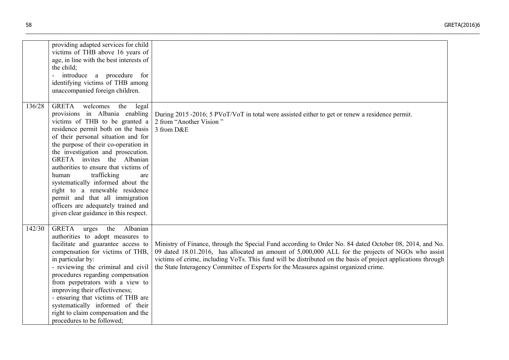|        | providing adapted services for child<br>victims of THB above 16 years of<br>age, in line with the best interests of<br>the child;<br>introduce a procedure for<br>÷.<br>identifying victims of THB among<br>unaccompanied foreign children.                                                                                                                                                                                                                                                                                                                             |                                                                                                                                                                                                                                                                                                                                                                                                                      |
|--------|-------------------------------------------------------------------------------------------------------------------------------------------------------------------------------------------------------------------------------------------------------------------------------------------------------------------------------------------------------------------------------------------------------------------------------------------------------------------------------------------------------------------------------------------------------------------------|----------------------------------------------------------------------------------------------------------------------------------------------------------------------------------------------------------------------------------------------------------------------------------------------------------------------------------------------------------------------------------------------------------------------|
| 136/28 | <b>GRETA</b><br>welcomes<br>the<br>legal<br>provisions in Albania enabling<br>victims of THB to be granted a<br>residence permit both on the basis<br>of their personal situation and for<br>the purpose of their co-operation in<br>the investigation and prosecution.<br>GRETA invites the Albanian<br>authorities to ensure that victims of<br>human<br>trafficking<br>are<br>systematically informed about the<br>right to a renewable residence<br>permit and that all immigration<br>officers are adequately trained and<br>given clear guidance in this respect. | During 2015 -2016; 5 PVoT/VoT in total were assisted either to get or renew a residence permit.<br>2 from "Another Vision"<br>3 from D&E                                                                                                                                                                                                                                                                             |
| 142/30 | <b>GRETA</b><br>Albanian<br>the<br>urges<br>authorities to adopt measures to<br>facilitate and guarantee access to<br>compensation for victims of THB,<br>in particular by:<br>- reviewing the criminal and civil<br>procedures regarding compensation<br>from perpetrators with a view to<br>improving their effectiveness;<br>- ensuring that victims of THB are<br>systematically informed of their<br>right to claim compensation and the<br>procedures to be followed;                                                                                             | Ministry of Finance, through the Special Fund according to Order No. 84 dated October 08, 2014, and No.<br>09 dated 18.01.2016, has allocated an amount of 5,000,000 ALL for the projects of NGOs who assist<br>victims of crime, including VoTs. This fund will be distributed on the basis of project applications through<br>the State Interagency Committee of Experts for the Measures against organized crime. |

\_\_\_\_\_\_\_\_\_\_\_\_\_\_\_\_\_\_\_\_\_\_\_\_\_\_\_\_\_\_\_\_\_\_\_\_\_\_\_\_\_\_\_\_\_\_\_\_\_\_\_\_\_\_\_\_\_\_\_\_\_\_\_\_\_\_\_\_\_\_\_\_\_\_\_\_\_\_\_\_\_\_\_\_\_\_\_\_\_\_\_\_\_\_\_\_\_\_\_\_\_\_\_\_\_\_\_\_\_\_\_\_\_\_\_\_\_\_\_\_\_\_\_\_\_\_\_\_\_\_\_\_\_\_\_\_\_\_\_\_\_\_\_\_\_\_\_\_\_\_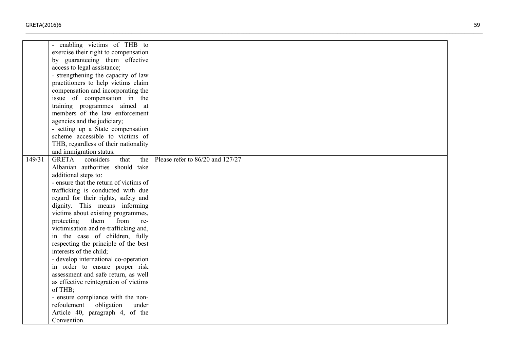|        | - enabling victims of THB to             |                                  |
|--------|------------------------------------------|----------------------------------|
|        | exercise their right to compensation     |                                  |
|        | by guaranteeing them effective           |                                  |
|        | access to legal assistance;              |                                  |
|        | - strengthening the capacity of law      |                                  |
|        | practitioners to help victims claim      |                                  |
|        |                                          |                                  |
|        | compensation and incorporating the       |                                  |
|        | issue of compensation in the             |                                  |
|        | training programmes aimed at             |                                  |
|        | members of the law enforcement           |                                  |
|        | agencies and the judiciary;              |                                  |
|        | - setting up a State compensation        |                                  |
|        | scheme accessible to victims of          |                                  |
|        | THB, regardless of their nationality     |                                  |
|        | and immigration status.                  |                                  |
| 149/31 | <b>GRETA</b><br>considers<br>that<br>the | Please refer to 86/20 and 127/27 |
|        | Albanian authorities should take         |                                  |
|        | additional steps to:                     |                                  |
|        | - ensure that the return of victims of   |                                  |
|        | trafficking is conducted with due        |                                  |
|        | regard for their rights, safety and      |                                  |
|        | dignity. This means informing            |                                  |
|        | victims about existing programmes,       |                                  |
|        | protecting<br>them<br>from<br>re-        |                                  |
|        | victimisation and re-trafficking and,    |                                  |
|        | in the case of children, fully           |                                  |
|        | respecting the principle of the best     |                                  |
|        | interests of the child;                  |                                  |
|        | - develop international co-operation     |                                  |
|        | in order to ensure proper risk           |                                  |
|        | assessment and safe return, as well      |                                  |
|        | as effective reintegration of victims    |                                  |
|        | of THB;                                  |                                  |
|        | - ensure compliance with the non-        |                                  |
|        | refoulement<br>obligation<br>under       |                                  |
|        | Article 40, paragraph 4, of the          |                                  |
|        | Convention.                              |                                  |
|        |                                          |                                  |

 $\_$  , and the set of the set of the set of the set of the set of the set of the set of the set of the set of the set of the set of the set of the set of the set of the set of the set of the set of the set of the set of th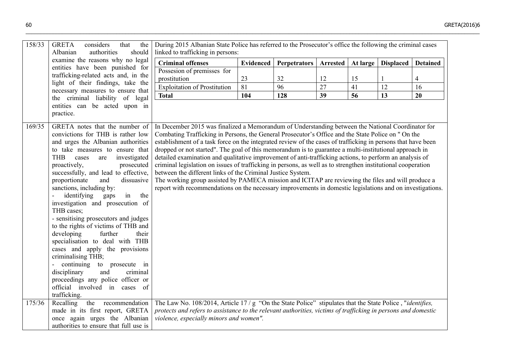| 158/33 | <b>GRETA</b><br>considers<br>that<br>the<br>Albanian<br>authorities<br>should<br>examine the reasons why no legal                                                                                                                                                                                                                                                                                                                                                                                                                                                                                                                                                                                                                                         | During 2015 Albanian State Police has referred to the Prosecutor's office the following the criminal cases<br>linked to trafficking in persons:                                                                                                                                                                                                                                                                                                                                                                                                                                                                                                                                                                                                                                                                                           |                  |                     |          |                 |                  |                 |
|--------|-----------------------------------------------------------------------------------------------------------------------------------------------------------------------------------------------------------------------------------------------------------------------------------------------------------------------------------------------------------------------------------------------------------------------------------------------------------------------------------------------------------------------------------------------------------------------------------------------------------------------------------------------------------------------------------------------------------------------------------------------------------|-------------------------------------------------------------------------------------------------------------------------------------------------------------------------------------------------------------------------------------------------------------------------------------------------------------------------------------------------------------------------------------------------------------------------------------------------------------------------------------------------------------------------------------------------------------------------------------------------------------------------------------------------------------------------------------------------------------------------------------------------------------------------------------------------------------------------------------------|------------------|---------------------|----------|-----------------|------------------|-----------------|
|        |                                                                                                                                                                                                                                                                                                                                                                                                                                                                                                                                                                                                                                                                                                                                                           | <b>Criminal offenses</b>                                                                                                                                                                                                                                                                                                                                                                                                                                                                                                                                                                                                                                                                                                                                                                                                                  | <b>Evidenced</b> | <b>Perpetrators</b> | Arrested | <b>At large</b> | <b>Displaced</b> | <b>Detained</b> |
|        | entities have been punished for<br>trafficking-related acts and, in the                                                                                                                                                                                                                                                                                                                                                                                                                                                                                                                                                                                                                                                                                   | Possesion of premisses for                                                                                                                                                                                                                                                                                                                                                                                                                                                                                                                                                                                                                                                                                                                                                                                                                |                  |                     |          |                 |                  |                 |
|        | light of their findings, take the                                                                                                                                                                                                                                                                                                                                                                                                                                                                                                                                                                                                                                                                                                                         | prostitution                                                                                                                                                                                                                                                                                                                                                                                                                                                                                                                                                                                                                                                                                                                                                                                                                              | 23               | 32                  | 12       | 15              | 1                | $\overline{4}$  |
|        | necessary measures to ensure that<br>the criminal liability of legal<br>entities can be acted upon in<br>practice.<br>GRETA notes that the number of                                                                                                                                                                                                                                                                                                                                                                                                                                                                                                                                                                                                      | <b>Exploitation of Prostitution</b>                                                                                                                                                                                                                                                                                                                                                                                                                                                                                                                                                                                                                                                                                                                                                                                                       | 81               | 96                  | 27       | 41              | 12               | 16              |
|        |                                                                                                                                                                                                                                                                                                                                                                                                                                                                                                                                                                                                                                                                                                                                                           | <b>Total</b>                                                                                                                                                                                                                                                                                                                                                                                                                                                                                                                                                                                                                                                                                                                                                                                                                              | 104              | 128                 | 39       | 56              | 13               | 20              |
| 169/35 |                                                                                                                                                                                                                                                                                                                                                                                                                                                                                                                                                                                                                                                                                                                                                           | In December 2015 was finalized a Memorandum of Understanding between the National Coordinator for                                                                                                                                                                                                                                                                                                                                                                                                                                                                                                                                                                                                                                                                                                                                         |                  |                     |          |                 |                  |                 |
|        | convictions for THB is rather low<br>and urges the Albanian authorities<br>to take measures to ensure that<br><b>THB</b><br>investigated<br>cases<br>are<br>proactively,<br>prosecuted<br>successfully, and lead to effective,<br>proportionate<br>dissuasive<br>and<br>sanctions, including by:<br>identifying<br>in<br>the<br>gaps<br>investigation and prosecution of<br>THB cases;<br>- sensitising prosecutors and judges<br>to the rights of victims of THB and<br>developing<br>further<br>their<br>specialisation to deal with THB<br>cases and apply the provisions<br>criminalising THB;<br>continuing to prosecute in<br>disciplinary<br>and<br>criminal<br>proceedings any police officer or<br>official involved in cases of<br>trafficking. | Combating Trafficking in Persons, the General Prosecutor's Office and the State Police on " On the<br>establishment of a task force on the integrated review of the cases of trafficking in persons that have been<br>dropped or not started". The goal of this memorandum is to guarantee a multi-institutional approach in<br>detailed examination and qualitative improvement of anti-trafficking actions, to perform an analysis of<br>criminal legislation on issues of trafficking in persons, as well as to strengthen institutional cooperation<br>between the different links of the Criminal Justice System.<br>The working group assisted by PAMECA mission and ICITAP are reviewing the files and will produce a<br>report with recommendations on the necessary improvements in domestic legislations and on investigations. |                  |                     |          |                 |                  |                 |
| 175/36 | the recommendation<br>Recalling                                                                                                                                                                                                                                                                                                                                                                                                                                                                                                                                                                                                                                                                                                                           | The Law No. 108/2014, Article $17 / g$ "On the State Police" stipulates that the State Police, " <i>identifies</i> ,                                                                                                                                                                                                                                                                                                                                                                                                                                                                                                                                                                                                                                                                                                                      |                  |                     |          |                 |                  |                 |
|        | made in its first report, GRETA                                                                                                                                                                                                                                                                                                                                                                                                                                                                                                                                                                                                                                                                                                                           | protects and refers to assistance to the relevant authorities, victims of trafficking in persons and domestic                                                                                                                                                                                                                                                                                                                                                                                                                                                                                                                                                                                                                                                                                                                             |                  |                     |          |                 |                  |                 |
|        | once again urges the Albanian<br>authorities to ensure that full use is                                                                                                                                                                                                                                                                                                                                                                                                                                                                                                                                                                                                                                                                                   | violence, especially minors and women".                                                                                                                                                                                                                                                                                                                                                                                                                                                                                                                                                                                                                                                                                                                                                                                                   |                  |                     |          |                 |                  |                 |
|        |                                                                                                                                                                                                                                                                                                                                                                                                                                                                                                                                                                                                                                                                                                                                                           |                                                                                                                                                                                                                                                                                                                                                                                                                                                                                                                                                                                                                                                                                                                                                                                                                                           |                  |                     |          |                 |                  |                 |

\_\_\_\_\_\_\_\_\_\_\_\_\_\_\_\_\_\_\_\_\_\_\_\_\_\_\_\_\_\_\_\_\_\_\_\_\_\_\_\_\_\_\_\_\_\_\_\_\_\_\_\_\_\_\_\_\_\_\_\_\_\_\_\_\_\_\_\_\_\_\_\_\_\_\_\_\_\_\_\_\_\_\_\_\_\_\_\_\_\_\_\_\_\_\_\_\_\_\_\_\_\_\_\_\_\_\_\_\_\_\_\_\_\_\_\_\_\_\_\_\_\_\_\_\_\_\_\_\_\_\_\_\_\_\_\_\_\_\_\_\_\_\_\_\_\_\_\_\_\_